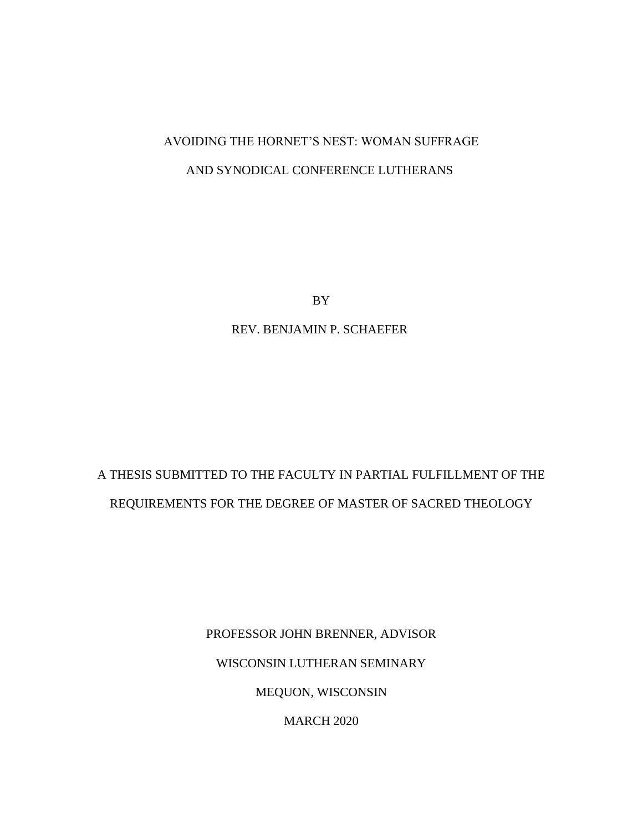# AVOIDING THE HORNET'S NEST: WOMAN SUFFRAGE AND SYNODICAL CONFERENCE LUTHERANS

BY

REV. BENJAMIN P. SCHAEFER

# A THESIS SUBMITTED TO THE FACULTY IN PARTIAL FULFILLMENT OF THE REQUIREMENTS FOR THE DEGREE OF MASTER OF SACRED THEOLOGY

PROFESSOR JOHN BRENNER, ADVISOR WISCONSIN LUTHERAN SEMINARY MEQUON, WISCONSIN MARCH 2020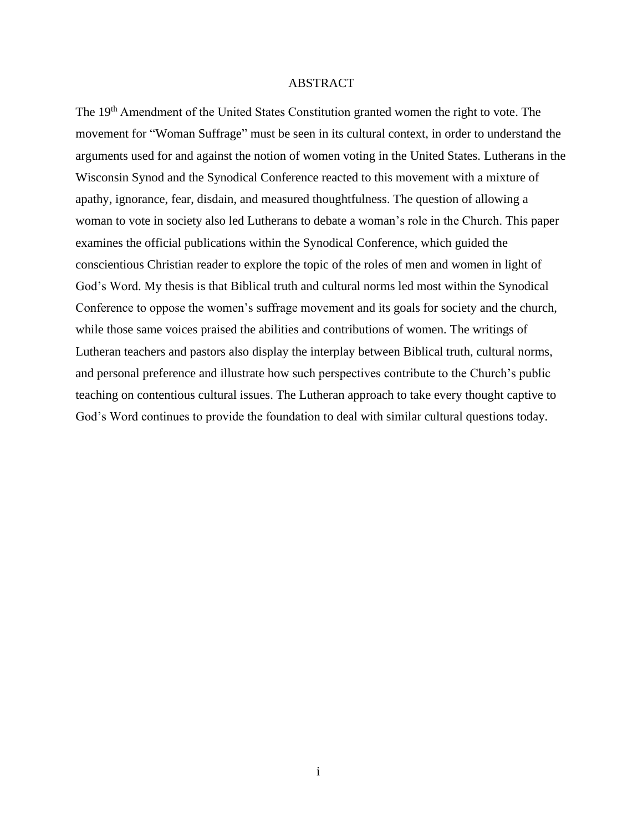### ABSTRACT

The 19<sup>th</sup> Amendment of the United States Constitution granted women the right to vote. The movement for "Woman Suffrage" must be seen in its cultural context, in order to understand the arguments used for and against the notion of women voting in the United States. Lutherans in the Wisconsin Synod and the Synodical Conference reacted to this movement with a mixture of apathy, ignorance, fear, disdain, and measured thoughtfulness. The question of allowing a woman to vote in society also led Lutherans to debate a woman's role in the Church. This paper examines the official publications within the Synodical Conference, which guided the conscientious Christian reader to explore the topic of the roles of men and women in light of God's Word. My thesis is that Biblical truth and cultural norms led most within the Synodical Conference to oppose the women's suffrage movement and its goals for society and the church, while those same voices praised the abilities and contributions of women. The writings of Lutheran teachers and pastors also display the interplay between Biblical truth, cultural norms, and personal preference and illustrate how such perspectives contribute to the Church's public teaching on contentious cultural issues. The Lutheran approach to take every thought captive to God's Word continues to provide the foundation to deal with similar cultural questions today.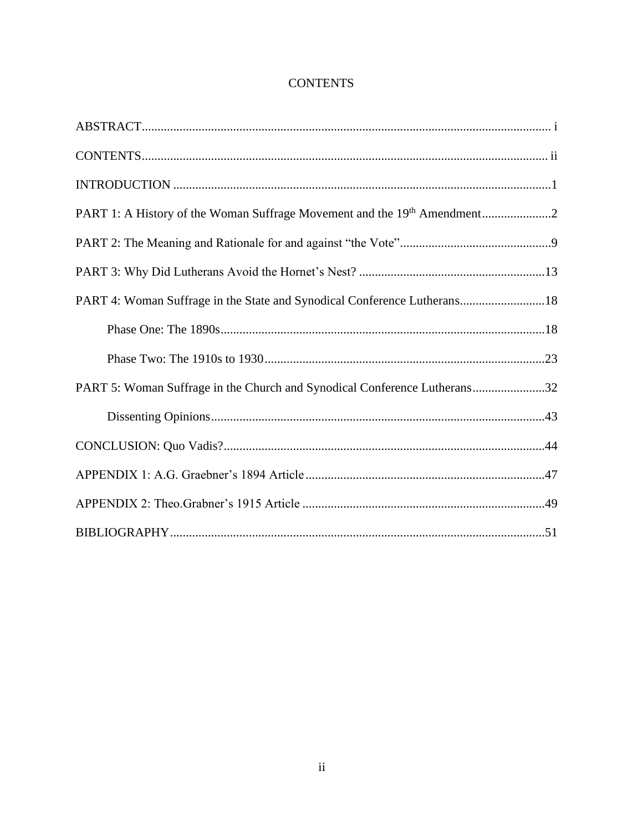### **CONTENTS**

| PART 1: A History of the Woman Suffrage Movement and the 19 <sup>th</sup> Amendment2 |
|--------------------------------------------------------------------------------------|
|                                                                                      |
|                                                                                      |
| PART 4: Woman Suffrage in the State and Synodical Conference Lutherans18             |
|                                                                                      |
|                                                                                      |
| PART 5: Woman Suffrage in the Church and Synodical Conference Lutherans32            |
|                                                                                      |
|                                                                                      |
|                                                                                      |
|                                                                                      |
|                                                                                      |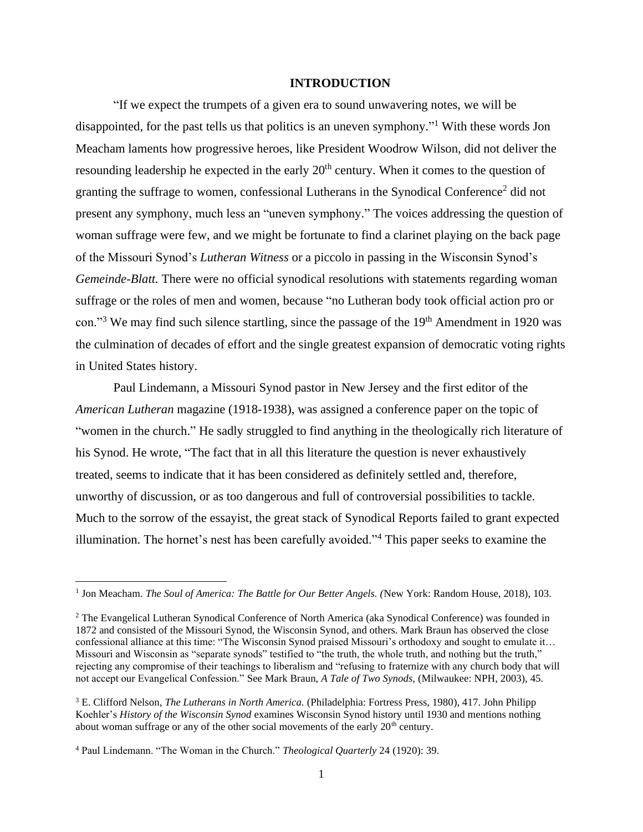### **INTRODUCTION**

"If we expect the trumpets of a given era to sound unwavering notes, we will be disappointed, for the past tells us that politics is an uneven symphony."<sup>1</sup> With these words Jon Meacham laments how progressive heroes, like President Woodrow Wilson, did not deliver the resounding leadership he expected in the early  $20<sup>th</sup>$  century. When it comes to the question of granting the suffrage to women, confessional Lutherans in the Synodical Conference<sup>2</sup> did not present any symphony, much less an "uneven symphony." The voices addressing the question of woman suffrage were few, and we might be fortunate to find a clarinet playing on the back page of the Missouri Synod's *Lutheran Witness* or a piccolo in passing in the Wisconsin Synod's *Gemeinde-Blatt.* There were no official synodical resolutions with statements regarding woman suffrage or the roles of men and women, because "no Lutheran body took official action pro or con."<sup>3</sup> We may find such silence startling, since the passage of the 19<sup>th</sup> Amendment in 1920 was the culmination of decades of effort and the single greatest expansion of democratic voting rights in United States history.

Paul Lindemann, a Missouri Synod pastor in New Jersey and the first editor of the *American Lutheran* magazine (1918-1938), was assigned a conference paper on the topic of "women in the church." He sadly struggled to find anything in the theologically rich literature of his Synod. He wrote, "The fact that in all this literature the question is never exhaustively treated, seems to indicate that it has been considered as definitely settled and, therefore, unworthy of discussion, or as too dangerous and full of controversial possibilities to tackle. Much to the sorrow of the essayist, the great stack of Synodical Reports failed to grant expected illumination. The hornet's nest has been carefully avoided."<sup>4</sup> This paper seeks to examine the

<sup>&</sup>lt;sup>1</sup> Jon Meacham. *The Soul of America: The Battle for Our Better Angels.* (New York: Random House, 2018), 103.

<sup>&</sup>lt;sup>2</sup> The Evangelical Lutheran Synodical Conference of North America (aka Synodical Conference) was founded in 1872 and consisted of the Missouri Synod, the Wisconsin Synod, and others. Mark Braun has observed the close confessional alliance at this time: "The Wisconsin Synod praised Missouri's orthodoxy and sought to emulate it… Missouri and Wisconsin as "separate synods" testified to "the truth, the whole truth, and nothing but the truth," rejecting any compromise of their teachings to liberalism and "refusing to fraternize with any church body that will not accept our Evangelical Confession." See Mark Braun, *A Tale of Two Synods,* (Milwaukee: NPH, 2003), 45.

<sup>3</sup> E. Clifford Nelson, *The Lutherans in North America.* (Philadelphia: Fortress Press, 1980), 417. John Philipp Koehler's *History of the Wisconsin Synod* examines Wisconsin Synod history until 1930 and mentions nothing about woman suffrage or any of the other social movements of the early 20<sup>th</sup> century.

<sup>4</sup> Paul Lindemann. "The Woman in the Church." *Theological Quarterly* 24 (1920): 39.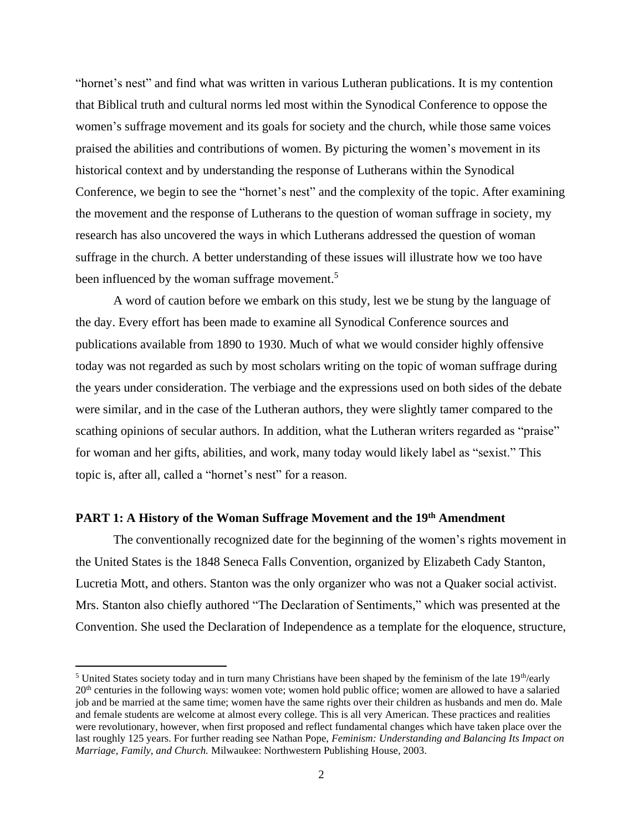"hornet's nest" and find what was written in various Lutheran publications. It is my contention that Biblical truth and cultural norms led most within the Synodical Conference to oppose the women's suffrage movement and its goals for society and the church, while those same voices praised the abilities and contributions of women. By picturing the women's movement in its historical context and by understanding the response of Lutherans within the Synodical Conference, we begin to see the "hornet's nest" and the complexity of the topic. After examining the movement and the response of Lutherans to the question of woman suffrage in society, my research has also uncovered the ways in which Lutherans addressed the question of woman suffrage in the church. A better understanding of these issues will illustrate how we too have been influenced by the woman suffrage movement.<sup>5</sup>

A word of caution before we embark on this study, lest we be stung by the language of the day. Every effort has been made to examine all Synodical Conference sources and publications available from 1890 to 1930. Much of what we would consider highly offensive today was not regarded as such by most scholars writing on the topic of woman suffrage during the years under consideration. The verbiage and the expressions used on both sides of the debate were similar, and in the case of the Lutheran authors, they were slightly tamer compared to the scathing opinions of secular authors. In addition, what the Lutheran writers regarded as "praise" for woman and her gifts, abilities, and work, many today would likely label as "sexist." This topic is, after all, called a "hornet's nest" for a reason.

### **PART 1: A History of the Woman Suffrage Movement and the 19th Amendment**

The conventionally recognized date for the beginning of the women's rights movement in the United States is the 1848 Seneca Falls Convention, organized by Elizabeth Cady Stanton, Lucretia Mott, and others. Stanton was the only organizer who was not a Quaker social activist. Mrs. Stanton also chiefly authored "The Declaration of Sentiments," which was presented at the Convention. She used the Declaration of Independence as a template for the eloquence, structure,

<sup>&</sup>lt;sup>5</sup> United States society today and in turn many Christians have been shaped by the feminism of the late  $19<sup>th</sup>/early$ 20th centuries in the following ways: women vote; women hold public office; women are allowed to have a salaried job and be married at the same time; women have the same rights over their children as husbands and men do. Male and female students are welcome at almost every college. This is all very American. These practices and realities were revolutionary, however, when first proposed and reflect fundamental changes which have taken place over the last roughly 125 years. For further reading see Nathan Pope, *Feminism: Understanding and Balancing Its Impact on Marriage, Family, and Church.* Milwaukee: Northwestern Publishing House, 2003.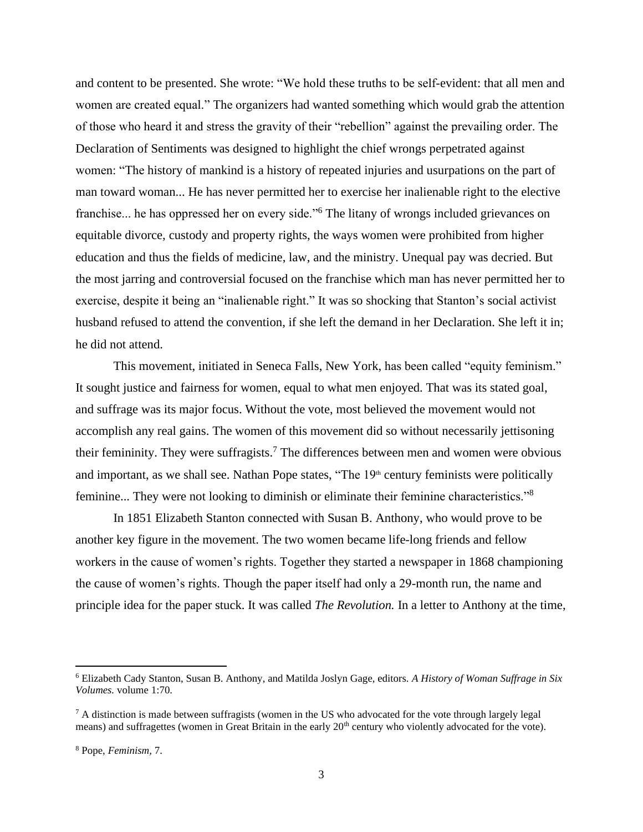and content to be presented. She wrote: "We hold these truths to be self-evident: that all men and women are created equal." The organizers had wanted something which would grab the attention of those who heard it and stress the gravity of their "rebellion" against the prevailing order. The Declaration of Sentiments was designed to highlight the chief wrongs perpetrated against women: "The history of mankind is a history of repeated injuries and usurpations on the part of man toward woman... He has never permitted her to exercise her inalienable right to the elective franchise... he has oppressed her on every side."<sup>6</sup> The litany of wrongs included grievances on equitable divorce, custody and property rights, the ways women were prohibited from higher education and thus the fields of medicine, law, and the ministry. Unequal pay was decried. But the most jarring and controversial focused on the franchise which man has never permitted her to exercise, despite it being an "inalienable right." It was so shocking that Stanton's social activist husband refused to attend the convention, if she left the demand in her Declaration. She left it in; he did not attend.

This movement, initiated in Seneca Falls, New York, has been called "equity feminism." It sought justice and fairness for women, equal to what men enjoyed. That was its stated goal, and suffrage was its major focus. Without the vote, most believed the movement would not accomplish any real gains. The women of this movement did so without necessarily jettisoning their femininity. They were suffragists.<sup>7</sup> The differences between men and women were obvious and important, as we shall see. Nathan Pope states, "The  $19<sup>th</sup>$  century feminists were politically feminine... They were not looking to diminish or eliminate their feminine characteristics."<sup>8</sup>

In 1851 Elizabeth Stanton connected with Susan B. Anthony, who would prove to be another key figure in the movement. The two women became life-long friends and fellow workers in the cause of women's rights. Together they started a newspaper in 1868 championing the cause of women's rights. Though the paper itself had only a 29-month run, the name and principle idea for the paper stuck. It was called *The Revolution.* In a letter to Anthony at the time,

<sup>6</sup> Elizabeth Cady Stanton, Susan B. Anthony, and Matilda Joslyn Gage, editors. *A History of Woman Suffrage in Six Volumes.* volume 1:70.

 $^7$  A distinction is made between suffragists (women in the US who advocated for the vote through largely legal means) and suffragettes (women in Great Britain in the early 20<sup>th</sup> century who violently advocated for the vote).

<sup>8</sup> Pope, *Feminism,* 7.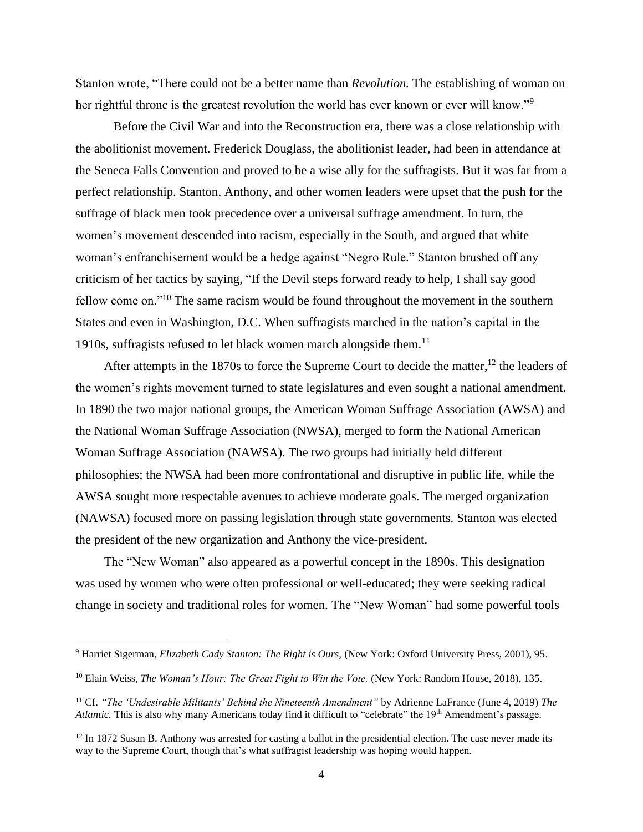Stanton wrote, "There could not be a better name than *Revolution.* The establishing of woman on her rightful throne is the greatest revolution the world has ever known or ever will know."<sup>9</sup>

Before the Civil War and into the Reconstruction era, there was a close relationship with the abolitionist movement. Frederick Douglass, the abolitionist leader, had been in attendance at the Seneca Falls Convention and proved to be a wise ally for the suffragists. But it was far from a perfect relationship. Stanton, Anthony, and other women leaders were upset that the push for the suffrage of black men took precedence over a universal suffrage amendment. In turn, the women's movement descended into racism, especially in the South, and argued that white woman's enfranchisement would be a hedge against "Negro Rule." Stanton brushed off any criticism of her tactics by saying, "If the Devil steps forward ready to help, I shall say good fellow come on."<sup>10</sup> The same racism would be found throughout the movement in the southern States and even in Washington, D.C. When suffragists marched in the nation's capital in the 1910s, suffragists refused to let black women march alongside them.<sup>11</sup>

After attempts in the 1870s to force the Supreme Court to decide the matter,  $^{12}$  the leaders of the women's rights movement turned to state legislatures and even sought a national amendment. In 1890 the two major national groups, the American Woman Suffrage Association (AWSA) and the National Woman Suffrage Association (NWSA), merged to form the National American Woman Suffrage Association (NAWSA). The two groups had initially held different philosophies; the NWSA had been more confrontational and disruptive in public life, while the AWSA sought more respectable avenues to achieve moderate goals. The merged organization (NAWSA) focused more on passing legislation through state governments. Stanton was elected the president of the new organization and Anthony the vice-president.

The "New Woman" also appeared as a powerful concept in the 1890s. This designation was used by women who were often professional or well-educated; they were seeking radical change in society and traditional roles for women. The "New Woman" had some powerful tools

<sup>9</sup> Harriet Sigerman, *Elizabeth Cady Stanton: The Right is Ours,* (New York: Oxford University Press, 2001), 95.

<sup>&</sup>lt;sup>10</sup> Elain Weiss, *The Woman's Hour: The Great Fight to Win the Vote*, (New York: Random House, 2018), 135.

<sup>11</sup> Cf. *"The 'Undesirable Militants' Behind the Nineteenth Amendment"* by Adrienne LaFrance (June 4, 2019) *The Atlantic.* This is also why many Americans today find it difficult to "celebrate" the 19<sup>th</sup> Amendment's passage.

 $12$  In 1872 Susan B. Anthony was arrested for casting a ballot in the presidential election. The case never made its way to the Supreme Court, though that's what suffragist leadership was hoping would happen.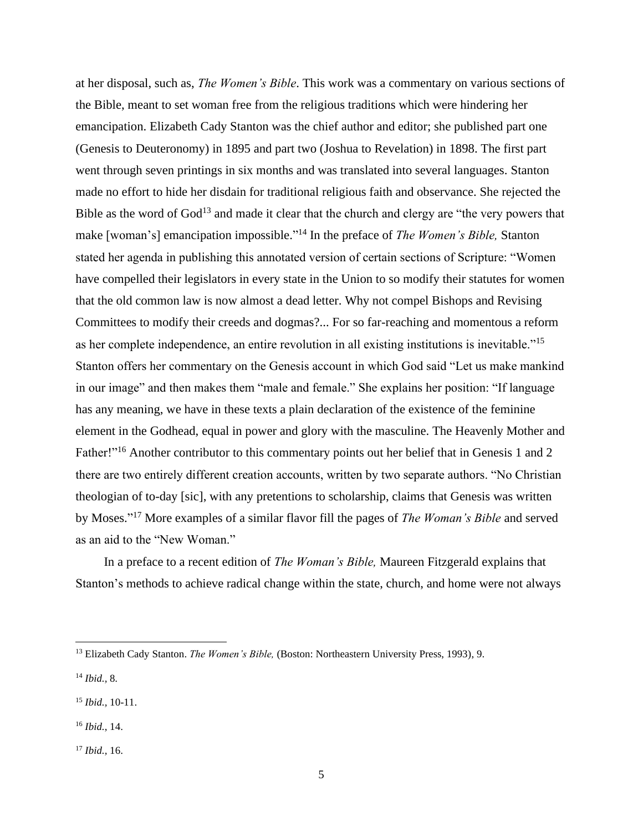at her disposal, such as, *The Women's Bible*. This work was a commentary on various sections of the Bible, meant to set woman free from the religious traditions which were hindering her emancipation. Elizabeth Cady Stanton was the chief author and editor; she published part one (Genesis to Deuteronomy) in 1895 and part two (Joshua to Revelation) in 1898. The first part went through seven printings in six months and was translated into several languages. Stanton made no effort to hide her disdain for traditional religious faith and observance. She rejected the Bible as the word of God<sup>13</sup> and made it clear that the church and clergy are "the very powers that make [woman's] emancipation impossible."<sup>14</sup> In the preface of *The Women's Bible*, Stanton stated her agenda in publishing this annotated version of certain sections of Scripture: "Women have compelled their legislators in every state in the Union to so modify their statutes for women that the old common law is now almost a dead letter. Why not compel Bishops and Revising Committees to modify their creeds and dogmas?... For so far-reaching and momentous a reform as her complete independence, an entire revolution in all existing institutions is inevitable."<sup>15</sup> Stanton offers her commentary on the Genesis account in which God said "Let us make mankind in our image" and then makes them "male and female." She explains her position: "If language has any meaning, we have in these texts a plain declaration of the existence of the feminine element in the Godhead, equal in power and glory with the masculine. The Heavenly Mother and Father!"<sup>16</sup> Another contributor to this commentary points out her belief that in Genesis 1 and 2 there are two entirely different creation accounts, written by two separate authors. "No Christian theologian of to-day [sic], with any pretentions to scholarship, claims that Genesis was written by Moses." <sup>17</sup> More examples of a similar flavor fill the pages of *The Woman's Bible* and served as an aid to the "New Woman."

In a preface to a recent edition of *The Woman's Bible,* Maureen Fitzgerald explains that Stanton's methods to achieve radical change within the state, church, and home were not always

<sup>&</sup>lt;sup>13</sup> Elizabeth Cady Stanton. *The Women's Bible*, (Boston: Northeastern University Press, 1993), 9.

<sup>14</sup> *Ibid.,* 8*.*

<sup>15</sup> *Ibid.,* 10-11.

<sup>16</sup> *Ibid.*, 14.

<sup>17</sup> *Ibid.,* 16.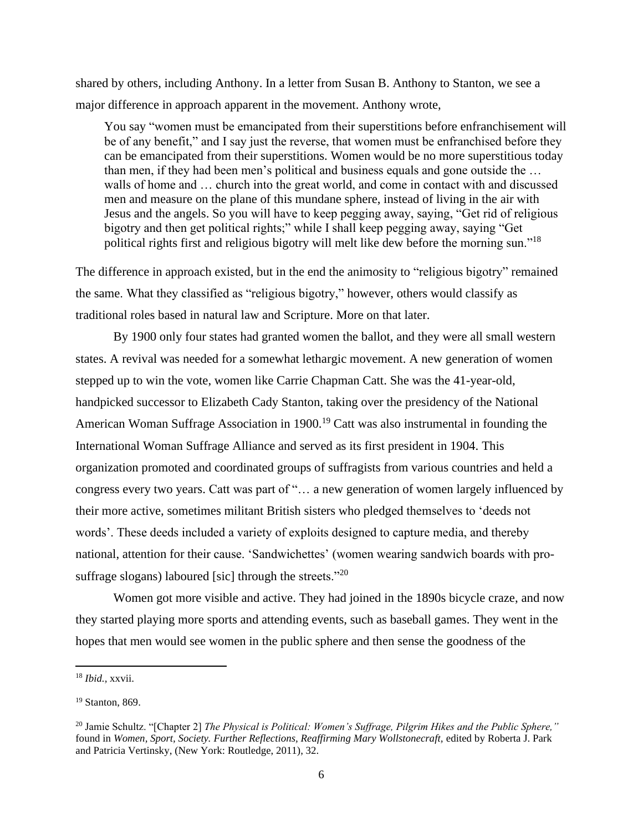shared by others, including Anthony. In a letter from Susan B. Anthony to Stanton, we see a major difference in approach apparent in the movement. Anthony wrote,

You say "women must be emancipated from their superstitions before enfranchisement will be of any benefit," and I say just the reverse, that women must be enfranchised before they can be emancipated from their superstitions. Women would be no more superstitious today than men, if they had been men's political and business equals and gone outside the … walls of home and … church into the great world, and come in contact with and discussed men and measure on the plane of this mundane sphere, instead of living in the air with Jesus and the angels. So you will have to keep pegging away, saying, "Get rid of religious bigotry and then get political rights;" while I shall keep pegging away, saying "Get political rights first and religious bigotry will melt like dew before the morning sun."<sup>18</sup>

The difference in approach existed, but in the end the animosity to "religious bigotry" remained the same. What they classified as "religious bigotry," however, others would classify as traditional roles based in natural law and Scripture. More on that later.

By 1900 only four states had granted women the ballot, and they were all small western states. A revival was needed for a somewhat lethargic movement. A new generation of women stepped up to win the vote, women like Carrie Chapman Catt. She was the 41-year-old, handpicked successor to Elizabeth Cady Stanton, taking over the presidency of the National American Woman Suffrage Association in 1900.<sup>19</sup> Catt was also instrumental in founding the International Woman Suffrage Alliance and served as its first president in 1904. This organization promoted and coordinated groups of suffragists from various countries and held a congress every two years. Catt was part of "… a new generation of women largely influenced by their more active, sometimes militant British sisters who pledged themselves to 'deeds not words'. These deeds included a variety of exploits designed to capture media, and thereby national, attention for their cause. 'Sandwichettes' (women wearing sandwich boards with prosuffrage slogans) laboured [sic] through the streets."<sup>20</sup>

Women got more visible and active. They had joined in the 1890s bicycle craze, and now they started playing more sports and attending events, such as baseball games. They went in the hopes that men would see women in the public sphere and then sense the goodness of the

<sup>18</sup> *Ibid.,* xxvii.

<sup>19</sup> Stanton, 869.

<sup>20</sup> Jamie Schultz. "[Chapter 2] *The Physical is Political: Women's Suffrage, Pilgrim Hikes and the Public Sphere,"*  found in *Women, Sport, Society. Further Reflections, Reaffirming Mary Wollstonecraft,* edited by Roberta J. Park and Patricia Vertinsky, (New York: Routledge, 2011), 32.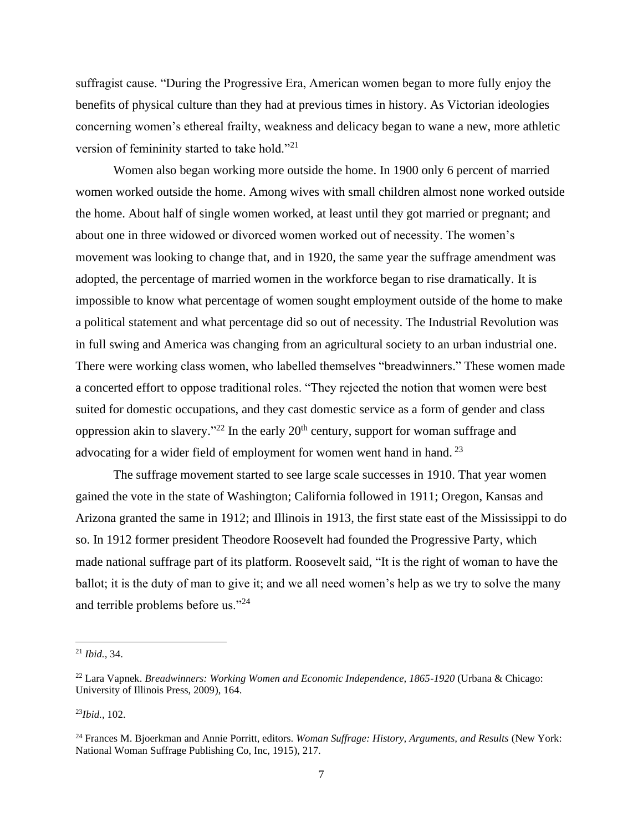suffragist cause. "During the Progressive Era, American women began to more fully enjoy the benefits of physical culture than they had at previous times in history. As Victorian ideologies concerning women's ethereal frailty, weakness and delicacy began to wane a new, more athletic version of femininity started to take hold."<sup>21</sup>

Women also began working more outside the home. In 1900 only 6 percent of married women worked outside the home. Among wives with small children almost none worked outside the home. About half of single women worked, at least until they got married or pregnant; and about one in three widowed or divorced women worked out of necessity. The women's movement was looking to change that, and in 1920, the same year the suffrage amendment was adopted, the percentage of married women in the workforce began to rise dramatically. It is impossible to know what percentage of women sought employment outside of the home to make a political statement and what percentage did so out of necessity. The Industrial Revolution was in full swing and America was changing from an agricultural society to an urban industrial one. There were working class women, who labelled themselves "breadwinners." These women made a concerted effort to oppose traditional roles. "They rejected the notion that women were best suited for domestic occupations, and they cast domestic service as a form of gender and class oppression akin to slavery."<sup>22</sup> In the early  $20<sup>th</sup>$  century, support for woman suffrage and advocating for a wider field of employment for women went hand in hand.<sup>23</sup>

The suffrage movement started to see large scale successes in 1910. That year women gained the vote in the state of Washington; California followed in 1911; Oregon, Kansas and Arizona granted the same in 1912; and Illinois in 1913, the first state east of the Mississippi to do so. In 1912 former president Theodore Roosevelt had founded the Progressive Party, which made national suffrage part of its platform. Roosevelt said, "It is the right of woman to have the ballot; it is the duty of man to give it; and we all need women's help as we try to solve the many and terrible problems before us."<sup>24</sup>

<sup>23</sup>*Ibid.,* 102.

<sup>21</sup> *Ibid.,* 34.

<sup>22</sup> Lara Vapnek. *Breadwinners: Working Women and Economic Independence, 1865-1920* (Urbana & Chicago: University of Illinois Press, 2009), 164.

<sup>&</sup>lt;sup>24</sup> Frances M. Bjoerkman and Annie Porritt, editors. *Woman Suffrage: History, Arguments, and Results* (New York: National Woman Suffrage Publishing Co, Inc, 1915), 217.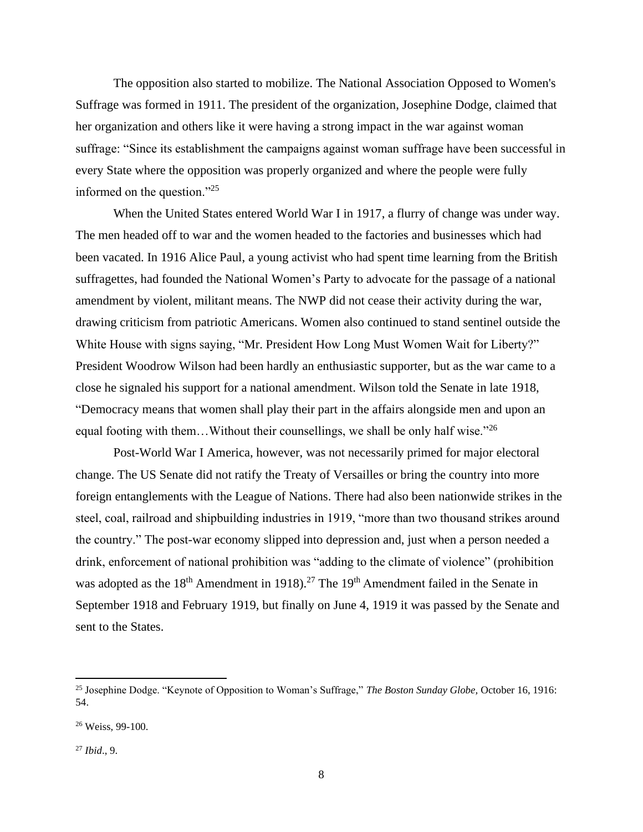The opposition also started to mobilize. The National Association Opposed to Women's Suffrage was formed in 1911. The president of the organization, Josephine Dodge, claimed that her organization and others like it were having a strong impact in the war against woman suffrage: "Since its establishment the campaigns against woman suffrage have been successful in every State where the opposition was properly organized and where the people were fully informed on the question."<sup>25</sup>

When the United States entered World War I in 1917, a flurry of change was under way. The men headed off to war and the women headed to the factories and businesses which had been vacated. In 1916 Alice Paul, a young activist who had spent time learning from the British suffragettes, had founded the National Women's Party to advocate for the passage of a national amendment by violent, militant means. The NWP did not cease their activity during the war, drawing criticism from patriotic Americans. Women also continued to stand sentinel outside the White House with signs saying, "Mr. President How Long Must Women Wait for Liberty?" President Woodrow Wilson had been hardly an enthusiastic supporter, but as the war came to a close he signaled his support for a national amendment. Wilson told the Senate in late 1918, "Democracy means that women shall play their part in the affairs alongside men and upon an equal footing with them...Without their counsellings, we shall be only half wise."<sup>26</sup>

Post-World War I America, however, was not necessarily primed for major electoral change. The US Senate did not ratify the Treaty of Versailles or bring the country into more foreign entanglements with the League of Nations. There had also been nationwide strikes in the steel, coal, railroad and shipbuilding industries in 1919, "more than two thousand strikes around the country." The post-war economy slipped into depression and, just when a person needed a drink, enforcement of national prohibition was "adding to the climate of violence" (prohibition was adopted as the  $18<sup>th</sup>$  Amendment in 1918).<sup>27</sup> The 19<sup>th</sup> Amendment failed in the Senate in September 1918 and February 1919, but finally on June 4, 1919 it was passed by the Senate and sent to the States.

<sup>25</sup> Josephine Dodge. "Keynote of Opposition to Woman's Suffrage," *The Boston Sunday Globe,* October 16, 1916: 54.

<sup>26</sup> Weiss, 99-100.

<sup>27</sup> *Ibid*., 9.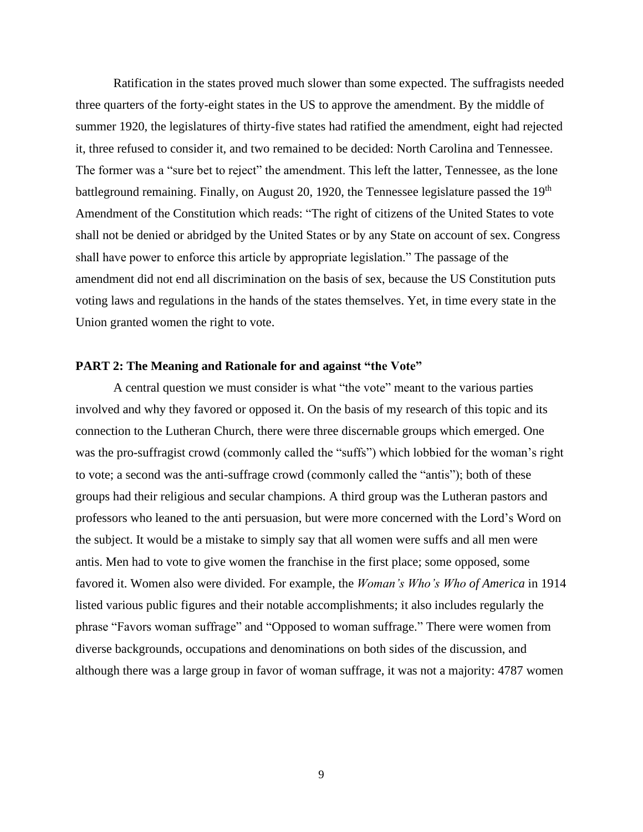Ratification in the states proved much slower than some expected. The suffragists needed three quarters of the forty-eight states in the US to approve the amendment. By the middle of summer 1920, the legislatures of thirty-five states had ratified the amendment, eight had rejected it, three refused to consider it, and two remained to be decided: North Carolina and Tennessee. The former was a "sure bet to reject" the amendment. This left the latter, Tennessee, as the lone battleground remaining. Finally, on August 20, 1920, the Tennessee legislature passed the 19<sup>th</sup> Amendment of the Constitution which reads: "The right of citizens of the United States to vote shall not be denied or abridged by the United States or by any State on account of sex. Congress shall have power to enforce this article by appropriate legislation." The passage of the amendment did not end all discrimination on the basis of sex, because the US Constitution puts voting laws and regulations in the hands of the states themselves. Yet, in time every state in the Union granted women the right to vote.

### **PART 2: The Meaning and Rationale for and against "the Vote"**

A central question we must consider is what "the vote" meant to the various parties involved and why they favored or opposed it. On the basis of my research of this topic and its connection to the Lutheran Church, there were three discernable groups which emerged. One was the pro-suffragist crowd (commonly called the "suffs") which lobbied for the woman's right to vote; a second was the anti-suffrage crowd (commonly called the "antis"); both of these groups had their religious and secular champions. A third group was the Lutheran pastors and professors who leaned to the anti persuasion, but were more concerned with the Lord's Word on the subject. It would be a mistake to simply say that all women were suffs and all men were antis. Men had to vote to give women the franchise in the first place; some opposed, some favored it. Women also were divided. For example, the *Woman's Who's Who of America* in 1914 listed various public figures and their notable accomplishments; it also includes regularly the phrase "Favors woman suffrage" and "Opposed to woman suffrage." There were women from diverse backgrounds, occupations and denominations on both sides of the discussion, and although there was a large group in favor of woman suffrage, it was not a majority: 4787 women

9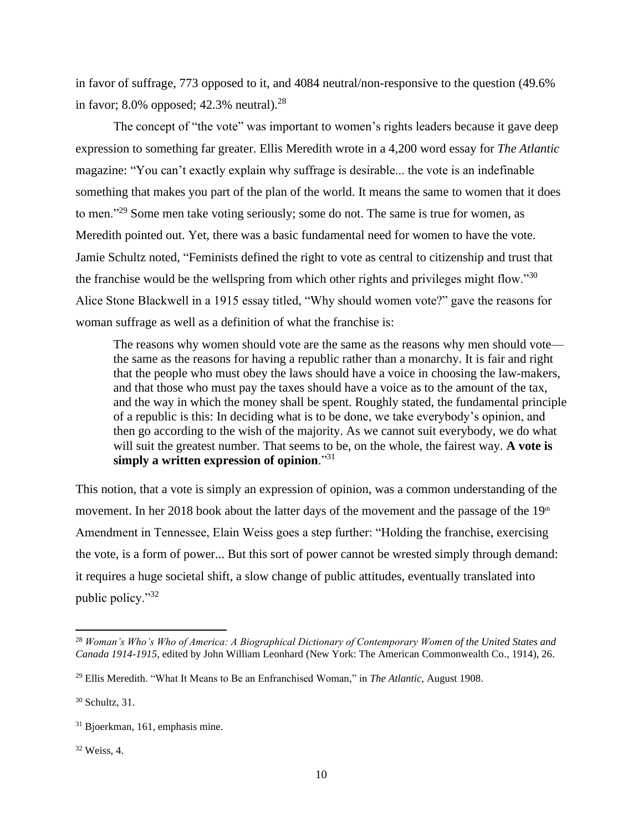in favor of suffrage, 773 opposed to it, and 4084 neutral/non-responsive to the question (49.6% in favor; 8.0% opposed; 42.3% neutral). $^{28}$ 

The concept of "the vote" was important to women's rights leaders because it gave deep expression to something far greater. Ellis Meredith wrote in a 4,200 word essay for *The Atlantic*  magazine: "You can't exactly explain why suffrage is desirable... the vote is an indefinable something that makes you part of the plan of the world. It means the same to women that it does to men."<sup>29</sup> Some men take voting seriously; some do not. The same is true for women, as Meredith pointed out. Yet, there was a basic fundamental need for women to have the vote. Jamie Schultz noted, "Feminists defined the right to vote as central to citizenship and trust that the franchise would be the wellspring from which other rights and privileges might flow."<sup>30</sup> Alice Stone Blackwell in a 1915 essay titled, "Why should women vote?" gave the reasons for woman suffrage as well as a definition of what the franchise is:

The reasons why women should vote are the same as the reasons why men should vote the same as the reasons for having a republic rather than a monarchy. It is fair and right that the people who must obey the laws should have a voice in choosing the law-makers, and that those who must pay the taxes should have a voice as to the amount of the tax, and the way in which the money shall be spent. Roughly stated, the fundamental principle of a republic is this: In deciding what is to be done, we take everybody's opinion, and then go according to the wish of the majority. As we cannot suit everybody, we do what will suit the greatest number. That seems to be, on the whole, the fairest way. **A vote is simply a written expression of opinion**."<sup>31</sup>

This notion, that a vote is simply an expression of opinion, was a common understanding of the movement. In her 2018 book about the latter days of the movement and the passage of the  $19<sup>th</sup>$ Amendment in Tennessee, Elain Weiss goes a step further: "Holding the franchise, exercising the vote, is a form of power... But this sort of power cannot be wrested simply through demand: it requires a huge societal shift, a slow change of public attitudes, eventually translated into public policy."<sup>32</sup>

<sup>32</sup> Weiss, 4.

<sup>28</sup> *Woman's Who's Who of America: A Biographical Dictionary of Contemporary Women of the United States and Canada 1914-1915,* edited by John William Leonhard (New York: The American Commonwealth Co., 1914), 26.

<sup>29</sup> Ellis Meredith. "What It Means to Be an Enfranchised Woman," in *The Atlantic,* August 1908.

<sup>30</sup> Schultz, 31.

<sup>31</sup> Bjoerkman, 161, emphasis mine.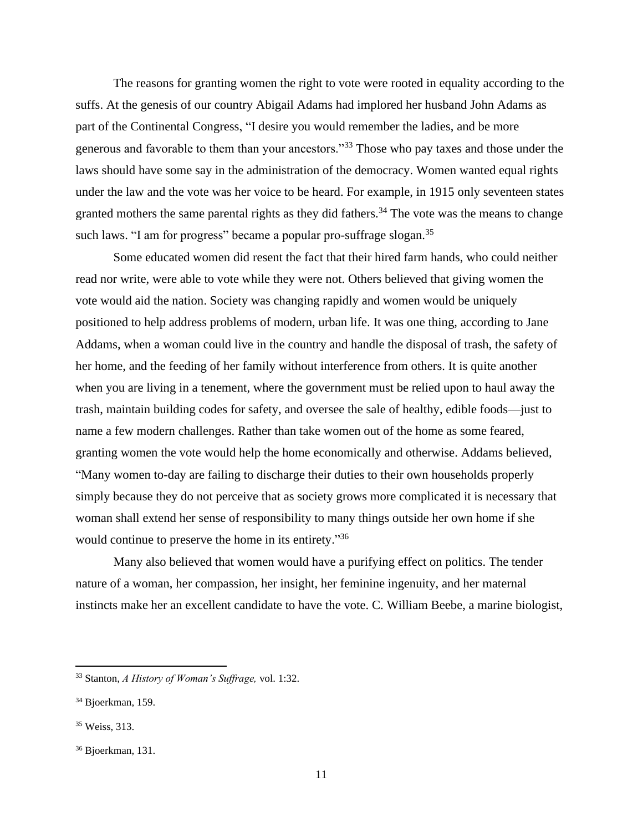The reasons for granting women the right to vote were rooted in equality according to the suffs. At the genesis of our country Abigail Adams had implored her husband John Adams as part of the Continental Congress, "I desire you would remember the ladies, and be more generous and favorable to them than your ancestors."<sup>33</sup> Those who pay taxes and those under the laws should have some say in the administration of the democracy. Women wanted equal rights under the law and the vote was her voice to be heard. For example, in 1915 only seventeen states granted mothers the same parental rights as they did fathers.<sup>34</sup> The vote was the means to change such laws. "I am for progress" became a popular pro-suffrage slogan.<sup>35</sup>

Some educated women did resent the fact that their hired farm hands, who could neither read nor write, were able to vote while they were not. Others believed that giving women the vote would aid the nation. Society was changing rapidly and women would be uniquely positioned to help address problems of modern, urban life. It was one thing, according to Jane Addams, when a woman could live in the country and handle the disposal of trash, the safety of her home, and the feeding of her family without interference from others. It is quite another when you are living in a tenement, where the government must be relied upon to haul away the trash, maintain building codes for safety, and oversee the sale of healthy, edible foods—just to name a few modern challenges. Rather than take women out of the home as some feared, granting women the vote would help the home economically and otherwise. Addams believed, "Many women to-day are failing to discharge their duties to their own households properly simply because they do not perceive that as society grows more complicated it is necessary that woman shall extend her sense of responsibility to many things outside her own home if she would continue to preserve the home in its entirety."36

Many also believed that women would have a purifying effect on politics. The tender nature of a woman, her compassion, her insight, her feminine ingenuity, and her maternal instincts make her an excellent candidate to have the vote. C. William Beebe, a marine biologist,

<sup>33</sup> Stanton, *A History of Woman's Suffrage,* vol. 1:32.

<sup>&</sup>lt;sup>34</sup> Bjoerkman, 159.

<sup>35</sup> Weiss, 313.

<sup>36</sup> Bjoerkman, 131.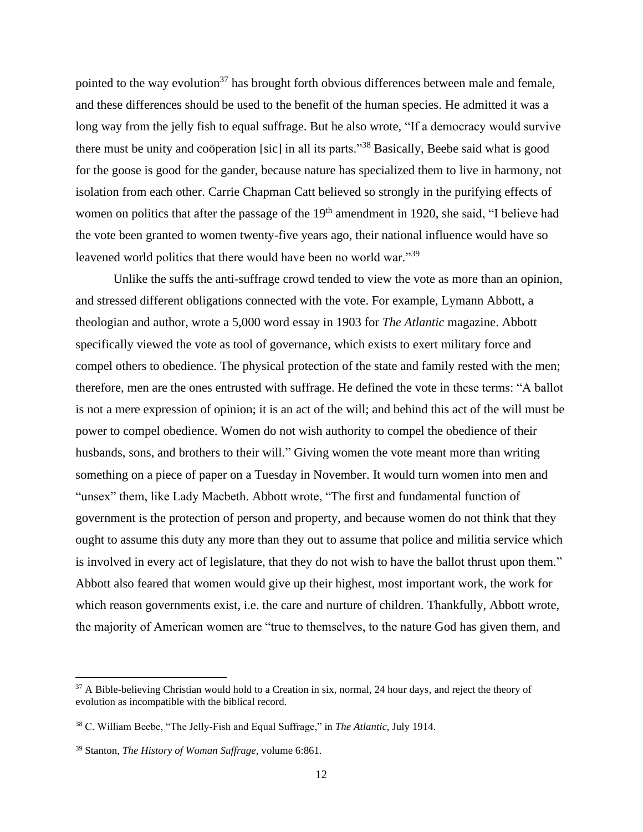pointed to the way evolution<sup>37</sup> has brought forth obvious differences between male and female, and these differences should be used to the benefit of the human species. He admitted it was a long way from the jelly fish to equal suffrage. But he also wrote, "If a democracy would survive there must be unity and coöperation [sic] in all its parts."<sup>38</sup> Basically, Beebe said what is good for the goose is good for the gander, because nature has specialized them to live in harmony, not isolation from each other. Carrie Chapman Catt believed so strongly in the purifying effects of women on politics that after the passage of the 19<sup>th</sup> amendment in 1920, she said, "I believe had the vote been granted to women twenty-five years ago, their national influence would have so leavened world politics that there would have been no world war."<sup>39</sup>

Unlike the suffs the anti-suffrage crowd tended to view the vote as more than an opinion, and stressed different obligations connected with the vote. For example, Lymann Abbott, a theologian and author, wrote a 5,000 word essay in 1903 for *The Atlantic* magazine. Abbott specifically viewed the vote as tool of governance, which exists to exert military force and compel others to obedience. The physical protection of the state and family rested with the men; therefore, men are the ones entrusted with suffrage. He defined the vote in these terms: "A ballot is not a mere expression of opinion; it is an act of the will; and behind this act of the will must be power to compel obedience. Women do not wish authority to compel the obedience of their husbands, sons, and brothers to their will." Giving women the vote meant more than writing something on a piece of paper on a Tuesday in November. It would turn women into men and "unsex" them, like Lady Macbeth. Abbott wrote, "The first and fundamental function of government is the protection of person and property, and because women do not think that they ought to assume this duty any more than they out to assume that police and militia service which is involved in every act of legislature, that they do not wish to have the ballot thrust upon them." Abbott also feared that women would give up their highest, most important work, the work for which reason governments exist, i.e. the care and nurture of children. Thankfully, Abbott wrote, the majority of American women are "true to themselves, to the nature God has given them, and

<sup>&</sup>lt;sup>37</sup> A Bible-believing Christian would hold to a Creation in six, normal, 24 hour days, and reject the theory of evolution as incompatible with the biblical record.

<sup>38</sup> C. William Beebe, "The Jelly-Fish and Equal Suffrage," in *The Atlantic,* July 1914.

<sup>39</sup> Stanton, *The History of Woman Suffrage,* volume 6:861*.*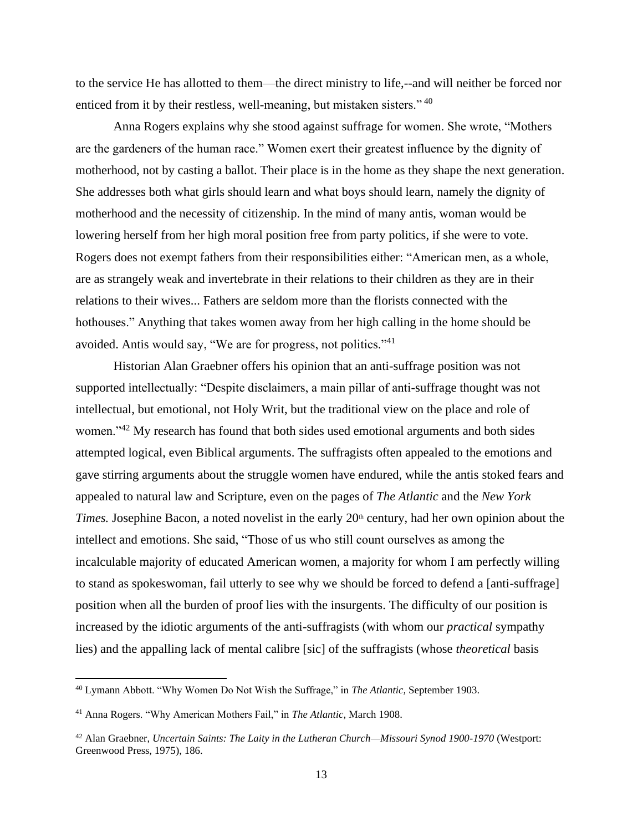to the service He has allotted to them—the direct ministry to life,--and will neither be forced nor enticed from it by their restless, well-meaning, but mistaken sisters."<sup>40</sup>

Anna Rogers explains why she stood against suffrage for women. She wrote, "Mothers are the gardeners of the human race." Women exert their greatest influence by the dignity of motherhood, not by casting a ballot. Their place is in the home as they shape the next generation. She addresses both what girls should learn and what boys should learn, namely the dignity of motherhood and the necessity of citizenship. In the mind of many antis, woman would be lowering herself from her high moral position free from party politics, if she were to vote. Rogers does not exempt fathers from their responsibilities either: "American men, as a whole, are as strangely weak and invertebrate in their relations to their children as they are in their relations to their wives... Fathers are seldom more than the florists connected with the hothouses." Anything that takes women away from her high calling in the home should be avoided. Antis would say, "We are for progress, not politics."<sup>41</sup>

Historian Alan Graebner offers his opinion that an anti-suffrage position was not supported intellectually: "Despite disclaimers, a main pillar of anti-suffrage thought was not intellectual, but emotional, not Holy Writ, but the traditional view on the place and role of women."<sup>42</sup> My research has found that both sides used emotional arguments and both sides attempted logical, even Biblical arguments. The suffragists often appealed to the emotions and gave stirring arguments about the struggle women have endured, while the antis stoked fears and appealed to natural law and Scripture, even on the pages of *The Atlantic* and the *New York Times.* Josephine Bacon, a noted novelist in the early 20<sup>th</sup> century, had her own opinion about the intellect and emotions. She said, "Those of us who still count ourselves as among the incalculable majority of educated American women, a majority for whom I am perfectly willing to stand as spokeswoman, fail utterly to see why we should be forced to defend a [anti-suffrage] position when all the burden of proof lies with the insurgents. The difficulty of our position is increased by the idiotic arguments of the anti-suffragists (with whom our *practical* sympathy lies) and the appalling lack of mental calibre [sic] of the suffragists (whose *theoretical* basis

<sup>40</sup> Lymann Abbott. "Why Women Do Not Wish the Suffrage," in *The Atlantic,* September 1903.

<sup>41</sup> Anna Rogers. "Why American Mothers Fail," in *The Atlantic,* March 1908.

<sup>42</sup> Alan Graebner, *Uncertain Saints: The Laity in the Lutheran Church—Missouri Synod 1900-1970* (Westport: Greenwood Press, 1975), 186.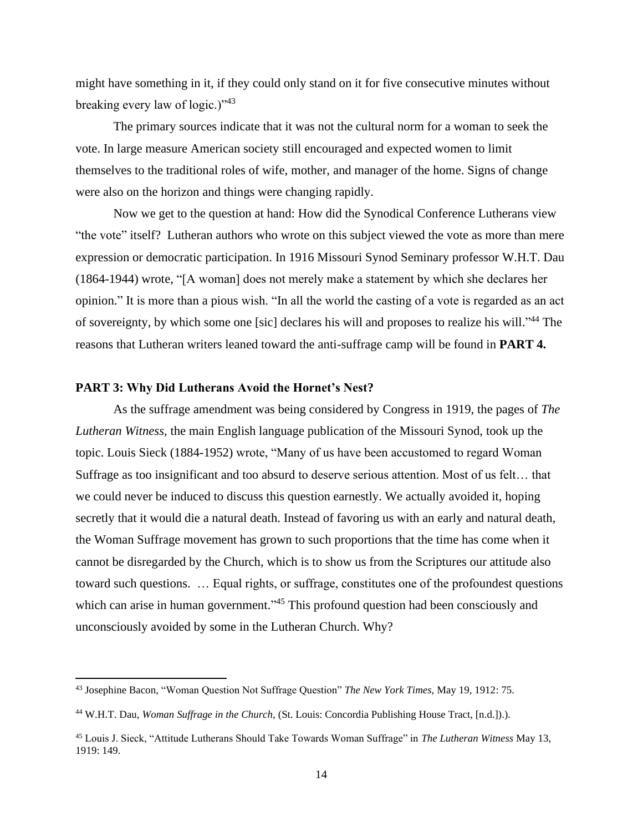might have something in it, if they could only stand on it for five consecutive minutes without breaking every law of logic.)" $43$ 

The primary sources indicate that it was not the cultural norm for a woman to seek the vote. In large measure American society still encouraged and expected women to limit themselves to the traditional roles of wife, mother, and manager of the home. Signs of change were also on the horizon and things were changing rapidly.

Now we get to the question at hand: How did the Synodical Conference Lutherans view "the vote" itself? Lutheran authors who wrote on this subject viewed the vote as more than mere expression or democratic participation. In 1916 Missouri Synod Seminary professor W.H.T. Dau (1864-1944) wrote, "[A woman] does not merely make a statement by which she declares her opinion." It is more than a pious wish. "In all the world the casting of a vote is regarded as an act of sovereignty, by which some one [sic] declares his will and proposes to realize his will."<sup>44</sup> The reasons that Lutheran writers leaned toward the anti-suffrage camp will be found in **PART 4.**

### **PART 3: Why Did Lutherans Avoid the Hornet's Nest?**

As the suffrage amendment was being considered by Congress in 1919, the pages of *The Lutheran Witness,* the main English language publication of the Missouri Synod, took up the topic. Louis Sieck (1884-1952) wrote, "Many of us have been accustomed to regard Woman Suffrage as too insignificant and too absurd to deserve serious attention. Most of us felt… that we could never be induced to discuss this question earnestly. We actually avoided it, hoping secretly that it would die a natural death. Instead of favoring us with an early and natural death, the Woman Suffrage movement has grown to such proportions that the time has come when it cannot be disregarded by the Church, which is to show us from the Scriptures our attitude also toward such questions. … Equal rights, or suffrage, constitutes one of the profoundest questions which can arise in human government."<sup>45</sup> This profound question had been consciously and unconsciously avoided by some in the Lutheran Church. Why?

<sup>43</sup> Josephine Bacon, "Woman Question Not Suffrage Question" *The New York Times,* May 19, 1912: 75.

<sup>44</sup> W.H.T. Dau, *Woman Suffrage in the Church,* (St. Louis: Concordia Publishing House Tract, [n.d.]).).

<sup>45</sup> Louis J. Sieck, "Attitude Lutherans Should Take Towards Woman Suffrage" in *The Lutheran Witness* May 13, 1919: 149.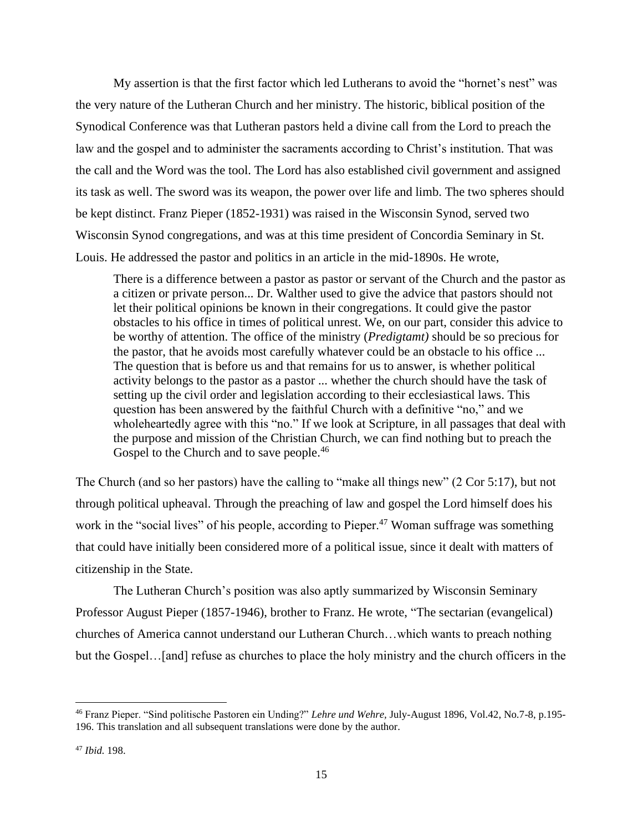My assertion is that the first factor which led Lutherans to avoid the "hornet's nest" was the very nature of the Lutheran Church and her ministry. The historic, biblical position of the Synodical Conference was that Lutheran pastors held a divine call from the Lord to preach the law and the gospel and to administer the sacraments according to Christ's institution. That was the call and the Word was the tool. The Lord has also established civil government and assigned its task as well. The sword was its weapon, the power over life and limb. The two spheres should be kept distinct. Franz Pieper (1852-1931) was raised in the Wisconsin Synod, served two Wisconsin Synod congregations, and was at this time president of Concordia Seminary in St. Louis. He addressed the pastor and politics in an article in the mid-1890s. He wrote,

There is a difference between a pastor as pastor or servant of the Church and the pastor as a citizen or private person... Dr. Walther used to give the advice that pastors should not let their political opinions be known in their congregations. It could give the pastor obstacles to his office in times of political unrest. We, on our part, consider this advice to be worthy of attention. The office of the ministry (*Predigtamt)* should be so precious for the pastor, that he avoids most carefully whatever could be an obstacle to his office ... The question that is before us and that remains for us to answer, is whether political activity belongs to the pastor as a pastor ... whether the church should have the task of setting up the civil order and legislation according to their ecclesiastical laws. This question has been answered by the faithful Church with a definitive "no," and we wholeheartedly agree with this "no." If we look at Scripture, in all passages that deal with the purpose and mission of the Christian Church, we can find nothing but to preach the Gospel to the Church and to save people.<sup>46</sup>

The Church (and so her pastors) have the calling to "make all things new" (2 Cor 5:17), but not through political upheaval. Through the preaching of law and gospel the Lord himself does his work in the "social lives" of his people, according to Pieper.<sup>47</sup> Woman suffrage was something that could have initially been considered more of a political issue, since it dealt with matters of citizenship in the State.

The Lutheran Church's position was also aptly summarized by Wisconsin Seminary Professor August Pieper (1857-1946), brother to Franz. He wrote, "The sectarian (evangelical) churches of America cannot understand our Lutheran Church…which wants to preach nothing but the Gospel…[and] refuse as churches to place the holy ministry and the church officers in the

<sup>46</sup> Franz Pieper. "Sind politische Pastoren ein Unding?" *Lehre und Wehre,* July-August 1896, Vol.42, No.7-8, p.195- 196. This translation and all subsequent translations were done by the author.

<sup>47</sup> *Ibid.* 198.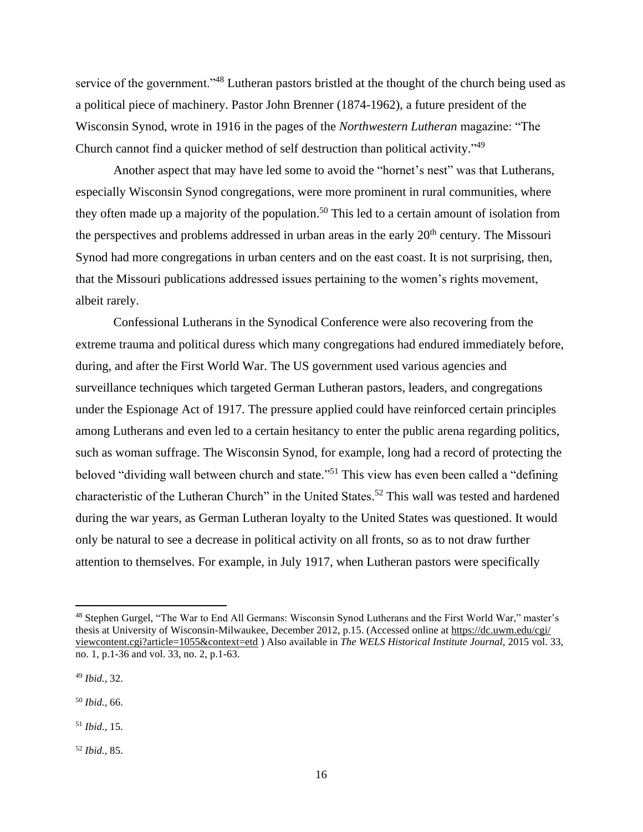service of the government."<sup>48</sup> Lutheran pastors bristled at the thought of the church being used as a political piece of machinery. Pastor John Brenner (1874-1962), a future president of the Wisconsin Synod, wrote in 1916 in the pages of the *Northwestern Lutheran* magazine: "The Church cannot find a quicker method of self destruction than political activity."<sup>49</sup>

Another aspect that may have led some to avoid the "hornet's nest" was that Lutherans, especially Wisconsin Synod congregations, were more prominent in rural communities, where they often made up a majority of the population. <sup>50</sup> This led to a certain amount of isolation from the perspectives and problems addressed in urban areas in the early  $20<sup>th</sup>$  century. The Missouri Synod had more congregations in urban centers and on the east coast. It is not surprising, then, that the Missouri publications addressed issues pertaining to the women's rights movement, albeit rarely.

Confessional Lutherans in the Synodical Conference were also recovering from the extreme trauma and political duress which many congregations had endured immediately before, during, and after the First World War. The US government used various agencies and surveillance techniques which targeted German Lutheran pastors, leaders, and congregations under the Espionage Act of 1917. The pressure applied could have reinforced certain principles among Lutherans and even led to a certain hesitancy to enter the public arena regarding politics, such as woman suffrage. The Wisconsin Synod, for example, long had a record of protecting the beloved "dividing wall between church and state."<sup>51</sup> This view has even been called a "defining characteristic of the Lutheran Church" in the United States.<sup>52</sup> This wall was tested and hardened during the war years, as German Lutheran loyalty to the United States was questioned. It would only be natural to see a decrease in political activity on all fronts, so as to not draw further attention to themselves. For example, in July 1917, when Lutheran pastors were specifically

<sup>52</sup> *Ibid.,* 85.

<sup>48</sup> Stephen Gurgel, "The War to End All Germans: Wisconsin Synod Lutherans and the First World War," master's thesis at University of Wisconsin-Milwaukee, December 2012, p.15. (Accessed online at [https://dc.uwm.edu/cgi/](https://dc.uwm.edu/cgi/%20viewcontent.cgi?article=1055&context=etd)  [viewcontent.cgi?article=1055&context=etd](https://dc.uwm.edu/cgi/%20viewcontent.cgi?article=1055&context=etd) ) Also available in *The WELS Historical Institute Journal,* 2015 vol. 33, no. 1, p.1-36 and vol. 33, no. 2, p.1-63.

<sup>49</sup> *Ibid.,* 32.

<sup>50</sup> *Ibid.,* 66.

<sup>51</sup> *Ibid.,* 15.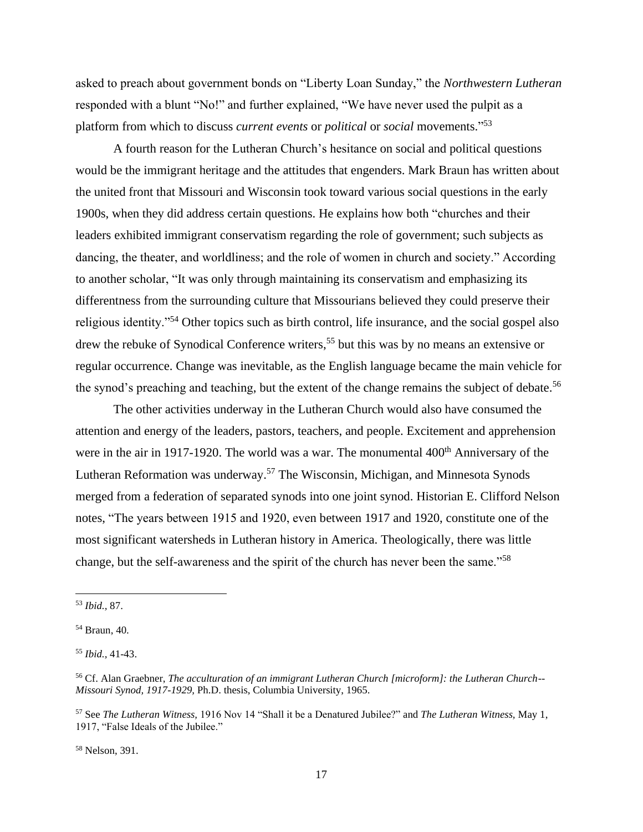asked to preach about government bonds on "Liberty Loan Sunday," the *Northwestern Lutheran*  responded with a blunt "No!" and further explained, "We have never used the pulpit as a platform from which to discuss *current events* or *political* or *social* movements." 53

A fourth reason for the Lutheran Church's hesitance on social and political questions would be the immigrant heritage and the attitudes that engenders. Mark Braun has written about the united front that Missouri and Wisconsin took toward various social questions in the early 1900s, when they did address certain questions. He explains how both "churches and their leaders exhibited immigrant conservatism regarding the role of government; such subjects as dancing, the theater, and worldliness; and the role of women in church and society." According to another scholar, "It was only through maintaining its conservatism and emphasizing its differentness from the surrounding culture that Missourians believed they could preserve their religious identity."<sup>54</sup> Other topics such as birth control, life insurance, and the social gospel also drew the rebuke of Synodical Conference writers, <sup>55</sup> but this was by no means an extensive or regular occurrence. Change was inevitable, as the English language became the main vehicle for the synod's preaching and teaching, but the extent of the change remains the subject of debate.<sup>56</sup>

The other activities underway in the Lutheran Church would also have consumed the attention and energy of the leaders, pastors, teachers, and people. Excitement and apprehension were in the air in 1917-1920. The world was a war. The monumental  $400<sup>th</sup>$  Anniversary of the Lutheran Reformation was underway.<sup>57</sup> The Wisconsin, Michigan, and Minnesota Synods merged from a federation of separated synods into one joint synod. Historian E. Clifford Nelson notes, "The years between 1915 and 1920, even between 1917 and 1920, constitute one of the most significant watersheds in Lutheran history in America. Theologically, there was little change, but the self-awareness and the spirit of the church has never been the same."<sup>58</sup>

<sup>58</sup> Nelson, 391.

<sup>53</sup> *Ibid.,* 87.

<sup>54</sup> Braun, 40.

<sup>55</sup> *Ibid.,* 41-43.

<sup>56</sup> Cf. Alan Graebner, *The acculturation of an immigrant Lutheran Church [microform]: the Lutheran Church-- Missouri Synod, 1917-1929,* Ph.D. thesis, Columbia University, 1965.

<sup>57</sup> See *The Lutheran Witness,* 1916 Nov 14 "Shall it be a Denatured Jubilee?" and *The Lutheran Witness,* May 1, 1917, "False Ideals of the Jubilee."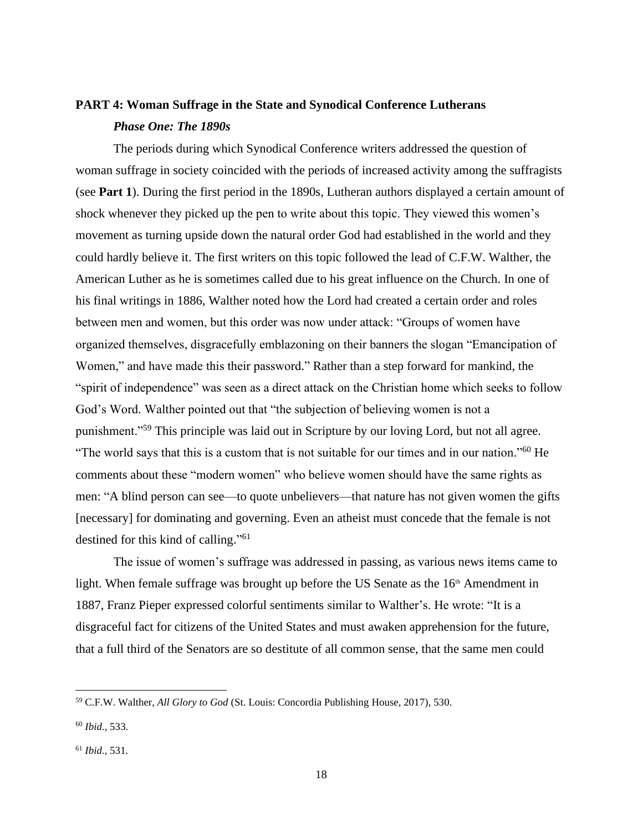## **PART 4: Woman Suffrage in the State and Synodical Conference Lutherans** *Phase One: The 1890s*

The periods during which Synodical Conference writers addressed the question of woman suffrage in society coincided with the periods of increased activity among the suffragists (see **Part 1**). During the first period in the 1890s, Lutheran authors displayed a certain amount of shock whenever they picked up the pen to write about this topic. They viewed this women's movement as turning upside down the natural order God had established in the world and they could hardly believe it. The first writers on this topic followed the lead of C.F.W. Walther, the American Luther as he is sometimes called due to his great influence on the Church. In one of his final writings in 1886, Walther noted how the Lord had created a certain order and roles between men and women, but this order was now under attack: "Groups of women have organized themselves, disgracefully emblazoning on their banners the slogan "Emancipation of Women," and have made this their password." Rather than a step forward for mankind, the "spirit of independence" was seen as a direct attack on the Christian home which seeks to follow God's Word. Walther pointed out that "the subjection of believing women is not a punishment."<sup>59</sup> This principle was laid out in Scripture by our loving Lord, but not all agree. "The world says that this is a custom that is not suitable for our times and in our nation."<sup>60</sup> He comments about these "modern women" who believe women should have the same rights as men: "A blind person can see—to quote unbelievers—that nature has not given women the gifts [necessary] for dominating and governing. Even an atheist must concede that the female is not destined for this kind of calling." 61

The issue of women's suffrage was addressed in passing, as various news items came to light. When female suffrage was brought up before the US Senate as the 16<sup>th</sup> Amendment in 1887, Franz Pieper expressed colorful sentiments similar to Walther's. He wrote: "It is a disgraceful fact for citizens of the United States and must awaken apprehension for the future, that a full third of the Senators are so destitute of all common sense, that the same men could

<sup>59</sup> C.F.W. Walther, *All Glory to God* (St. Louis: Concordia Publishing House, 2017)*,* 530.

<sup>60</sup> *Ibid.,* 533.

<sup>61</sup> *Ibid.,* 531.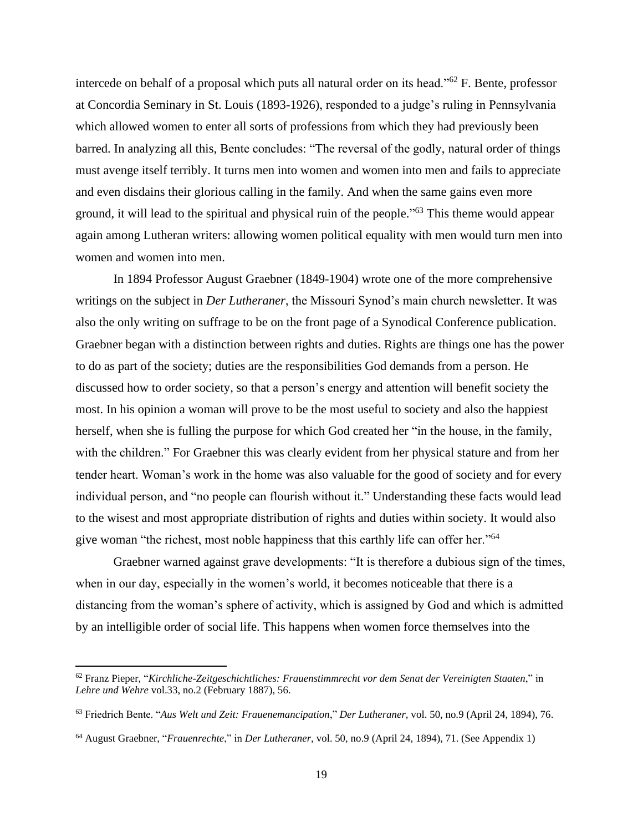intercede on behalf of a proposal which puts all natural order on its head."<sup>62</sup> F. Bente, professor at Concordia Seminary in St. Louis (1893-1926), responded to a judge's ruling in Pennsylvania which allowed women to enter all sorts of professions from which they had previously been barred. In analyzing all this, Bente concludes: "The reversal of the godly, natural order of things must avenge itself terribly. It turns men into women and women into men and fails to appreciate and even disdains their glorious calling in the family. And when the same gains even more ground, it will lead to the spiritual and physical ruin of the people."<sup>63</sup> This theme would appear again among Lutheran writers: allowing women political equality with men would turn men into women and women into men.

In 1894 Professor August Graebner (1849-1904) wrote one of the more comprehensive writings on the subject in *Der Lutheraner*, the Missouri Synod's main church newsletter. It was also the only writing on suffrage to be on the front page of a Synodical Conference publication. Graebner began with a distinction between rights and duties. Rights are things one has the power to do as part of the society; duties are the responsibilities God demands from a person. He discussed how to order society, so that a person's energy and attention will benefit society the most. In his opinion a woman will prove to be the most useful to society and also the happiest herself, when she is fulling the purpose for which God created her "in the house, in the family, with the children." For Graebner this was clearly evident from her physical stature and from her tender heart. Woman's work in the home was also valuable for the good of society and for every individual person, and "no people can flourish without it." Understanding these facts would lead to the wisest and most appropriate distribution of rights and duties within society. It would also give woman "the richest, most noble happiness that this earthly life can offer her."<sup>64</sup>

Graebner warned against grave developments: "It is therefore a dubious sign of the times, when in our day, especially in the women's world, it becomes noticeable that there is a distancing from the woman's sphere of activity, which is assigned by God and which is admitted by an intelligible order of social life. This happens when women force themselves into the

<sup>62</sup> Franz Pieper, "*Kirchliche-Zeitgeschichtliches: Frauenstimmrecht vor dem Senat der Vereinigten Staaten*," in *Lehre und Wehre* vol.33, no.2 (February 1887), 56.

<sup>63</sup> Friedrich Bente. "*Aus Welt und Zeit: Frauenemancipation*," *Der Lutheraner,* vol. 50, no.9 (April 24, 1894), 76.

<sup>64</sup> August Graebner, "*Frauenrechte*," in *Der Lutheraner,* vol. 50, no.9 (April 24, 1894), 71. (See Appendix 1)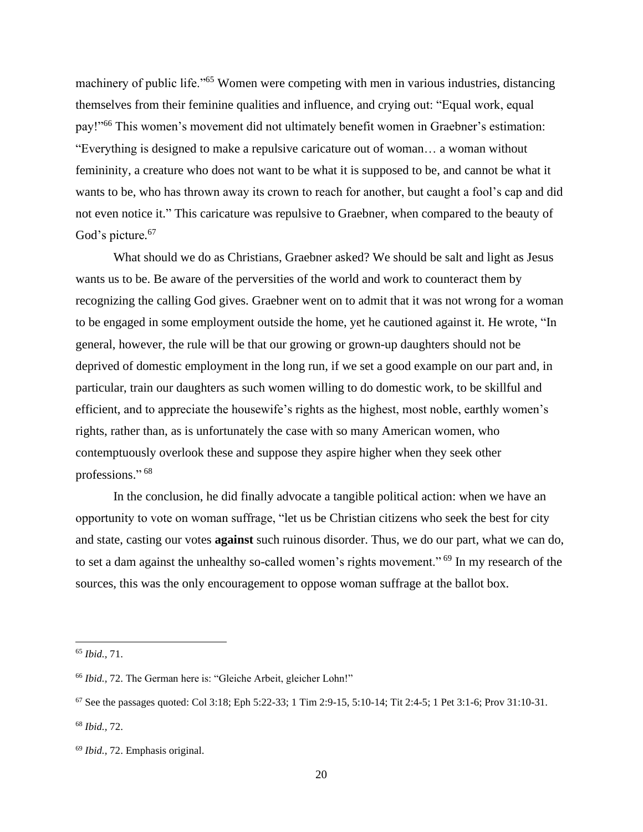machinery of public life."<sup>65</sup> Women were competing with men in various industries, distancing themselves from their feminine qualities and influence, and crying out: "Equal work, equal pay!"<sup>66</sup> This women's movement did not ultimately benefit women in Graebner's estimation: "Everything is designed to make a repulsive caricature out of woman… a woman without femininity, a creature who does not want to be what it is supposed to be, and cannot be what it wants to be, who has thrown away its crown to reach for another, but caught a fool's cap and did not even notice it." This caricature was repulsive to Graebner, when compared to the beauty of God's picture.<sup>67</sup>

What should we do as Christians, Graebner asked? We should be salt and light as Jesus wants us to be. Be aware of the perversities of the world and work to counteract them by recognizing the calling God gives. Graebner went on to admit that it was not wrong for a woman to be engaged in some employment outside the home, yet he cautioned against it. He wrote, "In general, however, the rule will be that our growing or grown-up daughters should not be deprived of domestic employment in the long run, if we set a good example on our part and, in particular, train our daughters as such women willing to do domestic work, to be skillful and efficient, and to appreciate the housewife's rights as the highest, most noble, earthly women's rights, rather than, as is unfortunately the case with so many American women, who contemptuously overlook these and suppose they aspire higher when they seek other professions." 68

In the conclusion, he did finally advocate a tangible political action: when we have an opportunity to vote on woman suffrage, "let us be Christian citizens who seek the best for city and state, casting our votes **against** such ruinous disorder. Thus, we do our part, what we can do, to set a dam against the unhealthy so-called women's rights movement."<sup>69</sup> In my research of the sources, this was the only encouragement to oppose woman suffrage at the ballot box.

<sup>65</sup> *Ibid.,* 71.

<sup>66</sup> *Ibid.,* 72. The German here is: "Gleiche Arbeit, gleicher Lohn!"

<sup>67</sup> See the passages quoted: Col 3:18; Eph 5:22-33; 1 Tim 2:9-15, 5:10-14; Tit 2:4-5; 1 Pet 3:1-6; Prov 31:10-31.

<sup>68</sup> *Ibid.,* 72.

<sup>69</sup> *Ibid.,* 72. Emphasis original.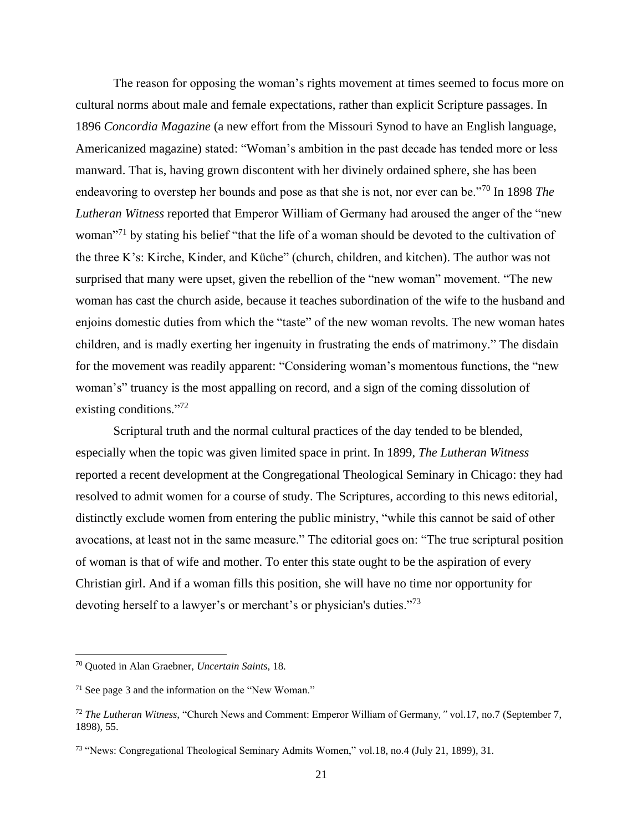The reason for opposing the woman's rights movement at times seemed to focus more on cultural norms about male and female expectations, rather than explicit Scripture passages. In 1896 *Concordia Magazine* (a new effort from the Missouri Synod to have an English language, Americanized magazine) stated: "Woman's ambition in the past decade has tended more or less manward. That is, having grown discontent with her divinely ordained sphere, she has been endeavoring to overstep her bounds and pose as that she is not, nor ever can be."<sup>70</sup> In 1898 *The Lutheran Witness* reported that Emperor William of Germany had aroused the anger of the "new woman<sup>171</sup> by stating his belief "that the life of a woman should be devoted to the cultivation of the three K's: Kirche, Kinder, and Küche" (church, children, and kitchen). The author was not surprised that many were upset, given the rebellion of the "new woman" movement. "The new woman has cast the church aside, because it teaches subordination of the wife to the husband and enjoins domestic duties from which the "taste" of the new woman revolts. The new woman hates children, and is madly exerting her ingenuity in frustrating the ends of matrimony." The disdain for the movement was readily apparent: "Considering woman's momentous functions, the "new woman's" truancy is the most appalling on record, and a sign of the coming dissolution of existing conditions."<sup>72</sup>

Scriptural truth and the normal cultural practices of the day tended to be blended, especially when the topic was given limited space in print. In 1899, *The Lutheran Witness* reported a recent development at the Congregational Theological Seminary in Chicago: they had resolved to admit women for a course of study. The Scriptures, according to this news editorial, distinctly exclude women from entering the public ministry, "while this cannot be said of other avocations, at least not in the same measure." The editorial goes on: "The true scriptural position of woman is that of wife and mother. To enter this state ought to be the aspiration of every Christian girl. And if a woman fills this position, she will have no time nor opportunity for devoting herself to a lawyer's or merchant's or physician's duties."<sup>73</sup>

<sup>70</sup> Quoted in Alan Graebner, *Uncertain Saints,* 18.

<sup>71</sup> See page 3 and the information on the "New Woman."

<sup>72</sup> *The Lutheran Witness,* "Church News and Comment: Emperor William of Germany*,"* vol.17, no.7 (September 7, 1898), 55.

<sup>73</sup> "News: Congregational Theological Seminary Admits Women," vol.18, no.4 (July 21, 1899), 31.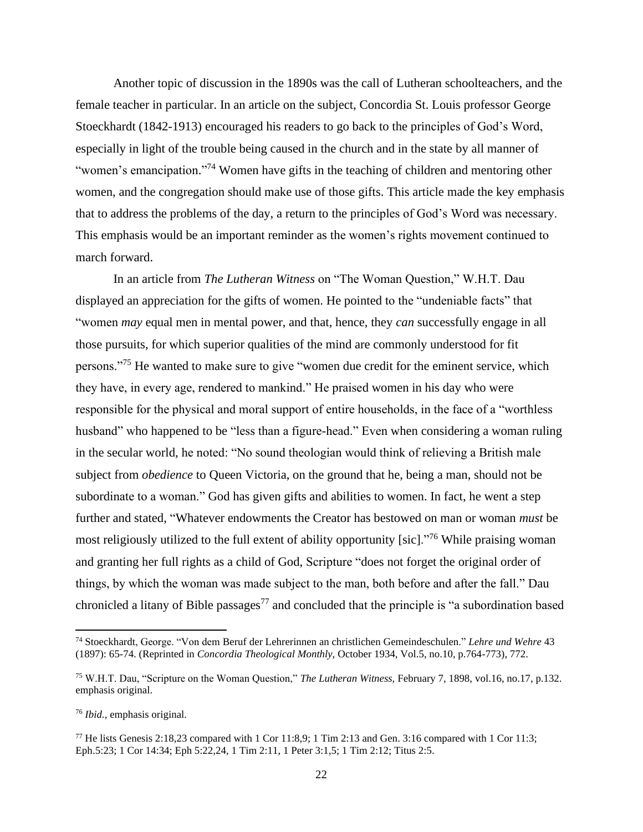Another topic of discussion in the 1890s was the call of Lutheran schoolteachers, and the female teacher in particular. In an article on the subject, Concordia St. Louis professor George Stoeckhardt (1842-1913) encouraged his readers to go back to the principles of God's Word, especially in light of the trouble being caused in the church and in the state by all manner of "women's emancipation."<sup>74</sup> Women have gifts in the teaching of children and mentoring other women, and the congregation should make use of those gifts. This article made the key emphasis that to address the problems of the day, a return to the principles of God's Word was necessary. This emphasis would be an important reminder as the women's rights movement continued to march forward.

In an article from *The Lutheran Witness* on "The Woman Question," W.H.T. Dau displayed an appreciation for the gifts of women. He pointed to the "undeniable facts" that "women *may* equal men in mental power, and that, hence, they *can* successfully engage in all those pursuits, for which superior qualities of the mind are commonly understood for fit persons."<sup>75</sup> He wanted to make sure to give "women due credit for the eminent service, which they have, in every age, rendered to mankind." He praised women in his day who were responsible for the physical and moral support of entire households, in the face of a "worthless husband" who happened to be "less than a figure-head." Even when considering a woman ruling in the secular world, he noted: "No sound theologian would think of relieving a British male subject from *obedience* to Queen Victoria, on the ground that he, being a man, should not be subordinate to a woman." God has given gifts and abilities to women. In fact, he went a step further and stated, "Whatever endowments the Creator has bestowed on man or woman *must* be most religiously utilized to the full extent of ability opportunity [sic]."<sup>76</sup> While praising woman and granting her full rights as a child of God, Scripture "does not forget the original order of things, by which the woman was made subject to the man, both before and after the fall." Dau chronicled a litany of Bible passages<sup>77</sup> and concluded that the principle is "a subordination based

<sup>74</sup> Stoeckhardt, George. "Von dem Beruf der Lehrerinnen an christlichen Gemeindeschulen." *Lehre und Wehre* 43 (1897): 65-74. (Reprinted in *Concordia Theological Monthly,* October 1934, Vol.5, no.10, p.764-773), 772.

<sup>75</sup> W.H.T. Dau, "Scripture on the Woman Question," *The Lutheran Witness,* February 7, 1898, vol.16, no.17, p.132. emphasis original.

<sup>76</sup> *Ibid.,* emphasis original.

<sup>77</sup> He lists Genesis 2:18,23 compared with 1 Cor 11:8,9; 1 Tim 2:13 and Gen. 3:16 compared with 1 Cor 11:3; Eph.5:23; 1 Cor 14:34; Eph 5:22,24, 1 Tim 2:11, 1 Peter 3:1,5; 1 Tim 2:12; Titus 2:5.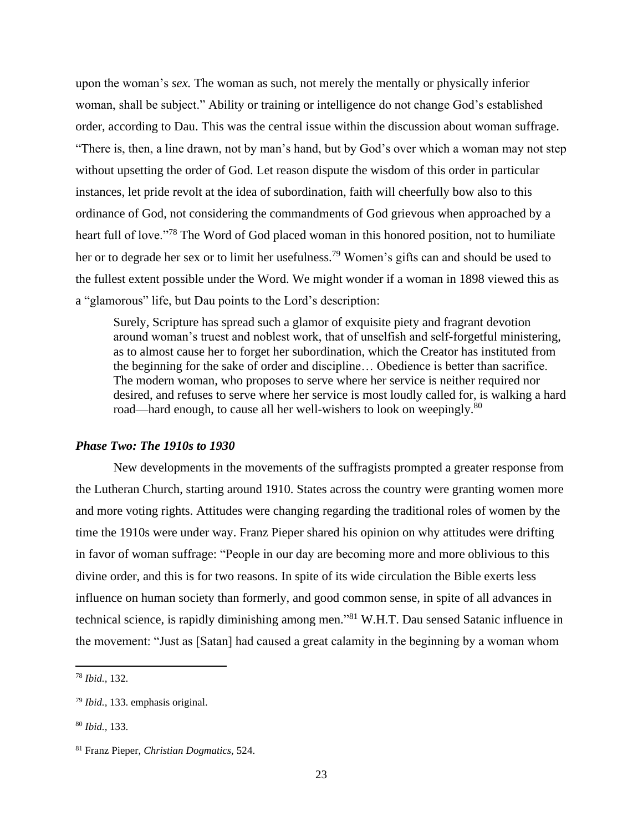upon the woman's *sex.* The woman as such, not merely the mentally or physically inferior woman, shall be subject." Ability or training or intelligence do not change God's established order, according to Dau. This was the central issue within the discussion about woman suffrage. "There is, then, a line drawn, not by man's hand, but by God's over which a woman may not step without upsetting the order of God. Let reason dispute the wisdom of this order in particular instances, let pride revolt at the idea of subordination, faith will cheerfully bow also to this ordinance of God, not considering the commandments of God grievous when approached by a heart full of love."<sup>78</sup> The Word of God placed woman in this honored position, not to humiliate her or to degrade her sex or to limit her usefulness.<sup>79</sup> Women's gifts can and should be used to the fullest extent possible under the Word. We might wonder if a woman in 1898 viewed this as a "glamorous" life, but Dau points to the Lord's description:

Surely, Scripture has spread such a glamor of exquisite piety and fragrant devotion around woman's truest and noblest work, that of unselfish and self-forgetful ministering, as to almost cause her to forget her subordination, which the Creator has instituted from the beginning for the sake of order and discipline… Obedience is better than sacrifice. The modern woman, who proposes to serve where her service is neither required nor desired, and refuses to serve where her service is most loudly called for, is walking a hard road—hard enough, to cause all her well-wishers to look on weepingly.<sup>80</sup>

### *Phase Two: The 1910s to 1930*

New developments in the movements of the suffragists prompted a greater response from the Lutheran Church, starting around 1910. States across the country were granting women more and more voting rights. Attitudes were changing regarding the traditional roles of women by the time the 1910s were under way. Franz Pieper shared his opinion on why attitudes were drifting in favor of woman suffrage: "People in our day are becoming more and more oblivious to this divine order, and this is for two reasons. In spite of its wide circulation the Bible exerts less influence on human society than formerly, and good common sense, in spite of all advances in technical science, is rapidly diminishing among men." <sup>81</sup> W.H.T. Dau sensed Satanic influence in the movement: "Just as [Satan] had caused a great calamity in the beginning by a woman whom

<sup>78</sup> *Ibid.,* 132.

<sup>79</sup> *Ibid.,* 133. emphasis original.

<sup>80</sup> *Ibid.,* 133.

<sup>81</sup> Franz Pieper, *Christian Dogmatics,* 524.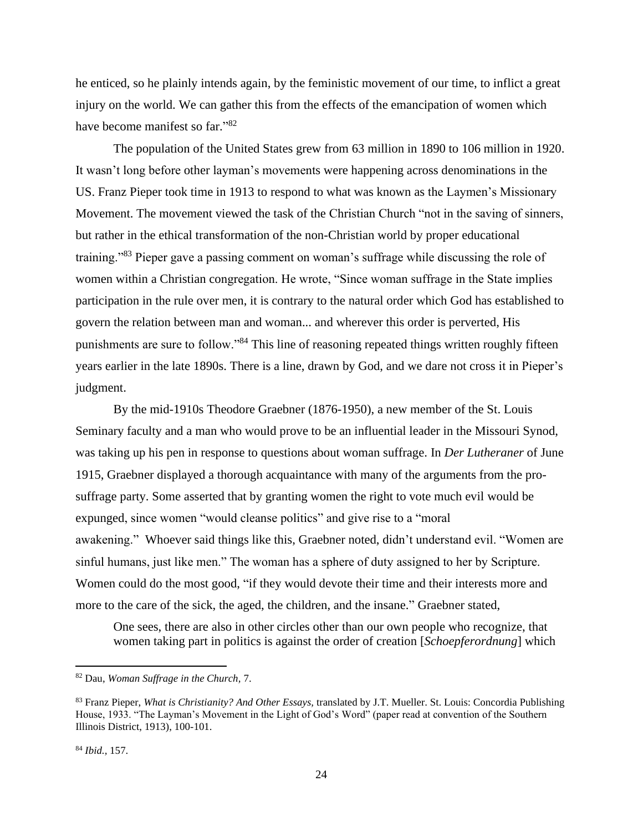he enticed, so he plainly intends again, by the feministic movement of our time, to inflict a great injury on the world. We can gather this from the effects of the emancipation of women which have become manifest so far."<sup>82</sup>

The population of the United States grew from 63 million in 1890 to 106 million in 1920. It wasn't long before other layman's movements were happening across denominations in the US. Franz Pieper took time in 1913 to respond to what was known as the Laymen's Missionary Movement. The movement viewed the task of the Christian Church "not in the saving of sinners, but rather in the ethical transformation of the non-Christian world by proper educational training."<sup>83</sup> Pieper gave a passing comment on woman's suffrage while discussing the role of women within a Christian congregation. He wrote, "Since woman suffrage in the State implies participation in the rule over men, it is contrary to the natural order which God has established to govern the relation between man and woman... and wherever this order is perverted, His punishments are sure to follow."<sup>84</sup> This line of reasoning repeated things written roughly fifteen years earlier in the late 1890s. There is a line, drawn by God, and we dare not cross it in Pieper's judgment.

By the mid-1910s Theodore Graebner (1876-1950), a new member of the St. Louis Seminary faculty and a man who would prove to be an influential leader in the Missouri Synod, was taking up his pen in response to questions about woman suffrage. In *Der Lutheraner* of June 1915, Graebner displayed a thorough acquaintance with many of the arguments from the prosuffrage party. Some asserted that by granting women the right to vote much evil would be expunged, since women "would cleanse politics" and give rise to a "moral awakening." Whoever said things like this, Graebner noted, didn't understand evil. "Women are sinful humans, just like men." The woman has a sphere of duty assigned to her by Scripture. Women could do the most good, "if they would devote their time and their interests more and more to the care of the sick, the aged, the children, and the insane." Graebner stated,

One sees, there are also in other circles other than our own people who recognize, that women taking part in politics is against the order of creation [*Schoepferordnung*] which

<sup>82</sup> Dau, *Woman Suffrage in the Church,* 7.

<sup>83</sup> Franz Pieper, *What is Christianity? And Other Essays,* translated by J.T. Mueller. St. Louis: Concordia Publishing House, 1933. "The Layman's Movement in the Light of God's Word" (paper read at convention of the Southern Illinois District, 1913), 100-101.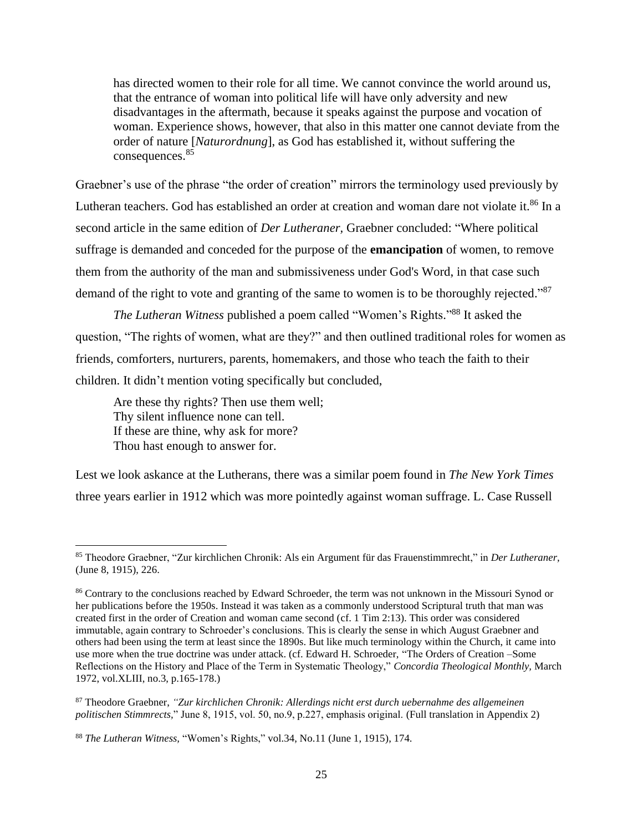has directed women to their role for all time. We cannot convince the world around us, that the entrance of woman into political life will have only adversity and new disadvantages in the aftermath, because it speaks against the purpose and vocation of woman. Experience shows, however, that also in this matter one cannot deviate from the order of nature [*Naturordnung*], as God has established it, without suffering the consequences.<sup>85</sup>

Graebner's use of the phrase "the order of creation" mirrors the terminology used previously by Lutheran teachers. God has established an order at creation and woman dare not violate it.<sup>86</sup> In a second article in the same edition of *Der Lutheraner,* Graebner concluded: "Where political suffrage is demanded and conceded for the purpose of the **emancipation** of women, to remove them from the authority of the man and submissiveness under God's Word, in that case such demand of the right to vote and granting of the same to women is to be thoroughly rejected."<sup>87</sup>

*The Lutheran Witness* published a poem called "Women's Rights." <sup>88</sup> It asked the question, "The rights of women, what are they?" and then outlined traditional roles for women as friends, comforters, nurturers, parents, homemakers, and those who teach the faith to their children. It didn't mention voting specifically but concluded,

Are these thy rights? Then use them well; Thy silent influence none can tell. If these are thine, why ask for more? Thou hast enough to answer for.

Lest we look askance at the Lutherans, there was a similar poem found in *The New York Times*  three years earlier in 1912 which was more pointedly against woman suffrage. L. Case Russell

<sup>85</sup> Theodore Graebner, "Zur kirchlichen Chronik: Als ein Argument für das Frauenstimmrecht," in *Der Lutheraner,*  (June 8, 1915), 226.

<sup>&</sup>lt;sup>86</sup> Contrary to the conclusions reached by Edward Schroeder, the term was not unknown in the Missouri Synod or her publications before the 1950s. Instead it was taken as a commonly understood Scriptural truth that man was created first in the order of Creation and woman came second (cf. 1 Tim 2:13). This order was considered immutable, again contrary to Schroeder's conclusions. This is clearly the sense in which August Graebner and others had been using the term at least since the 1890s. But like much terminology within the Church, it came into use more when the true doctrine was under attack. (cf. Edward H. Schroeder, "The Orders of Creation –Some Reflections on the History and Place of the Term in Systematic Theology," *Concordia Theological Monthly,* March 1972, vol.XLIII, no.3, p.165-178.)

<sup>87</sup> Theodore Graebner, *"Zur kirchlichen Chronik: Allerdings nicht erst durch uebernahme des allgemeinen politischen Stimmrects,*" June 8, 1915, vol. 50, no.9, p.227, emphasis original. (Full translation in Appendix 2)

<sup>88</sup> *The Lutheran Witness,* "Women's Rights," vol.34, No.11 (June 1, 1915), 174.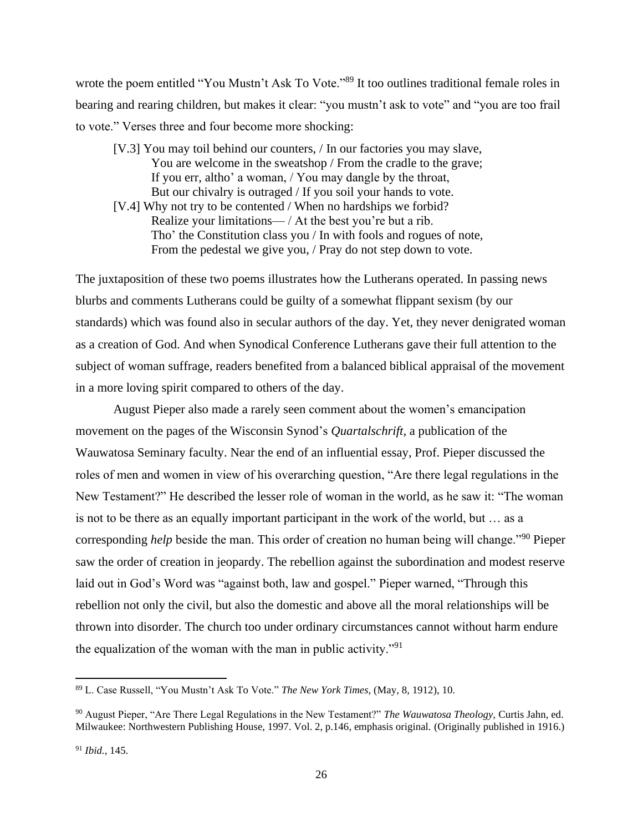wrote the poem entitled "You Mustn't Ask To Vote."<sup>89</sup> It too outlines traditional female roles in bearing and rearing children, but makes it clear: "you mustn't ask to vote" and "you are too frail to vote." Verses three and four become more shocking:

- [V.3] You may toil behind our counters, / In our factories you may slave, You are welcome in the sweatshop / From the cradle to the grave; If you err, altho' a woman, / You may dangle by the throat, But our chivalry is outraged / If you soil your hands to vote.
- [V.4] Why not try to be contented / When no hardships we forbid? Realize your limitations— / At the best you're but a rib. Tho' the Constitution class you / In with fools and rogues of note, From the pedestal we give you, / Pray do not step down to vote.

The juxtaposition of these two poems illustrates how the Lutherans operated. In passing news blurbs and comments Lutherans could be guilty of a somewhat flippant sexism (by our standards) which was found also in secular authors of the day. Yet, they never denigrated woman as a creation of God. And when Synodical Conference Lutherans gave their full attention to the subject of woman suffrage, readers benefited from a balanced biblical appraisal of the movement in a more loving spirit compared to others of the day.

August Pieper also made a rarely seen comment about the women's emancipation movement on the pages of the Wisconsin Synod's *Quartalschrift,* a publication of the Wauwatosa Seminary faculty. Near the end of an influential essay, Prof. Pieper discussed the roles of men and women in view of his overarching question, "Are there legal regulations in the New Testament?" He described the lesser role of woman in the world, as he saw it: "The woman is not to be there as an equally important participant in the work of the world, but … as a corresponding *help* beside the man. This order of creation no human being will change."<sup>90</sup> Pieper saw the order of creation in jeopardy. The rebellion against the subordination and modest reserve laid out in God's Word was "against both, law and gospel." Pieper warned, "Through this rebellion not only the civil, but also the domestic and above all the moral relationships will be thrown into disorder. The church too under ordinary circumstances cannot without harm endure the equalization of the woman with the man in public activity."<sup>91</sup>

<sup>89</sup> L. Case Russell, "You Mustn't Ask To Vote." *The New York Times,* (May, 8, 1912), 10.

<sup>90</sup> August Pieper, "Are There Legal Regulations in the New Testament?" *The Wauwatosa Theology,* Curtis Jahn, ed. Milwaukee: Northwestern Publishing House, 1997. Vol. 2, p.146, emphasis original. (Originally published in 1916.)

<sup>91</sup> *Ibid.,* 145.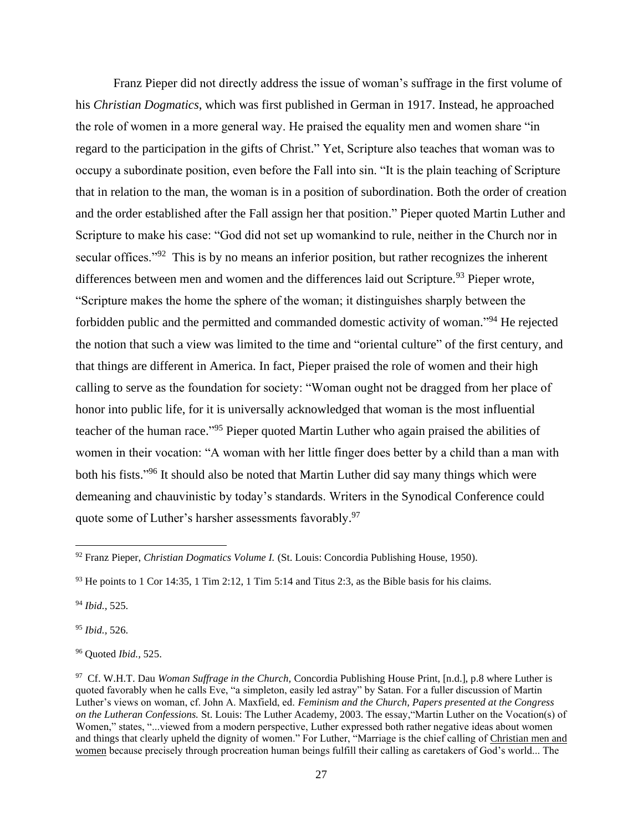Franz Pieper did not directly address the issue of woman's suffrage in the first volume of his *Christian Dogmatics*, which was first published in German in 1917. Instead, he approached the role of women in a more general way. He praised the equality men and women share "in regard to the participation in the gifts of Christ." Yet, Scripture also teaches that woman was to occupy a subordinate position, even before the Fall into sin. "It is the plain teaching of Scripture that in relation to the man, the woman is in a position of subordination. Both the order of creation and the order established after the Fall assign her that position." Pieper quoted Martin Luther and Scripture to make his case: "God did not set up womankind to rule, neither in the Church nor in secular offices."<sup>92</sup> This is by no means an inferior position, but rather recognizes the inherent differences between men and women and the differences laid out Scripture.<sup>93</sup> Pieper wrote, "Scripture makes the home the sphere of the woman; it distinguishes sharply between the forbidden public and the permitted and commanded domestic activity of woman."<sup>94</sup> He rejected the notion that such a view was limited to the time and "oriental culture" of the first century, and that things are different in America. In fact, Pieper praised the role of women and their high calling to serve as the foundation for society: "Woman ought not be dragged from her place of honor into public life, for it is universally acknowledged that woman is the most influential teacher of the human race."<sup>95</sup> Pieper quoted Martin Luther who again praised the abilities of women in their vocation: "A woman with her little finger does better by a child than a man with both his fists."<sup>96</sup> It should also be noted that Martin Luther did say many things which were demeaning and chauvinistic by today's standards. Writers in the Synodical Conference could quote some of Luther's harsher assessments favorably.<sup>97</sup>

<sup>94</sup> *Ibid.,* 525.

<sup>95</sup> *Ibid.,* 526.

<sup>96</sup> Quoted *Ibid.,* 525.

<sup>92</sup> Franz Pieper, *Christian Dogmatics Volume I.* (St. Louis: Concordia Publishing House, 1950).

 $93$  He points to 1 Cor 14:35, 1 Tim 2:12, 1 Tim 5:14 and Titus 2:3, as the Bible basis for his claims.

<sup>97</sup> Cf. W.H.T. Dau *Woman Suffrage in the Church,* Concordia Publishing House Print, [n.d.], p.8 where Luther is quoted favorably when he calls Eve, "a simpleton, easily led astray" by Satan. For a fuller discussion of Martin Luther's views on woman, cf. John A. Maxfield, ed. *Feminism and the Church, Papers presented at the Congress on the Lutheran Confessions.* St. Louis: The Luther Academy, 2003. The essay,"Martin Luther on the Vocation(s) of Women," states, "...viewed from a modern perspective, Luther expressed both rather negative ideas about women and things that clearly upheld the dignity of women." For Luther, "Marriage is the chief calling of Christian men and women because precisely through procreation human beings fulfill their calling as caretakers of God's world... The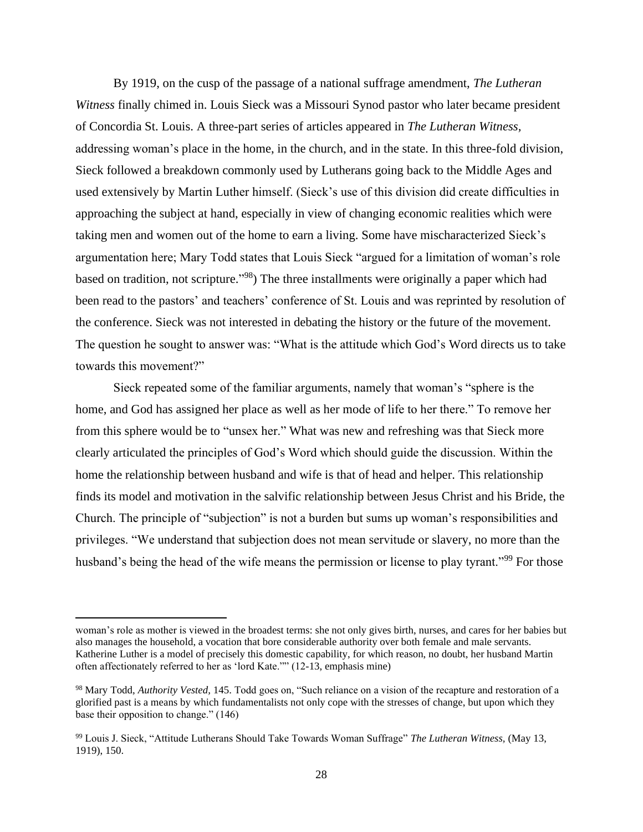By 1919, on the cusp of the passage of a national suffrage amendment, *The Lutheran Witness* finally chimed in. Louis Sieck was a Missouri Synod pastor who later became president of Concordia St. Louis. A three-part series of articles appeared in *The Lutheran Witness,*  addressing woman's place in the home, in the church, and in the state. In this three-fold division, Sieck followed a breakdown commonly used by Lutherans going back to the Middle Ages and used extensively by Martin Luther himself. (Sieck's use of this division did create difficulties in approaching the subject at hand, especially in view of changing economic realities which were taking men and women out of the home to earn a living. Some have mischaracterized Sieck's argumentation here; Mary Todd states that Louis Sieck "argued for a limitation of woman's role based on tradition, not scripture."<sup>98</sup>) The three installments were originally a paper which had been read to the pastors' and teachers' conference of St. Louis and was reprinted by resolution of the conference. Sieck was not interested in debating the history or the future of the movement. The question he sought to answer was: "What is the attitude which God's Word directs us to take towards this movement?"

Sieck repeated some of the familiar arguments, namely that woman's "sphere is the home, and God has assigned her place as well as her mode of life to her there." To remove her from this sphere would be to "unsex her." What was new and refreshing was that Sieck more clearly articulated the principles of God's Word which should guide the discussion. Within the home the relationship between husband and wife is that of head and helper. This relationship finds its model and motivation in the salvific relationship between Jesus Christ and his Bride, the Church. The principle of "subjection" is not a burden but sums up woman's responsibilities and privileges. "We understand that subjection does not mean servitude or slavery, no more than the husband's being the head of the wife means the permission or license to play tyrant."<sup>99</sup> For those

woman's role as mother is viewed in the broadest terms: she not only gives birth, nurses, and cares for her babies but also manages the household, a vocation that bore considerable authority over both female and male servants. Katherine Luther is a model of precisely this domestic capability, for which reason, no doubt, her husband Martin often affectionately referred to her as 'lord Kate."" (12-13, emphasis mine)

<sup>98</sup> Mary Todd, *Authority Vested,* 145. Todd goes on, "Such reliance on a vision of the recapture and restoration of a glorified past is a means by which fundamentalists not only cope with the stresses of change, but upon which they base their opposition to change." (146)

<sup>99</sup> Louis J. Sieck, "Attitude Lutherans Should Take Towards Woman Suffrage" *The Lutheran Witness,* (May 13, 1919), 150.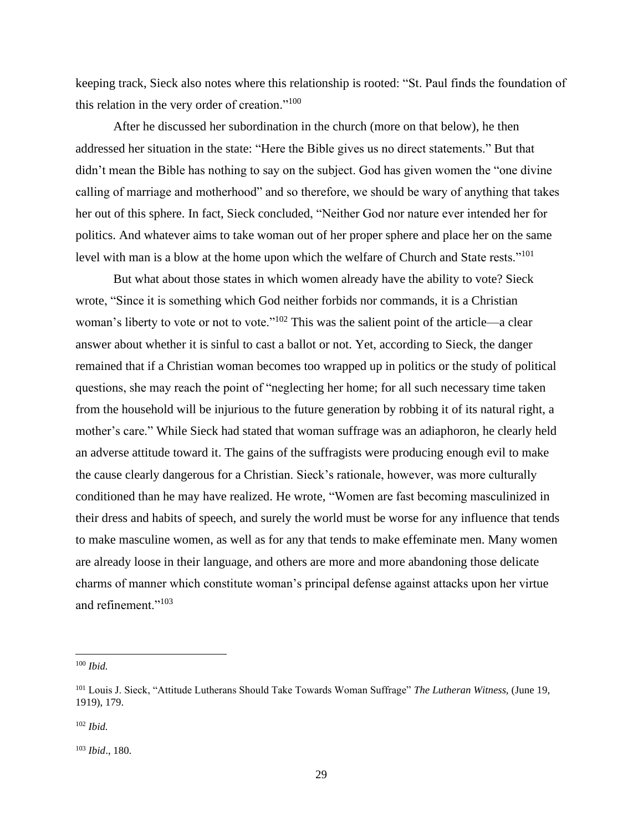keeping track, Sieck also notes where this relationship is rooted: "St. Paul finds the foundation of this relation in the very order of creation."<sup>100</sup>

After he discussed her subordination in the church (more on that below), he then addressed her situation in the state: "Here the Bible gives us no direct statements." But that didn't mean the Bible has nothing to say on the subject. God has given women the "one divine calling of marriage and motherhood" and so therefore, we should be wary of anything that takes her out of this sphere. In fact, Sieck concluded, "Neither God nor nature ever intended her for politics. And whatever aims to take woman out of her proper sphere and place her on the same level with man is a blow at the home upon which the welfare of Church and State rests."<sup>101</sup>

But what about those states in which women already have the ability to vote? Sieck wrote, "Since it is something which God neither forbids nor commands, it is a Christian woman's liberty to vote or not to vote."<sup>102</sup> This was the salient point of the article—a clear answer about whether it is sinful to cast a ballot or not. Yet, according to Sieck, the danger remained that if a Christian woman becomes too wrapped up in politics or the study of political questions, she may reach the point of "neglecting her home; for all such necessary time taken from the household will be injurious to the future generation by robbing it of its natural right, a mother's care." While Sieck had stated that woman suffrage was an adiaphoron, he clearly held an adverse attitude toward it. The gains of the suffragists were producing enough evil to make the cause clearly dangerous for a Christian. Sieck's rationale, however, was more culturally conditioned than he may have realized. He wrote, "Women are fast becoming masculinized in their dress and habits of speech, and surely the world must be worse for any influence that tends to make masculine women, as well as for any that tends to make effeminate men. Many women are already loose in their language, and others are more and more abandoning those delicate charms of manner which constitute woman's principal defense against attacks upon her virtue and refinement."<sup>103</sup>

<sup>100</sup> *Ibid.*

<sup>101</sup> Louis J. Sieck, "Attitude Lutherans Should Take Towards Woman Suffrage" *The Lutheran Witness,* (June 19, 1919), 179.

<sup>102</sup> *Ibid.*

<sup>103</sup> *Ibid*., 180.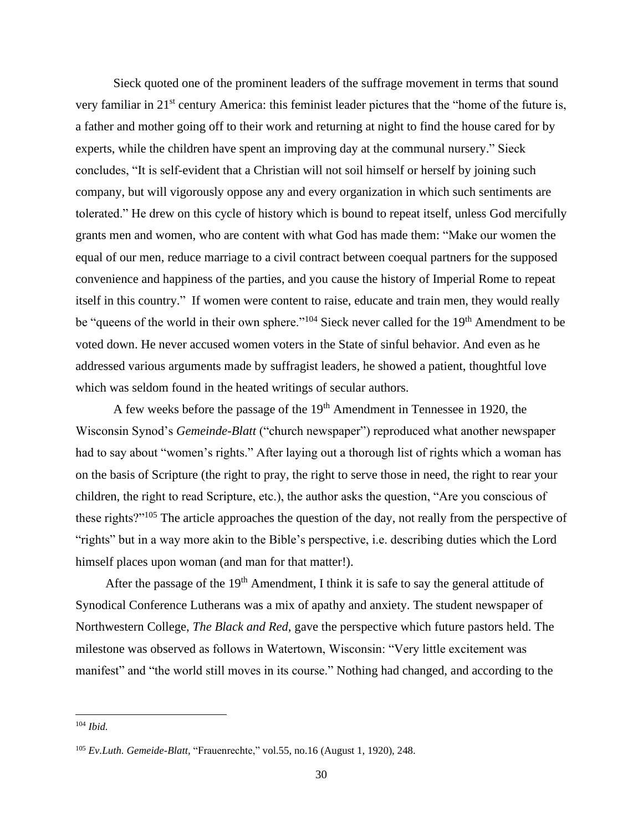Sieck quoted one of the prominent leaders of the suffrage movement in terms that sound very familiar in 21st century America: this feminist leader pictures that the "home of the future is, a father and mother going off to their work and returning at night to find the house cared for by experts, while the children have spent an improving day at the communal nursery." Sieck concludes, "It is self-evident that a Christian will not soil himself or herself by joining such company, but will vigorously oppose any and every organization in which such sentiments are tolerated." He drew on this cycle of history which is bound to repeat itself, unless God mercifully grants men and women, who are content with what God has made them: "Make our women the equal of our men, reduce marriage to a civil contract between coequal partners for the supposed convenience and happiness of the parties, and you cause the history of Imperial Rome to repeat itself in this country." If women were content to raise, educate and train men, they would really be "queens of the world in their own sphere."<sup>104</sup> Sieck never called for the 19<sup>th</sup> Amendment to be voted down. He never accused women voters in the State of sinful behavior. And even as he addressed various arguments made by suffragist leaders, he showed a patient, thoughtful love which was seldom found in the heated writings of secular authors.

A few weeks before the passage of the 19<sup>th</sup> Amendment in Tennessee in 1920, the Wisconsin Synod's *Gemeinde-Blatt* ("church newspaper") reproduced what another newspaper had to say about "women's rights." After laying out a thorough list of rights which a woman has on the basis of Scripture (the right to pray, the right to serve those in need, the right to rear your children, the right to read Scripture, etc.), the author asks the question, "Are you conscious of these rights?"<sup>105</sup> The article approaches the question of the day, not really from the perspective of "rights" but in a way more akin to the Bible's perspective, i.e. describing duties which the Lord himself places upon woman (and man for that matter!).

After the passage of the 19<sup>th</sup> Amendment, I think it is safe to say the general attitude of Synodical Conference Lutherans was a mix of apathy and anxiety. The student newspaper of Northwestern College, *The Black and Red,* gave the perspective which future pastors held. The milestone was observed as follows in Watertown, Wisconsin: "Very little excitement was manifest" and "the world still moves in its course." Nothing had changed, and according to the

<sup>104</sup> *Ibid.*

<sup>105</sup> *Ev.Luth. Gemeide-Blatt,* "Frauenrechte," vol.55, no.16 (August 1, 1920), 248.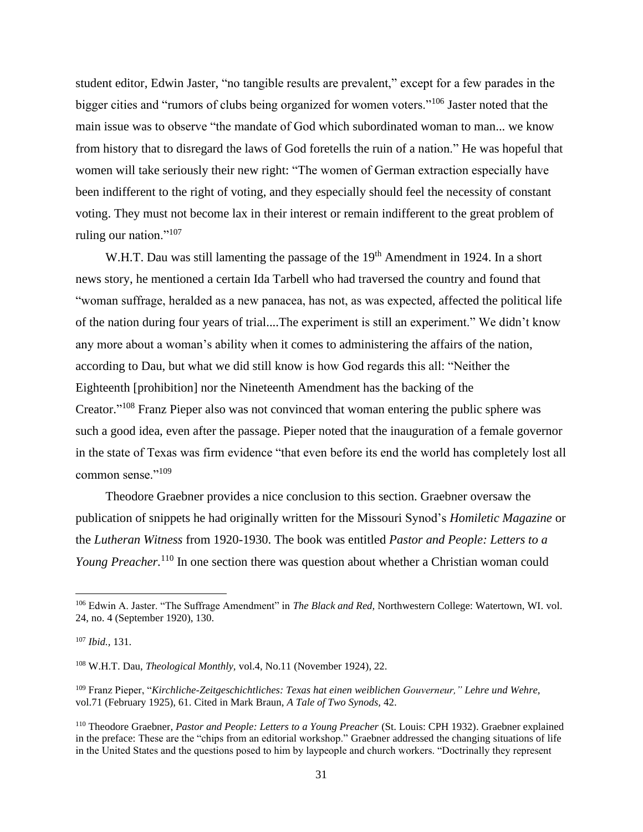student editor, Edwin Jaster, "no tangible results are prevalent," except for a few parades in the bigger cities and "rumors of clubs being organized for women voters."<sup>106</sup> Jaster noted that the main issue was to observe "the mandate of God which subordinated woman to man... we know from history that to disregard the laws of God foretells the ruin of a nation." He was hopeful that women will take seriously their new right: "The women of German extraction especially have been indifferent to the right of voting, and they especially should feel the necessity of constant voting. They must not become lax in their interest or remain indifferent to the great problem of ruling our nation."<sup>107</sup>

W.H.T. Dau was still lamenting the passage of the 19<sup>th</sup> Amendment in 1924. In a short news story, he mentioned a certain Ida Tarbell who had traversed the country and found that "woman suffrage, heralded as a new panacea, has not, as was expected, affected the political life of the nation during four years of trial....The experiment is still an experiment." We didn't know any more about a woman's ability when it comes to administering the affairs of the nation, according to Dau, but what we did still know is how God regards this all: "Neither the Eighteenth [prohibition] nor the Nineteenth Amendment has the backing of the Creator."<sup>108</sup> Franz Pieper also was not convinced that woman entering the public sphere was such a good idea, even after the passage. Pieper noted that the inauguration of a female governor in the state of Texas was firm evidence "that even before its end the world has completely lost all common sense."<sup>109</sup>

Theodore Graebner provides a nice conclusion to this section. Graebner oversaw the publication of snippets he had originally written for the Missouri Synod's *Homiletic Magazine* or the *Lutheran Witness* from 1920-1930. The book was entitled *Pastor and People: Letters to a Young Preacher.*<sup>110</sup> In one section there was question about whether a Christian woman could

<sup>106</sup> Edwin A. Jaster. "The Suffrage Amendment" in *The Black and Red,* Northwestern College: Watertown, WI. vol. 24, no. 4 (September 1920), 130.

<sup>107</sup> *Ibid.,* 131.

<sup>108</sup> W.H.T. Dau, *Theological Monthly,* vol.4, No.11 (November 1924), 22.

<sup>109</sup> Franz Pieper, "*Kirchliche-Zeitgeschichtliches: Texas hat einen weiblichen Gouverneur," Lehre und Wehre,*  vol.71 (February 1925), 61. Cited in Mark Braun, *A Tale of Two Synods,* 42.

<sup>110</sup> Theodore Graebner, *Pastor and People: Letters to a Young Preacher* (St. Louis: CPH 1932). Graebner explained in the preface: These are the "chips from an editorial workshop." Graebner addressed the changing situations of life in the United States and the questions posed to him by laypeople and church workers. "Doctrinally they represent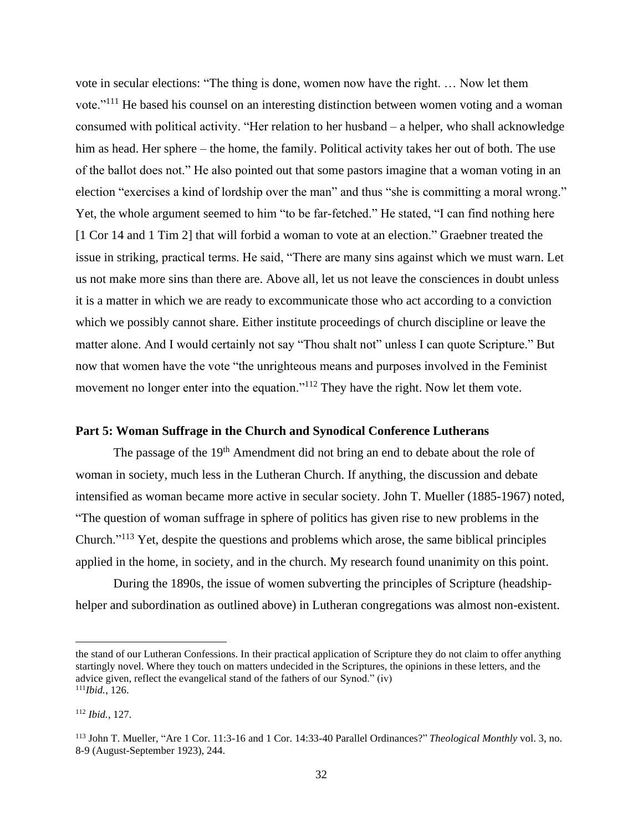vote in secular elections: "The thing is done, women now have the right. … Now let them vote."<sup>111</sup> He based his counsel on an interesting distinction between women voting and a woman consumed with political activity. "Her relation to her husband – a helper, who shall acknowledge him as head. Her sphere – the home, the family. Political activity takes her out of both. The use of the ballot does not." He also pointed out that some pastors imagine that a woman voting in an election "exercises a kind of lordship over the man" and thus "she is committing a moral wrong." Yet, the whole argument seemed to him "to be far-fetched." He stated, "I can find nothing here [1 Cor 14 and 1 Tim 2] that will forbid a woman to vote at an election." Graebner treated the issue in striking, practical terms. He said, "There are many sins against which we must warn. Let us not make more sins than there are. Above all, let us not leave the consciences in doubt unless it is a matter in which we are ready to excommunicate those who act according to a conviction which we possibly cannot share. Either institute proceedings of church discipline or leave the matter alone. And I would certainly not say "Thou shalt not" unless I can quote Scripture." But now that women have the vote "the unrighteous means and purposes involved in the Feminist movement no longer enter into the equation."<sup>112</sup> They have the right. Now let them vote.

### **Part 5: Woman Suffrage in the Church and Synodical Conference Lutherans**

The passage of the 19<sup>th</sup> Amendment did not bring an end to debate about the role of woman in society, much less in the Lutheran Church. If anything, the discussion and debate intensified as woman became more active in secular society. John T. Mueller (1885-1967) noted, "The question of woman suffrage in sphere of politics has given rise to new problems in the Church."<sup>113</sup> Yet, despite the questions and problems which arose, the same biblical principles applied in the home, in society, and in the church. My research found unanimity on this point.

During the 1890s, the issue of women subverting the principles of Scripture (headshiphelper and subordination as outlined above) in Lutheran congregations was almost non-existent.

the stand of our Lutheran Confessions. In their practical application of Scripture they do not claim to offer anything startingly novel. Where they touch on matters undecided in the Scriptures, the opinions in these letters, and the advice given, reflect the evangelical stand of the fathers of our Synod." (iv) <sup>111</sup>*Ibid.*, 126.

<sup>112</sup> *Ibid.*, 127.

<sup>113</sup> John T. Mueller, "Are 1 Cor. 11:3-16 and 1 Cor. 14:33-40 Parallel Ordinances?" *Theological Monthly* vol. 3, no. 8-9 (August-September 1923), 244.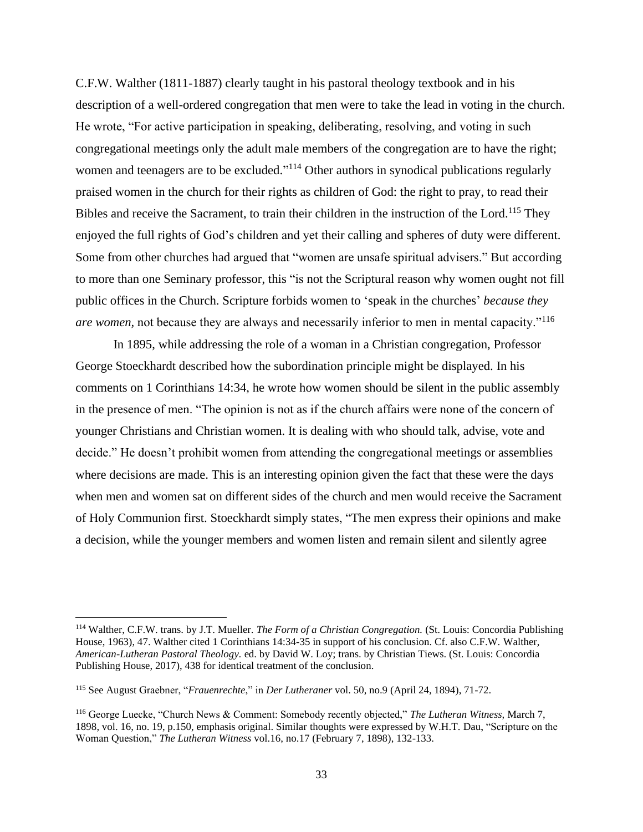C.F.W. Walther (1811-1887) clearly taught in his pastoral theology textbook and in his description of a well-ordered congregation that men were to take the lead in voting in the church. He wrote, "For active participation in speaking, deliberating, resolving, and voting in such congregational meetings only the adult male members of the congregation are to have the right; women and teenagers are to be excluded."<sup>114</sup> Other authors in synodical publications regularly praised women in the church for their rights as children of God: the right to pray, to read their Bibles and receive the Sacrament, to train their children in the instruction of the Lord.<sup>115</sup> They enjoyed the full rights of God's children and yet their calling and spheres of duty were different. Some from other churches had argued that "women are unsafe spiritual advisers." But according to more than one Seminary professor, this "is not the Scriptural reason why women ought not fill public offices in the Church. Scripture forbids women to 'speak in the churches' *because they are women,* not because they are always and necessarily inferior to men in mental capacity."<sup>116</sup>

In 1895, while addressing the role of a woman in a Christian congregation, Professor George Stoeckhardt described how the subordination principle might be displayed. In his comments on 1 Corinthians 14:34, he wrote how women should be silent in the public assembly in the presence of men. "The opinion is not as if the church affairs were none of the concern of younger Christians and Christian women. It is dealing with who should talk, advise, vote and decide." He doesn't prohibit women from attending the congregational meetings or assemblies where decisions are made. This is an interesting opinion given the fact that these were the days when men and women sat on different sides of the church and men would receive the Sacrament of Holy Communion first. Stoeckhardt simply states, "The men express their opinions and make a decision, while the younger members and women listen and remain silent and silently agree

<sup>114</sup> Walther, C.F.W. trans. by J.T. Mueller. *The Form of a Christian Congregation.* (St. Louis: Concordia Publishing House, 1963), 47. Walther cited 1 Corinthians 14:34-35 in support of his conclusion. Cf. also C.F.W. Walther, *American-Lutheran Pastoral Theology.* ed. by David W. Loy; trans. by Christian Tiews. (St. Louis: Concordia Publishing House, 2017), 438 for identical treatment of the conclusion.

<sup>115</sup> See August Graebner, "*Frauenrechte*," in *Der Lutheraner* vol. 50, no.9 (April 24, 1894), 71-72.

<sup>116</sup> George Luecke, "Church News & Comment: Somebody recently objected," *The Lutheran Witness,* March 7, 1898, vol. 16, no. 19, p.150, emphasis original. Similar thoughts were expressed by W.H.T. Dau, "Scripture on the Woman Question," *The Lutheran Witness* vol.16, no.17 (February 7, 1898), 132-133.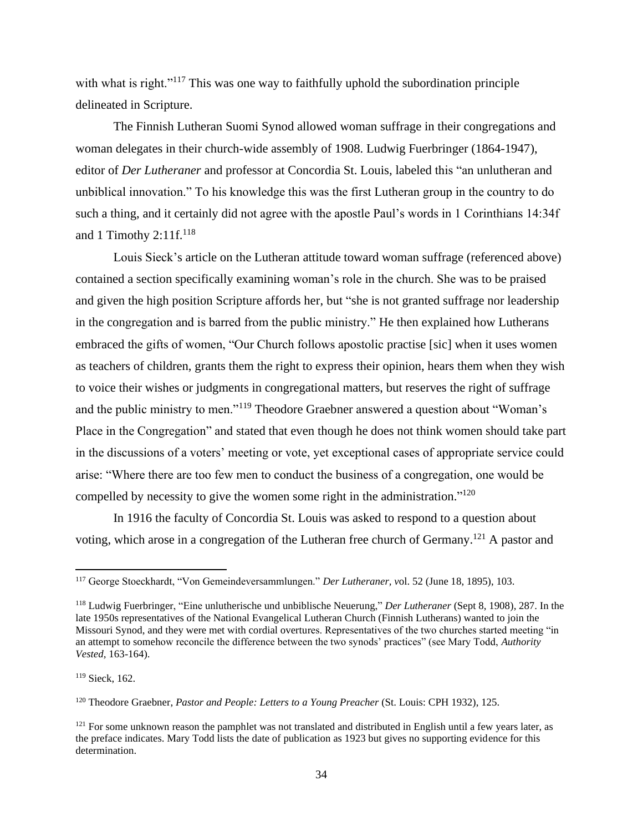with what is right."<sup>117</sup> This was one way to faithfully uphold the subordination principle delineated in Scripture.

The Finnish Lutheran Suomi Synod allowed woman suffrage in their congregations and woman delegates in their church-wide assembly of 1908. Ludwig Fuerbringer (1864-1947), editor of *Der Lutheraner* and professor at Concordia St. Louis, labeled this "an unlutheran and unbiblical innovation." To his knowledge this was the first Lutheran group in the country to do such a thing, and it certainly did not agree with the apostle Paul's words in 1 Corinthians 14:34f and 1 Timothy  $2:11f<sup>118</sup>$ 

Louis Sieck's article on the Lutheran attitude toward woman suffrage (referenced above) contained a section specifically examining woman's role in the church. She was to be praised and given the high position Scripture affords her, but "she is not granted suffrage nor leadership in the congregation and is barred from the public ministry." He then explained how Lutherans embraced the gifts of women, "Our Church follows apostolic practise [sic] when it uses women as teachers of children, grants them the right to express their opinion, hears them when they wish to voice their wishes or judgments in congregational matters, but reserves the right of suffrage and the public ministry to men."<sup>119</sup> Theodore Graebner answered a question about "Woman's Place in the Congregation" and stated that even though he does not think women should take part in the discussions of a voters' meeting or vote, yet exceptional cases of appropriate service could arise: "Where there are too few men to conduct the business of a congregation, one would be compelled by necessity to give the women some right in the administration."<sup>120</sup>

In 1916 the faculty of Concordia St. Louis was asked to respond to a question about voting, which arose in a congregation of the Lutheran free church of Germany.<sup>121</sup> A pastor and

<sup>117</sup> George Stoeckhardt, "Von Gemeindeversammlungen." *Der Lutheraner, v*ol. 52 (June 18, 1895), 103.

<sup>118</sup> Ludwig Fuerbringer, "Eine unlutherische und unbiblische Neuerung," *Der Lutheraner* (Sept 8, 1908), 287. In the late 1950s representatives of the National Evangelical Lutheran Church (Finnish Lutherans) wanted to join the Missouri Synod, and they were met with cordial overtures. Representatives of the two churches started meeting "in an attempt to somehow reconcile the difference between the two synods' practices" (see Mary Todd, *Authority Vested,* 163-164).

<sup>119</sup> Sieck, 162.

<sup>120</sup> Theodore Graebner, *Pastor and People: Letters to a Young Preacher* (St. Louis: CPH 1932), 125.

 $121$  For some unknown reason the pamphlet was not translated and distributed in English until a few years later, as the preface indicates. Mary Todd lists the date of publication as 1923 but gives no supporting evidence for this determination.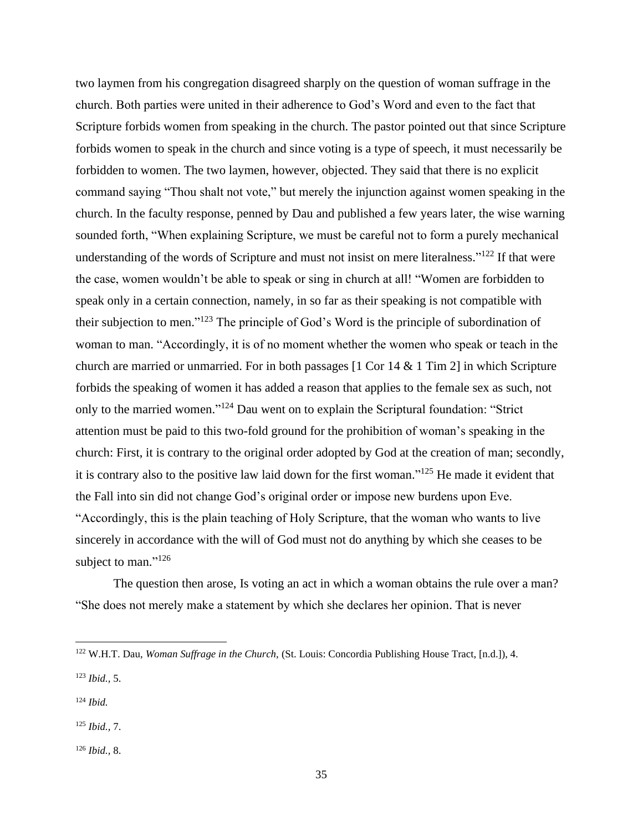two laymen from his congregation disagreed sharply on the question of woman suffrage in the church. Both parties were united in their adherence to God's Word and even to the fact that Scripture forbids women from speaking in the church. The pastor pointed out that since Scripture forbids women to speak in the church and since voting is a type of speech, it must necessarily be forbidden to women. The two laymen, however, objected. They said that there is no explicit command saying "Thou shalt not vote," but merely the injunction against women speaking in the church. In the faculty response, penned by Dau and published a few years later, the wise warning sounded forth, "When explaining Scripture, we must be careful not to form a purely mechanical understanding of the words of Scripture and must not insist on mere literalness."<sup>122</sup> If that were the case, women wouldn't be able to speak or sing in church at all! "Women are forbidden to speak only in a certain connection, namely, in so far as their speaking is not compatible with their subjection to men."<sup>123</sup> The principle of God's Word is the principle of subordination of woman to man. "Accordingly, it is of no moment whether the women who speak or teach in the church are married or unmarried. For in both passages  $[1 \text{ Cor } 14 \& 1 \text{ Tim } 2]$  in which Scripture forbids the speaking of women it has added a reason that applies to the female sex as such, not only to the married women."<sup>124</sup> Dau went on to explain the Scriptural foundation: "Strict attention must be paid to this two-fold ground for the prohibition of woman's speaking in the church: First, it is contrary to the original order adopted by God at the creation of man; secondly, it is contrary also to the positive law laid down for the first woman."<sup>125</sup> He made it evident that the Fall into sin did not change God's original order or impose new burdens upon Eve. "Accordingly, this is the plain teaching of Holy Scripture, that the woman who wants to live sincerely in accordance with the will of God must not do anything by which she ceases to be subject to man."<sup>126</sup>

The question then arose, Is voting an act in which a woman obtains the rule over a man? "She does not merely make a statement by which she declares her opinion. That is never

<sup>125</sup> *Ibid.,* 7.

<sup>122</sup> W.H.T. Dau, *Woman Suffrage in the Church,* (St. Louis: Concordia Publishing House Tract, [n.d.]), 4.

<sup>123</sup> *Ibid.,* 5.

<sup>124</sup> *Ibid.*

<sup>126</sup> *Ibid.,* 8.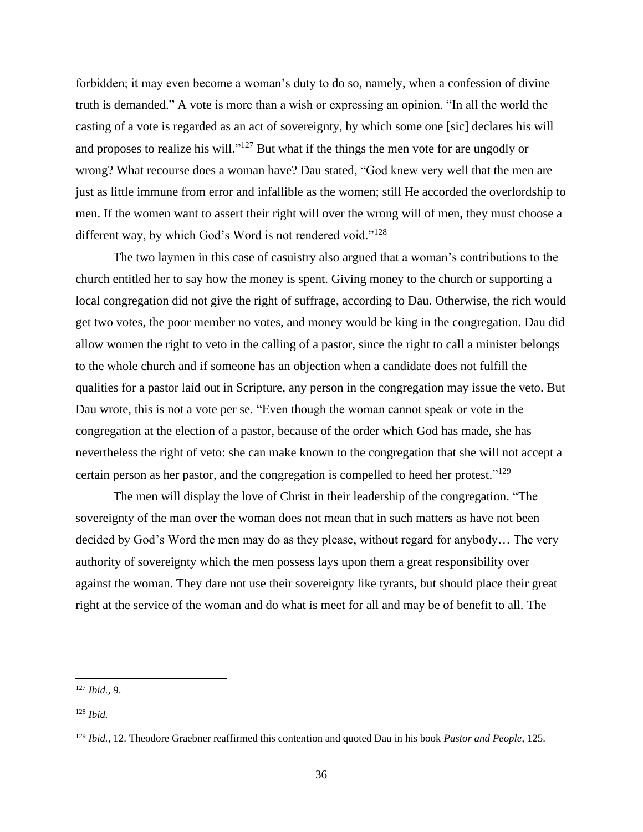forbidden; it may even become a woman's duty to do so, namely, when a confession of divine truth is demanded." A vote is more than a wish or expressing an opinion. "In all the world the casting of a vote is regarded as an act of sovereignty, by which some one [sic] declares his will and proposes to realize his will."<sup>127</sup> But what if the things the men vote for are ungodly or wrong? What recourse does a woman have? Dau stated, "God knew very well that the men are just as little immune from error and infallible as the women; still He accorded the overlordship to men. If the women want to assert their right will over the wrong will of men, they must choose a different way, by which God's Word is not rendered void."<sup>128</sup>

The two laymen in this case of casuistry also argued that a woman's contributions to the church entitled her to say how the money is spent. Giving money to the church or supporting a local congregation did not give the right of suffrage, according to Dau. Otherwise, the rich would get two votes, the poor member no votes, and money would be king in the congregation. Dau did allow women the right to veto in the calling of a pastor, since the right to call a minister belongs to the whole church and if someone has an objection when a candidate does not fulfill the qualities for a pastor laid out in Scripture, any person in the congregation may issue the veto. But Dau wrote, this is not a vote per se. "Even though the woman cannot speak or vote in the congregation at the election of a pastor, because of the order which God has made, she has nevertheless the right of veto: she can make known to the congregation that she will not accept a certain person as her pastor, and the congregation is compelled to heed her protest."<sup>129</sup>

The men will display the love of Christ in their leadership of the congregation. "The sovereignty of the man over the woman does not mean that in such matters as have not been decided by God's Word the men may do as they please, without regard for anybody… The very authority of sovereignty which the men possess lays upon them a great responsibility over against the woman. They dare not use their sovereignty like tyrants, but should place their great right at the service of the woman and do what is meet for all and may be of benefit to all. The

<sup>127</sup> *Ibid.,* 9.

<sup>128</sup> *Ibid.*

<sup>129</sup> *Ibid.,* 12. Theodore Graebner reaffirmed this contention and quoted Dau in his book *Pastor and People*, 125.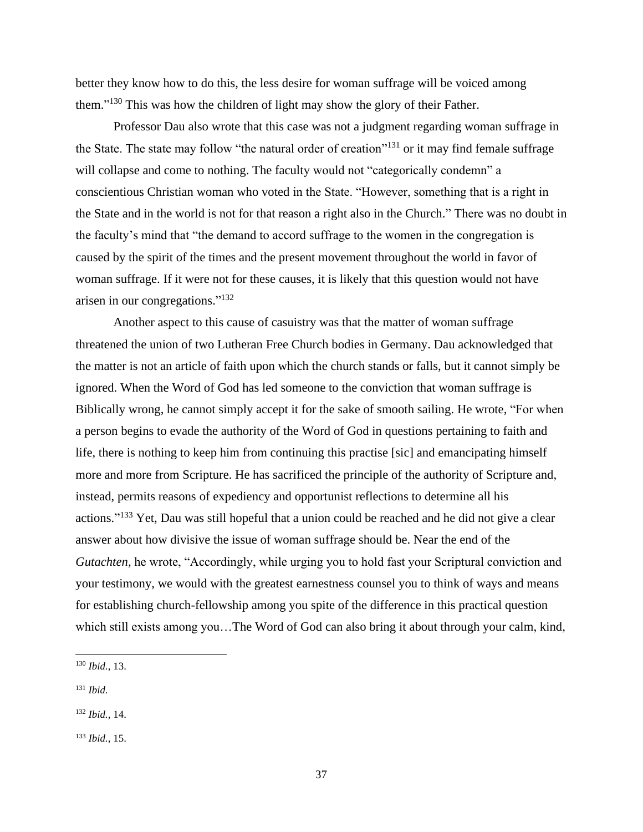better they know how to do this, the less desire for woman suffrage will be voiced among them."<sup>130</sup> This was how the children of light may show the glory of their Father.

Professor Dau also wrote that this case was not a judgment regarding woman suffrage in the State. The state may follow "the natural order of creation"<sup>131</sup> or it may find female suffrage will collapse and come to nothing. The faculty would not "categorically condemn" a conscientious Christian woman who voted in the State. "However, something that is a right in the State and in the world is not for that reason a right also in the Church." There was no doubt in the faculty's mind that "the demand to accord suffrage to the women in the congregation is caused by the spirit of the times and the present movement throughout the world in favor of woman suffrage. If it were not for these causes, it is likely that this question would not have arisen in our congregations." 132

Another aspect to this cause of casuistry was that the matter of woman suffrage threatened the union of two Lutheran Free Church bodies in Germany. Dau acknowledged that the matter is not an article of faith upon which the church stands or falls, but it cannot simply be ignored. When the Word of God has led someone to the conviction that woman suffrage is Biblically wrong, he cannot simply accept it for the sake of smooth sailing. He wrote, "For when a person begins to evade the authority of the Word of God in questions pertaining to faith and life, there is nothing to keep him from continuing this practise [sic] and emancipating himself more and more from Scripture. He has sacrificed the principle of the authority of Scripture and, instead, permits reasons of expediency and opportunist reflections to determine all his actions."<sup>133</sup> Yet, Dau was still hopeful that a union could be reached and he did not give a clear answer about how divisive the issue of woman suffrage should be. Near the end of the *Gutachten,* he wrote, "Accordingly, while urging you to hold fast your Scriptural conviction and your testimony, we would with the greatest earnestness counsel you to think of ways and means for establishing church-fellowship among you spite of the difference in this practical question which still exists among you…The Word of God can also bring it about through your calm, kind,

<sup>130</sup> *Ibid.,* 13.

<sup>131</sup> *Ibid.*

<sup>132</sup> *Ibid.,* 14.

<sup>133</sup> *Ibid.,* 15.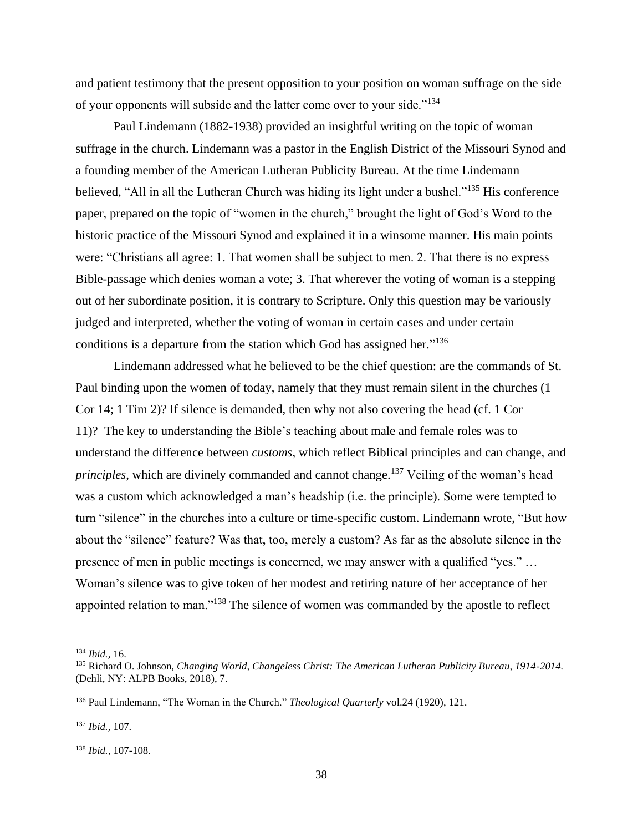and patient testimony that the present opposition to your position on woman suffrage on the side of your opponents will subside and the latter come over to your side."<sup>134</sup>

Paul Lindemann (1882-1938) provided an insightful writing on the topic of woman suffrage in the church. Lindemann was a pastor in the English District of the Missouri Synod and a founding member of the American Lutheran Publicity Bureau. At the time Lindemann believed, "All in all the Lutheran Church was hiding its light under a bushel."<sup>135</sup> His conference paper, prepared on the topic of "women in the church," brought the light of God's Word to the historic practice of the Missouri Synod and explained it in a winsome manner. His main points were: "Christians all agree: 1. That women shall be subject to men. 2. That there is no express Bible-passage which denies woman a vote; 3. That wherever the voting of woman is a stepping out of her subordinate position, it is contrary to Scripture. Only this question may be variously judged and interpreted, whether the voting of woman in certain cases and under certain conditions is a departure from the station which God has assigned her."<sup>136</sup>

Lindemann addressed what he believed to be the chief question: are the commands of St. Paul binding upon the women of today, namely that they must remain silent in the churches (1 Cor 14; 1 Tim 2)? If silence is demanded, then why not also covering the head (cf. 1 Cor 11)? The key to understanding the Bible's teaching about male and female roles was to understand the difference between *customs*, which reflect Biblical principles and can change, and *principles*, which are divinely commanded and cannot change. <sup>137</sup> Veiling of the woman's head was a custom which acknowledged a man's headship (i.e. the principle). Some were tempted to turn "silence" in the churches into a culture or time-specific custom. Lindemann wrote, "But how about the "silence" feature? Was that, too, merely a custom? As far as the absolute silence in the presence of men in public meetings is concerned, we may answer with a qualified "yes." … Woman's silence was to give token of her modest and retiring nature of her acceptance of her appointed relation to man."<sup>138</sup> The silence of women was commanded by the apostle to reflect

<sup>134</sup> *Ibid.,* 16.

<sup>135</sup> Richard O. Johnson, *Changing World, Changeless Christ: The American Lutheran Publicity Bureau, 1914-2014.*  (Dehli, NY: ALPB Books, 2018), 7.

<sup>136</sup> Paul Lindemann, "The Woman in the Church." *Theological Quarterly* vol.24 (1920), 121.

<sup>137</sup> *Ibid.,* 107.

<sup>138</sup> *Ibid.,* 107-108.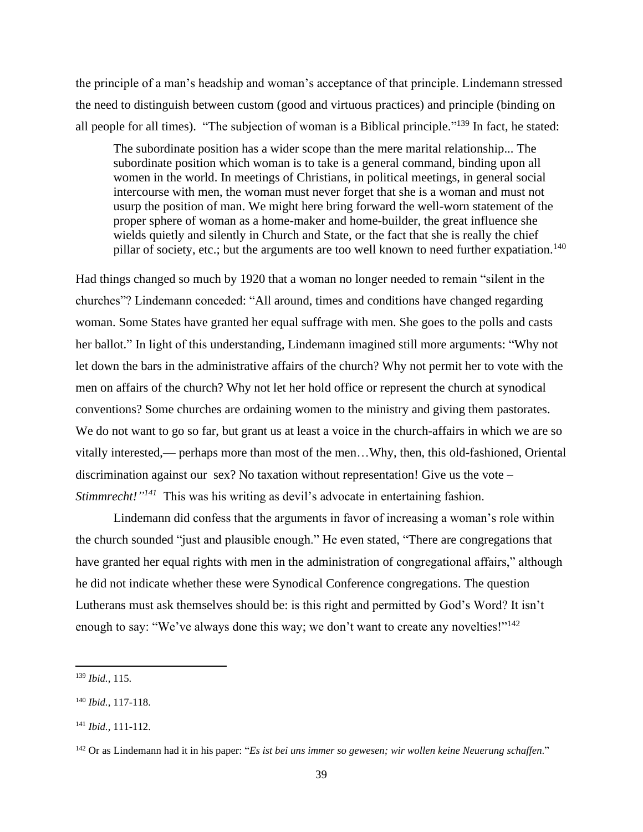the principle of a man's headship and woman's acceptance of that principle. Lindemann stressed the need to distinguish between custom (good and virtuous practices) and principle (binding on all people for all times). "The subjection of woman is a Biblical principle."<sup>139</sup> In fact, he stated:

The subordinate position has a wider scope than the mere marital relationship... The subordinate position which woman is to take is a general command, binding upon all women in the world. In meetings of Christians, in political meetings, in general social intercourse with men, the woman must never forget that she is a woman and must not usurp the position of man. We might here bring forward the well-worn statement of the proper sphere of woman as a home-maker and home-builder, the great influence she wields quietly and silently in Church and State, or the fact that she is really the chief pillar of society, etc.; but the arguments are too well known to need further expatiation.<sup>140</sup>

Had things changed so much by 1920 that a woman no longer needed to remain "silent in the churches"? Lindemann conceded: "All around, times and conditions have changed regarding woman. Some States have granted her equal suffrage with men. She goes to the polls and casts her ballot." In light of this understanding, Lindemann imagined still more arguments: "Why not let down the bars in the administrative affairs of the church? Why not permit her to vote with the men on affairs of the church? Why not let her hold office or represent the church at synodical conventions? Some churches are ordaining women to the ministry and giving them pastorates. We do not want to go so far, but grant us at least a voice in the church-affairs in which we are so vitally interested,— perhaps more than most of the men…Why, then, this old-fashioned, Oriental discrimination against our sex? No taxation without representation! Give us the vote – *Stimmrecht!*<sup>"141</sup> This was his writing as devil's advocate in entertaining fashion.

Lindemann did confess that the arguments in favor of increasing a woman's role within the church sounded "just and plausible enough." He even stated, "There are congregations that have granted her equal rights with men in the administration of congregational affairs," although he did not indicate whether these were Synodical Conference congregations. The question Lutherans must ask themselves should be: is this right and permitted by God's Word? It isn't enough to say: "We've always done this way; we don't want to create any novelties!"<sup>142</sup>

<sup>139</sup> *Ibid.,* 115.

<sup>140</sup> *Ibid.,* 117-118.

<sup>141</sup> *Ibid.,* 111-112.

<sup>142</sup> Or as Lindemann had it in his paper: "*Es ist bei uns immer so gewesen; wir wollen keine Neuerung schaffen*."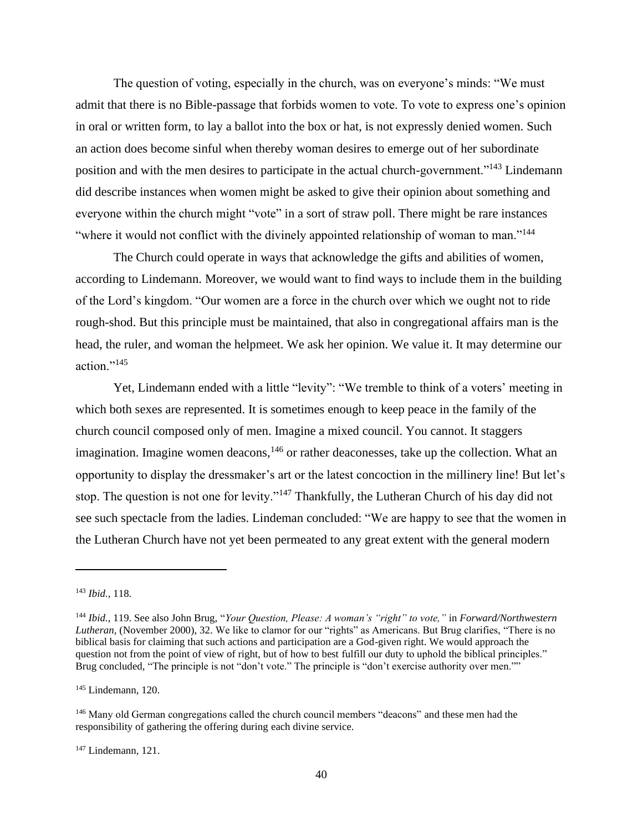The question of voting, especially in the church, was on everyone's minds: "We must admit that there is no Bible-passage that forbids women to vote. To vote to express one's opinion in oral or written form, to lay a ballot into the box or hat, is not expressly denied women. Such an action does become sinful when thereby woman desires to emerge out of her subordinate position and with the men desires to participate in the actual church-government."<sup>143</sup> Lindemann did describe instances when women might be asked to give their opinion about something and everyone within the church might "vote" in a sort of straw poll. There might be rare instances "where it would not conflict with the divinely appointed relationship of woman to man."<sup>144</sup>

The Church could operate in ways that acknowledge the gifts and abilities of women, according to Lindemann. Moreover, we would want to find ways to include them in the building of the Lord's kingdom. "Our women are a force in the church over which we ought not to ride rough-shod. But this principle must be maintained, that also in congregational affairs man is the head, the ruler, and woman the helpmeet. We ask her opinion. We value it. It may determine our action."<sup>145</sup>

Yet, Lindemann ended with a little "levity": "We tremble to think of a voters' meeting in which both sexes are represented. It is sometimes enough to keep peace in the family of the church council composed only of men. Imagine a mixed council. You cannot. It staggers imagination. Imagine women deacons,  $146$  or rather deaconesses, take up the collection. What an opportunity to display the dressmaker's art or the latest concoction in the millinery line! But let's stop. The question is not one for levity."<sup>147</sup> Thankfully, the Lutheran Church of his day did not see such spectacle from the ladies. Lindeman concluded: "We are happy to see that the women in the Lutheran Church have not yet been permeated to any great extent with the general modern

<sup>145</sup> Lindemann, 120.

<sup>143</sup> *Ibid.,* 118.

<sup>144</sup> *Ibid.,* 119. See also John Brug, "*Your Question, Please: A woman's "right" to vote,"* in *Forward/Northwestern Lutheran,* (November 2000), 32. We like to clamor for our "rights" as Americans. But Brug clarifies, "There is no biblical basis for claiming that such actions and participation are a God-given right. We would approach the question not from the point of view of right, but of how to best fulfill our duty to uphold the biblical principles." Brug concluded, "The principle is not "don't vote." The principle is "don't exercise authority over men.""

<sup>&</sup>lt;sup>146</sup> Many old German congregations called the church council members "deacons" and these men had the responsibility of gathering the offering during each divine service.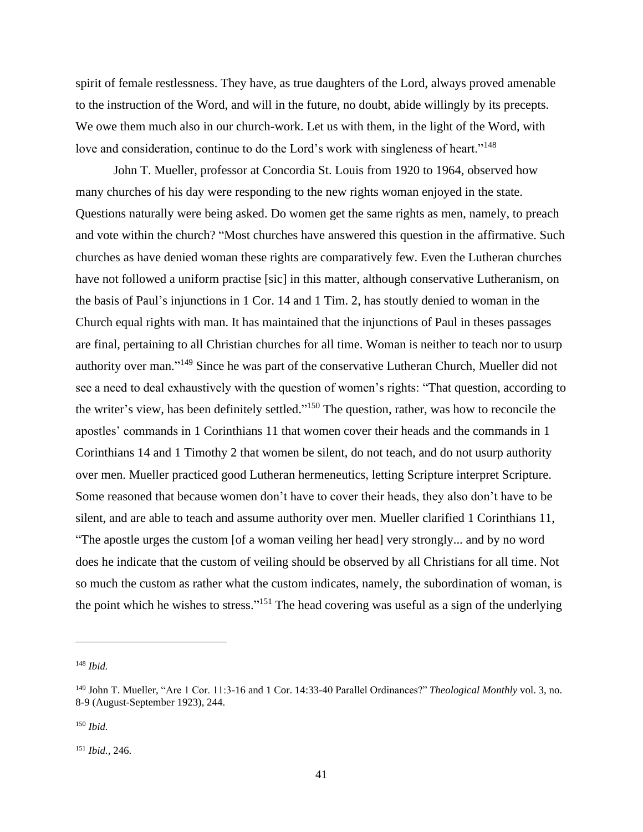spirit of female restlessness. They have, as true daughters of the Lord, always proved amenable to the instruction of the Word, and will in the future, no doubt, abide willingly by its precepts. We owe them much also in our church-work. Let us with them, in the light of the Word, with love and consideration, continue to do the Lord's work with singleness of heart."<sup>148</sup>

John T. Mueller, professor at Concordia St. Louis from 1920 to 1964, observed how many churches of his day were responding to the new rights woman enjoyed in the state. Questions naturally were being asked. Do women get the same rights as men, namely, to preach and vote within the church? "Most churches have answered this question in the affirmative. Such churches as have denied woman these rights are comparatively few. Even the Lutheran churches have not followed a uniform practise [sic] in this matter, although conservative Lutheranism, on the basis of Paul's injunctions in 1 Cor. 14 and 1 Tim. 2, has stoutly denied to woman in the Church equal rights with man. It has maintained that the injunctions of Paul in theses passages are final, pertaining to all Christian churches for all time. Woman is neither to teach nor to usurp authority over man."<sup>149</sup> Since he was part of the conservative Lutheran Church, Mueller did not see a need to deal exhaustively with the question of women's rights: "That question, according to the writer's view, has been definitely settled."<sup>150</sup> The question, rather, was how to reconcile the apostles' commands in 1 Corinthians 11 that women cover their heads and the commands in 1 Corinthians 14 and 1 Timothy 2 that women be silent, do not teach, and do not usurp authority over men. Mueller practiced good Lutheran hermeneutics, letting Scripture interpret Scripture. Some reasoned that because women don't have to cover their heads, they also don't have to be silent, and are able to teach and assume authority over men. Mueller clarified 1 Corinthians 11, "The apostle urges the custom [of a woman veiling her head] very strongly... and by no word does he indicate that the custom of veiling should be observed by all Christians for all time. Not so much the custom as rather what the custom indicates, namely, the subordination of woman, is the point which he wishes to stress."<sup>151</sup> The head covering was useful as a sign of the underlying

<sup>148</sup> *Ibid.*

<sup>149</sup> John T. Mueller, "Are 1 Cor. 11:3-16 and 1 Cor. 14:33-40 Parallel Ordinances?" *Theological Monthly* vol. 3, no. 8-9 (August-September 1923), 244.

<sup>150</sup> *Ibid.*

<sup>151</sup> *Ibid.,* 246.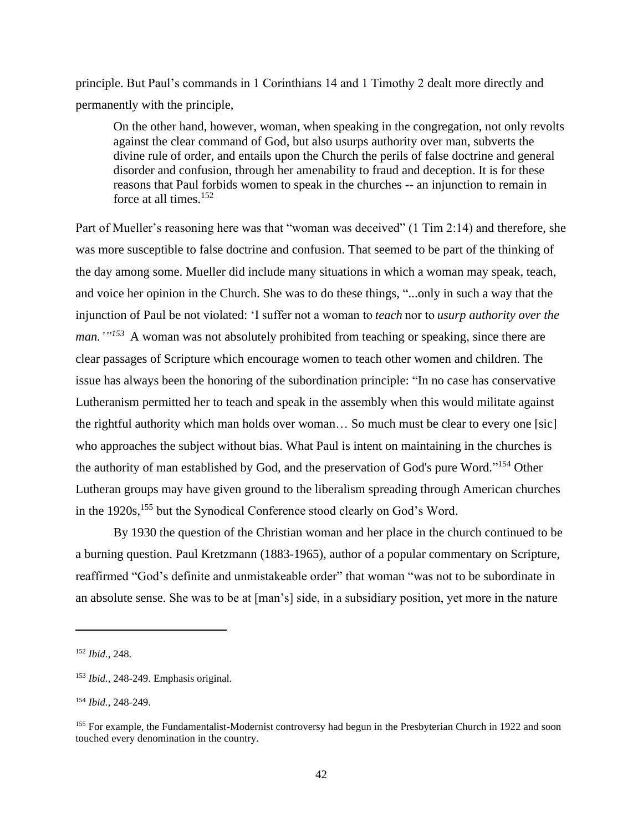principle. But Paul's commands in 1 Corinthians 14 and 1 Timothy 2 dealt more directly and permanently with the principle,

On the other hand, however, woman, when speaking in the congregation, not only revolts against the clear command of God, but also usurps authority over man, subverts the divine rule of order, and entails upon the Church the perils of false doctrine and general disorder and confusion, through her amenability to fraud and deception. It is for these reasons that Paul forbids women to speak in the churches -- an injunction to remain in force at all times.<sup>152</sup>

Part of Mueller's reasoning here was that "woman was deceived" (1 Tim 2:14) and therefore, she was more susceptible to false doctrine and confusion. That seemed to be part of the thinking of the day among some. Mueller did include many situations in which a woman may speak, teach, and voice her opinion in the Church. She was to do these things, "...only in such a way that the injunction of Paul be not violated: 'I suffer not a woman to *teach* nor to *usurp authority over the man.'*<sup>1153</sup> A woman was not absolutely prohibited from teaching or speaking, since there are clear passages of Scripture which encourage women to teach other women and children. The issue has always been the honoring of the subordination principle: "In no case has conservative Lutheranism permitted her to teach and speak in the assembly when this would militate against the rightful authority which man holds over woman… So much must be clear to every one [sic] who approaches the subject without bias. What Paul is intent on maintaining in the churches is the authority of man established by God, and the preservation of God's pure Word."<sup>154</sup> Other Lutheran groups may have given ground to the liberalism spreading through American churches in the 1920s,<sup>155</sup> but the Synodical Conference stood clearly on God's Word.

By 1930 the question of the Christian woman and her place in the church continued to be a burning question. Paul Kretzmann (1883-1965), author of a popular commentary on Scripture, reaffirmed "God's definite and unmistakeable order" that woman "was not to be subordinate in an absolute sense. She was to be at [man's] side, in a subsidiary position, yet more in the nature

<sup>152</sup> *Ibid.,* 248.

<sup>153</sup> *Ibid.,* 248-249. Emphasis original.

<sup>154</sup> *Ibid.,* 248-249.

<sup>&</sup>lt;sup>155</sup> For example, the Fundamentalist-Modernist controversy had begun in the Presbyterian Church in 1922 and soon touched every denomination in the country.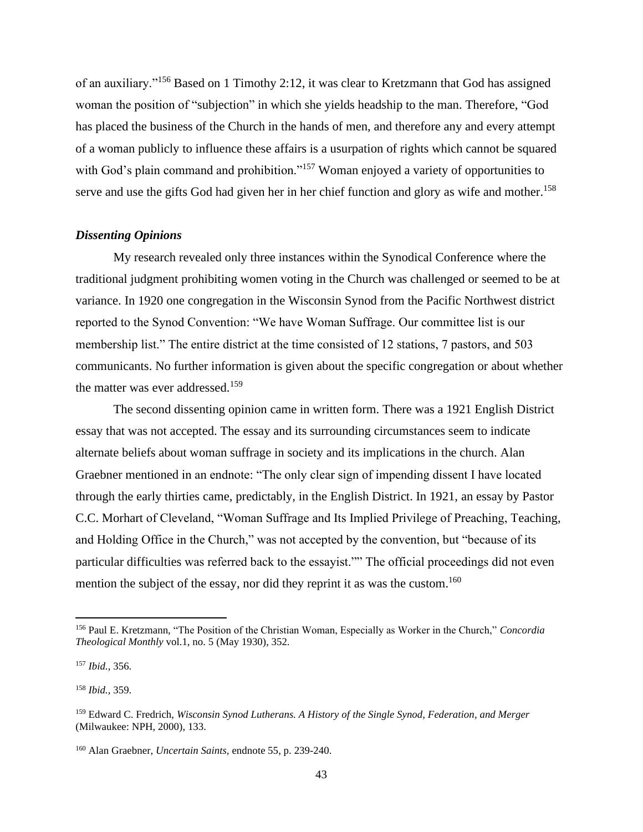of an auxiliary."<sup>156</sup> Based on 1 Timothy 2:12, it was clear to Kretzmann that God has assigned woman the position of "subjection" in which she yields headship to the man. Therefore, "God has placed the business of the Church in the hands of men, and therefore any and every attempt of a woman publicly to influence these affairs is a usurpation of rights which cannot be squared with God's plain command and prohibition."<sup>157</sup> Woman enjoyed a variety of opportunities to serve and use the gifts God had given her in her chief function and glory as wife and mother.<sup>158</sup>

#### *Dissenting Opinions*

My research revealed only three instances within the Synodical Conference where the traditional judgment prohibiting women voting in the Church was challenged or seemed to be at variance. In 1920 one congregation in the Wisconsin Synod from the Pacific Northwest district reported to the Synod Convention: "We have Woman Suffrage. Our committee list is our membership list." The entire district at the time consisted of 12 stations, 7 pastors, and 503 communicants. No further information is given about the specific congregation or about whether the matter was ever addressed.<sup>159</sup>

The second dissenting opinion came in written form. There was a 1921 English District essay that was not accepted. The essay and its surrounding circumstances seem to indicate alternate beliefs about woman suffrage in society and its implications in the church. Alan Graebner mentioned in an endnote: "The only clear sign of impending dissent I have located through the early thirties came, predictably, in the English District. In 1921, an essay by Pastor C.C. Morhart of Cleveland, "Woman Suffrage and Its Implied Privilege of Preaching, Teaching, and Holding Office in the Church," was not accepted by the convention, but "because of its particular difficulties was referred back to the essayist."" The official proceedings did not even mention the subject of the essay, nor did they reprint it as was the custom.<sup>160</sup>

<sup>156</sup> Paul E. Kretzmann, "The Position of the Christian Woman, Especially as Worker in the Church," *Concordia Theological Monthly* vol.1, no. 5 (May 1930), 352.

<sup>157</sup> *Ibid.,* 356.

<sup>158</sup> *Ibid.,* 359.

<sup>159</sup> Edward C. Fredrich, *Wisconsin Synod Lutherans. A History of the Single Synod, Federation, and Merger*  (Milwaukee: NPH, 2000), 133.

<sup>160</sup> Alan Graebner, *Uncertain Saints,* endnote 55, p. 239-240.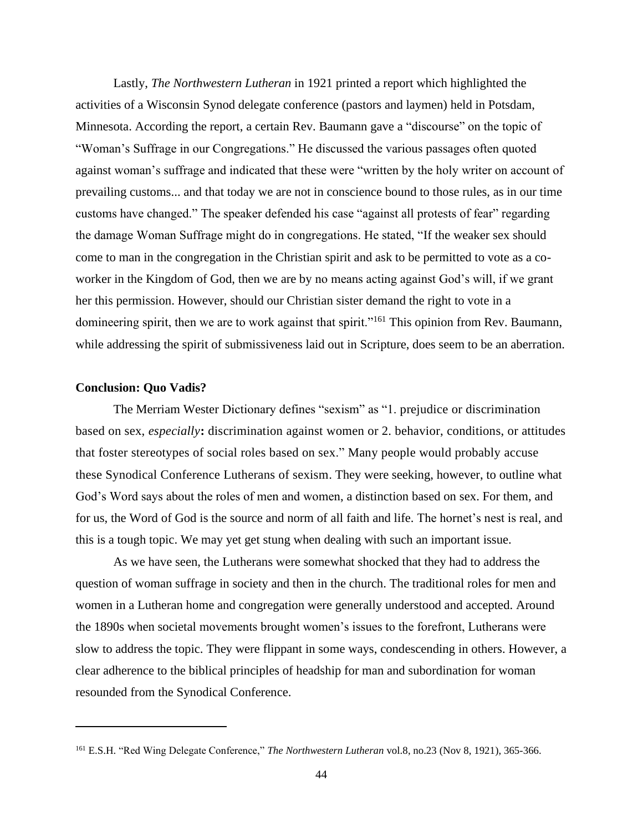Lastly, *The Northwestern Lutheran* in 1921 printed a report which highlighted the activities of a Wisconsin Synod delegate conference (pastors and laymen) held in Potsdam, Minnesota. According the report, a certain Rev. Baumann gave a "discourse" on the topic of "Woman's Suffrage in our Congregations." He discussed the various passages often quoted against woman's suffrage and indicated that these were "written by the holy writer on account of prevailing customs... and that today we are not in conscience bound to those rules, as in our time customs have changed." The speaker defended his case "against all protests of fear" regarding the damage Woman Suffrage might do in congregations. He stated, "If the weaker sex should come to man in the congregation in the Christian spirit and ask to be permitted to vote as a coworker in the Kingdom of God, then we are by no means acting against God's will, if we grant her this permission. However, should our Christian sister demand the right to vote in a domineering spirit, then we are to work against that spirit."<sup>161</sup> This opinion from Rev. Baumann, while addressing the spirit of submissiveness laid out in Scripture, does seem to be an aberration.

### **Conclusion: Quo Vadis?**

The Merriam Wester Dictionary defines "sexism" as "1. prejudice or discrimination based on sex, *especially***:** discrimination against women or 2. behavior, conditions, or attitudes that foster stereotypes of social roles based on sex." Many people would probably accuse these Synodical Conference Lutherans of sexism. They were seeking, however, to outline what God's Word says about the roles of men and women, a distinction based on sex. For them, and for us, the Word of God is the source and norm of all faith and life. The hornet's nest is real, and this is a tough topic. We may yet get stung when dealing with such an important issue.

As we have seen, the Lutherans were somewhat shocked that they had to address the question of woman suffrage in society and then in the church. The traditional roles for men and women in a Lutheran home and congregation were generally understood and accepted. Around the 1890s when societal movements brought women's issues to the forefront, Lutherans were slow to address the topic. They were flippant in some ways, condescending in others. However, a clear adherence to the biblical principles of headship for man and subordination for woman resounded from the Synodical Conference.

<sup>161</sup> E.S.H. "Red Wing Delegate Conference," *The Northwestern Lutheran* vol.8, no.23 (Nov 8, 1921), 365-366.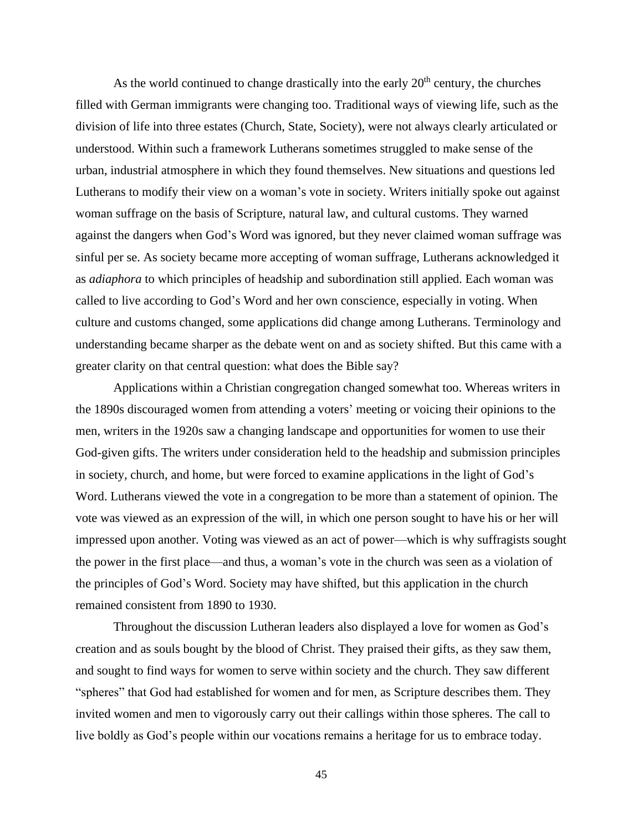As the world continued to change drastically into the early  $20<sup>th</sup>$  century, the churches filled with German immigrants were changing too. Traditional ways of viewing life, such as the division of life into three estates (Church, State, Society), were not always clearly articulated or understood. Within such a framework Lutherans sometimes struggled to make sense of the urban, industrial atmosphere in which they found themselves. New situations and questions led Lutherans to modify their view on a woman's vote in society. Writers initially spoke out against woman suffrage on the basis of Scripture, natural law, and cultural customs. They warned against the dangers when God's Word was ignored, but they never claimed woman suffrage was sinful per se. As society became more accepting of woman suffrage, Lutherans acknowledged it as *adiaphora* to which principles of headship and subordination still applied. Each woman was called to live according to God's Word and her own conscience, especially in voting. When culture and customs changed, some applications did change among Lutherans. Terminology and understanding became sharper as the debate went on and as society shifted. But this came with a greater clarity on that central question: what does the Bible say?

Applications within a Christian congregation changed somewhat too. Whereas writers in the 1890s discouraged women from attending a voters' meeting or voicing their opinions to the men, writers in the 1920s saw a changing landscape and opportunities for women to use their God-given gifts. The writers under consideration held to the headship and submission principles in society, church, and home, but were forced to examine applications in the light of God's Word. Lutherans viewed the vote in a congregation to be more than a statement of opinion. The vote was viewed as an expression of the will, in which one person sought to have his or her will impressed upon another. Voting was viewed as an act of power—which is why suffragists sought the power in the first place—and thus, a woman's vote in the church was seen as a violation of the principles of God's Word. Society may have shifted, but this application in the church remained consistent from 1890 to 1930.

Throughout the discussion Lutheran leaders also displayed a love for women as God's creation and as souls bought by the blood of Christ. They praised their gifts, as they saw them, and sought to find ways for women to serve within society and the church. They saw different "spheres" that God had established for women and for men, as Scripture describes them. They invited women and men to vigorously carry out their callings within those spheres. The call to live boldly as God's people within our vocations remains a heritage for us to embrace today.

45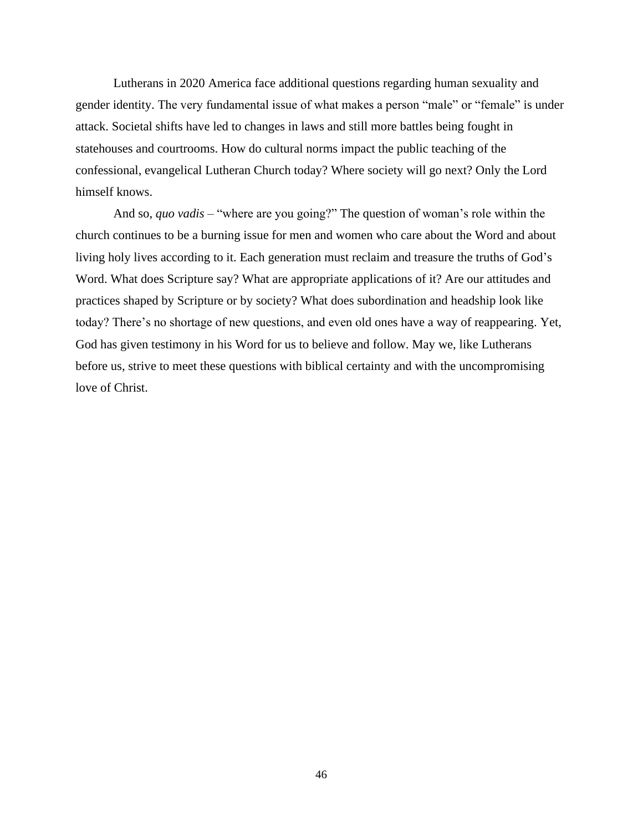Lutherans in 2020 America face additional questions regarding human sexuality and gender identity. The very fundamental issue of what makes a person "male" or "female" is under attack. Societal shifts have led to changes in laws and still more battles being fought in statehouses and courtrooms. How do cultural norms impact the public teaching of the confessional, evangelical Lutheran Church today? Where society will go next? Only the Lord himself knows.

And so, *quo vadis –* "where are you going?" The question of woman's role within the church continues to be a burning issue for men and women who care about the Word and about living holy lives according to it. Each generation must reclaim and treasure the truths of God's Word. What does Scripture say? What are appropriate applications of it? Are our attitudes and practices shaped by Scripture or by society? What does subordination and headship look like today? There's no shortage of new questions, and even old ones have a way of reappearing. Yet, God has given testimony in his Word for us to believe and follow. May we, like Lutherans before us, strive to meet these questions with biblical certainty and with the uncompromising love of Christ.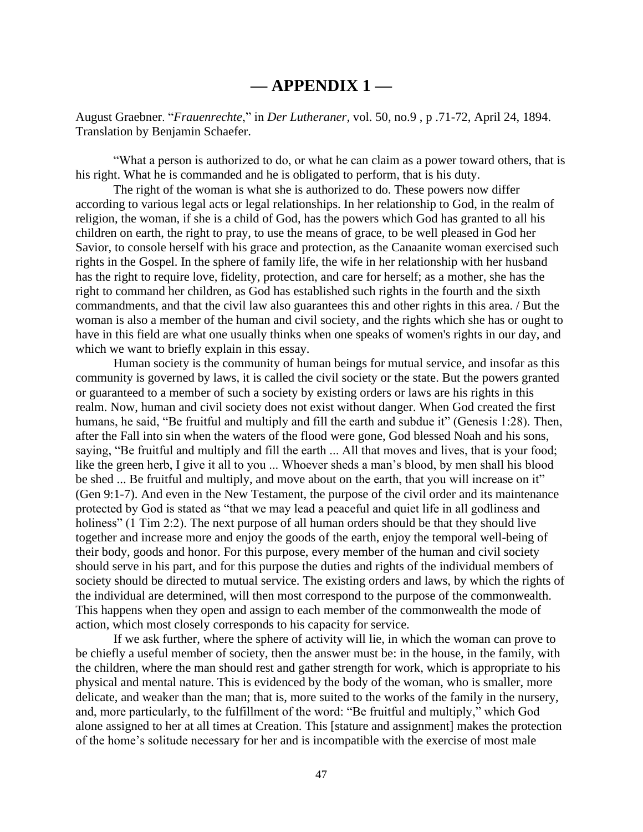### **— APPENDIX 1 —**

August Graebner. "*Frauenrechte*," in *Der Lutheraner,* vol. 50, no.9 , p .71-72, April 24, 1894. Translation by Benjamin Schaefer.

"What a person is authorized to do, or what he can claim as a power toward others, that is his right. What he is commanded and he is obligated to perform, that is his duty.

The right of the woman is what she is authorized to do. These powers now differ according to various legal acts or legal relationships. In her relationship to God, in the realm of religion, the woman, if she is a child of God, has the powers which God has granted to all his children on earth, the right to pray, to use the means of grace, to be well pleased in God her Savior, to console herself with his grace and protection, as the Canaanite woman exercised such rights in the Gospel. In the sphere of family life, the wife in her relationship with her husband has the right to require love, fidelity, protection, and care for herself; as a mother, she has the right to command her children, as God has established such rights in the fourth and the sixth commandments, and that the civil law also guarantees this and other rights in this area. / But the woman is also a member of the human and civil society, and the rights which she has or ought to have in this field are what one usually thinks when one speaks of women's rights in our day, and which we want to briefly explain in this essay.

Human society is the community of human beings for mutual service, and insofar as this community is governed by laws, it is called the civil society or the state. But the powers granted or guaranteed to a member of such a society by existing orders or laws are his rights in this realm. Now, human and civil society does not exist without danger. When God created the first humans, he said, "Be fruitful and multiply and fill the earth and subdue it" (Genesis 1:28). Then, after the Fall into sin when the waters of the flood were gone, God blessed Noah and his sons, saying, "Be fruitful and multiply and fill the earth ... All that moves and lives, that is your food; like the green herb, I give it all to you ... Whoever sheds a man's blood, by men shall his blood be shed ... Be fruitful and multiply, and move about on the earth, that you will increase on it" (Gen 9:1-7). And even in the New Testament, the purpose of the civil order and its maintenance protected by God is stated as "that we may lead a peaceful and quiet life in all godliness and holiness" (1 Tim 2:2). The next purpose of all human orders should be that they should live together and increase more and enjoy the goods of the earth, enjoy the temporal well-being of their body, goods and honor. For this purpose, every member of the human and civil society should serve in his part, and for this purpose the duties and rights of the individual members of society should be directed to mutual service. The existing orders and laws, by which the rights of the individual are determined, will then most correspond to the purpose of the commonwealth. This happens when they open and assign to each member of the commonwealth the mode of action, which most closely corresponds to his capacity for service.

If we ask further, where the sphere of activity will lie, in which the woman can prove to be chiefly a useful member of society, then the answer must be: in the house, in the family, with the children, where the man should rest and gather strength for work, which is appropriate to his physical and mental nature. This is evidenced by the body of the woman, who is smaller, more delicate, and weaker than the man; that is, more suited to the works of the family in the nursery, and, more particularly, to the fulfillment of the word: "Be fruitful and multiply," which God alone assigned to her at all times at Creation. This [stature and assignment] makes the protection of the home's solitude necessary for her and is incompatible with the exercise of most male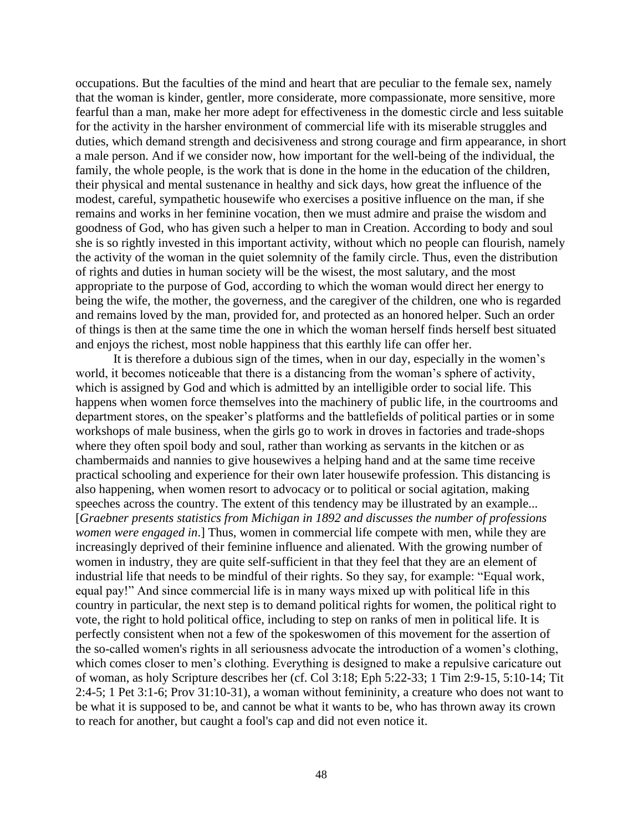occupations. But the faculties of the mind and heart that are peculiar to the female sex, namely that the woman is kinder, gentler, more considerate, more compassionate, more sensitive, more fearful than a man, make her more adept for effectiveness in the domestic circle and less suitable for the activity in the harsher environment of commercial life with its miserable struggles and duties, which demand strength and decisiveness and strong courage and firm appearance, in short a male person. And if we consider now, how important for the well-being of the individual, the family, the whole people, is the work that is done in the home in the education of the children, their physical and mental sustenance in healthy and sick days, how great the influence of the modest, careful, sympathetic housewife who exercises a positive influence on the man, if she remains and works in her feminine vocation, then we must admire and praise the wisdom and goodness of God, who has given such a helper to man in Creation. According to body and soul she is so rightly invested in this important activity, without which no people can flourish, namely the activity of the woman in the quiet solemnity of the family circle. Thus, even the distribution of rights and duties in human society will be the wisest, the most salutary, and the most appropriate to the purpose of God, according to which the woman would direct her energy to being the wife, the mother, the governess, and the caregiver of the children, one who is regarded and remains loved by the man, provided for, and protected as an honored helper. Such an order of things is then at the same time the one in which the woman herself finds herself best situated and enjoys the richest, most noble happiness that this earthly life can offer her.

It is therefore a dubious sign of the times, when in our day, especially in the women's world, it becomes noticeable that there is a distancing from the woman's sphere of activity, which is assigned by God and which is admitted by an intelligible order to social life. This happens when women force themselves into the machinery of public life, in the courtrooms and department stores, on the speaker's platforms and the battlefields of political parties or in some workshops of male business, when the girls go to work in droves in factories and trade-shops where they often spoil body and soul, rather than working as servants in the kitchen or as chambermaids and nannies to give housewives a helping hand and at the same time receive practical schooling and experience for their own later housewife profession. This distancing is also happening, when women resort to advocacy or to political or social agitation, making speeches across the country. The extent of this tendency may be illustrated by an example... [*Graebner presents statistics from Michigan in 1892 and discusses the number of professions women were engaged in*.] Thus, women in commercial life compete with men, while they are increasingly deprived of their feminine influence and alienated. With the growing number of women in industry, they are quite self-sufficient in that they feel that they are an element of industrial life that needs to be mindful of their rights. So they say, for example: "Equal work, equal pay!" And since commercial life is in many ways mixed up with political life in this country in particular, the next step is to demand political rights for women, the political right to vote, the right to hold political office, including to step on ranks of men in political life. It is perfectly consistent when not a few of the spokeswomen of this movement for the assertion of the so-called women's rights in all seriousness advocate the introduction of a women's clothing, which comes closer to men's clothing. Everything is designed to make a repulsive caricature out of woman, as holy Scripture describes her (cf. Col 3:18; Eph 5:22-33; 1 Tim 2:9-15, 5:10-14; Tit 2:4-5; 1 Pet 3:1-6; Prov 31:10-31), a woman without femininity, a creature who does not want to be what it is supposed to be, and cannot be what it wants to be, who has thrown away its crown to reach for another, but caught a fool's cap and did not even notice it.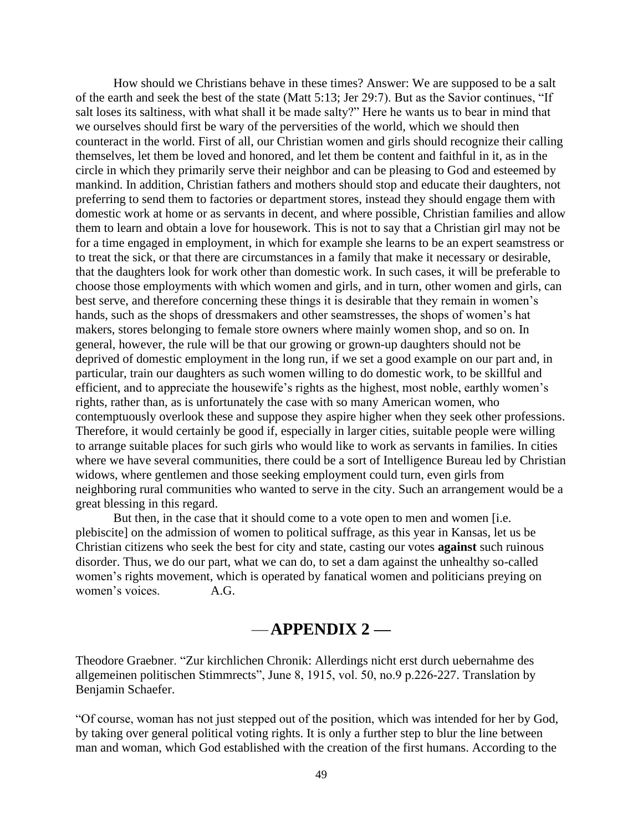How should we Christians behave in these times? Answer: We are supposed to be a salt of the earth and seek the best of the state (Matt 5:13; Jer 29:7). But as the Savior continues, "If salt loses its saltiness, with what shall it be made salty?" Here he wants us to bear in mind that we ourselves should first be wary of the perversities of the world, which we should then counteract in the world. First of all, our Christian women and girls should recognize their calling themselves, let them be loved and honored, and let them be content and faithful in it, as in the circle in which they primarily serve their neighbor and can be pleasing to God and esteemed by mankind. In addition, Christian fathers and mothers should stop and educate their daughters, not preferring to send them to factories or department stores, instead they should engage them with domestic work at home or as servants in decent, and where possible, Christian families and allow them to learn and obtain a love for housework. This is not to say that a Christian girl may not be for a time engaged in employment, in which for example she learns to be an expert seamstress or to treat the sick, or that there are circumstances in a family that make it necessary or desirable, that the daughters look for work other than domestic work. In such cases, it will be preferable to choose those employments with which women and girls, and in turn, other women and girls, can best serve, and therefore concerning these things it is desirable that they remain in women's hands, such as the shops of dressmakers and other seamstresses, the shops of women's hat makers, stores belonging to female store owners where mainly women shop, and so on. In general, however, the rule will be that our growing or grown-up daughters should not be deprived of domestic employment in the long run, if we set a good example on our part and, in particular, train our daughters as such women willing to do domestic work, to be skillful and efficient, and to appreciate the housewife's rights as the highest, most noble, earthly women's rights, rather than, as is unfortunately the case with so many American women, who contemptuously overlook these and suppose they aspire higher when they seek other professions. Therefore, it would certainly be good if, especially in larger cities, suitable people were willing to arrange suitable places for such girls who would like to work as servants in families. In cities where we have several communities, there could be a sort of Intelligence Bureau led by Christian widows, where gentlemen and those seeking employment could turn, even girls from neighboring rural communities who wanted to serve in the city. Such an arrangement would be a great blessing in this regard.

But then, in the case that it should come to a vote open to men and women [i.e. plebiscite] on the admission of women to political suffrage, as this year in Kansas, let us be Christian citizens who seek the best for city and state, casting our votes **against** such ruinous disorder. Thus, we do our part, what we can do, to set a dam against the unhealthy so-called women's rights movement, which is operated by fanatical women and politicians preying on women's voices. A.G.

## —**APPENDIX 2 —**

Theodore Graebner. "Zur kirchlichen Chronik: Allerdings nicht erst durch uebernahme des allgemeinen politischen Stimmrects", June 8, 1915, vol. 50, no.9 p.226-227. Translation by Benjamin Schaefer.

"Of course, woman has not just stepped out of the position, which was intended for her by God, by taking over general political voting rights. It is only a further step to blur the line between man and woman, which God established with the creation of the first humans. According to the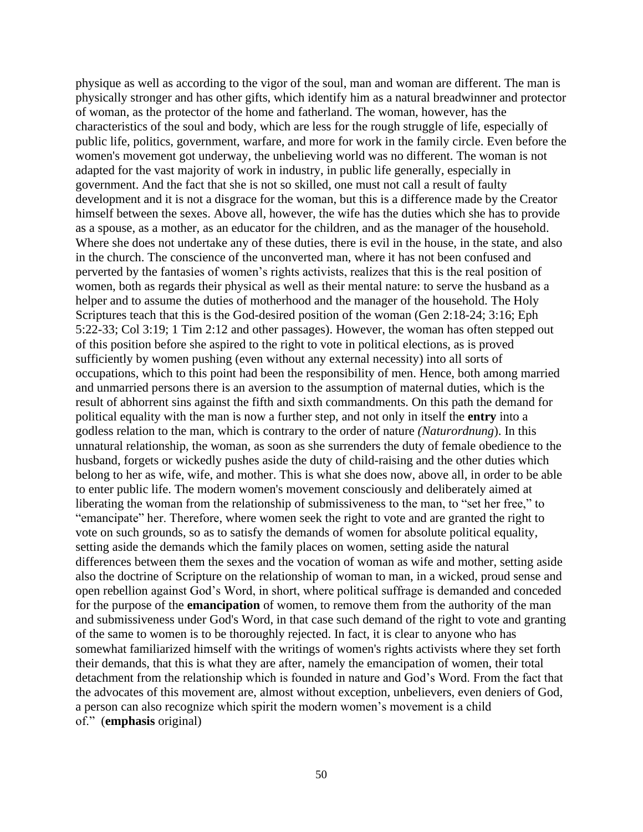physique as well as according to the vigor of the soul, man and woman are different. The man is physically stronger and has other gifts, which identify him as a natural breadwinner and protector of woman, as the protector of the home and fatherland. The woman, however, has the characteristics of the soul and body, which are less for the rough struggle of life, especially of public life, politics, government, warfare, and more for work in the family circle. Even before the women's movement got underway, the unbelieving world was no different. The woman is not adapted for the vast majority of work in industry, in public life generally, especially in government. And the fact that she is not so skilled, one must not call a result of faulty development and it is not a disgrace for the woman, but this is a difference made by the Creator himself between the sexes. Above all, however, the wife has the duties which she has to provide as a spouse, as a mother, as an educator for the children, and as the manager of the household. Where she does not undertake any of these duties, there is evil in the house, in the state, and also in the church. The conscience of the unconverted man, where it has not been confused and perverted by the fantasies of women's rights activists, realizes that this is the real position of women, both as regards their physical as well as their mental nature: to serve the husband as a helper and to assume the duties of motherhood and the manager of the household. The Holy Scriptures teach that this is the God-desired position of the woman (Gen 2:18-24; 3:16; Eph 5:22-33; Col 3:19; 1 Tim 2:12 and other passages). However, the woman has often stepped out of this position before she aspired to the right to vote in political elections, as is proved sufficiently by women pushing (even without any external necessity) into all sorts of occupations, which to this point had been the responsibility of men. Hence, both among married and unmarried persons there is an aversion to the assumption of maternal duties, which is the result of abhorrent sins against the fifth and sixth commandments. On this path the demand for political equality with the man is now a further step, and not only in itself the **entry** into a godless relation to the man, which is contrary to the order of nature *(Naturordnung*). In this unnatural relationship, the woman, as soon as she surrenders the duty of female obedience to the husband, forgets or wickedly pushes aside the duty of child-raising and the other duties which belong to her as wife, wife, and mother. This is what she does now, above all, in order to be able to enter public life. The modern women's movement consciously and deliberately aimed at liberating the woman from the relationship of submissiveness to the man, to "set her free," to "emancipate" her. Therefore, where women seek the right to vote and are granted the right to vote on such grounds, so as to satisfy the demands of women for absolute political equality, setting aside the demands which the family places on women, setting aside the natural differences between them the sexes and the vocation of woman as wife and mother, setting aside also the doctrine of Scripture on the relationship of woman to man, in a wicked, proud sense and open rebellion against God's Word, in short, where political suffrage is demanded and conceded for the purpose of the **emancipation** of women, to remove them from the authority of the man and submissiveness under God's Word, in that case such demand of the right to vote and granting of the same to women is to be thoroughly rejected. In fact, it is clear to anyone who has somewhat familiarized himself with the writings of women's rights activists where they set forth their demands, that this is what they are after, namely the emancipation of women, their total detachment from the relationship which is founded in nature and God's Word. From the fact that the advocates of this movement are, almost without exception, unbelievers, even deniers of God, a person can also recognize which spirit the modern women's movement is a child of." (**emphasis** original)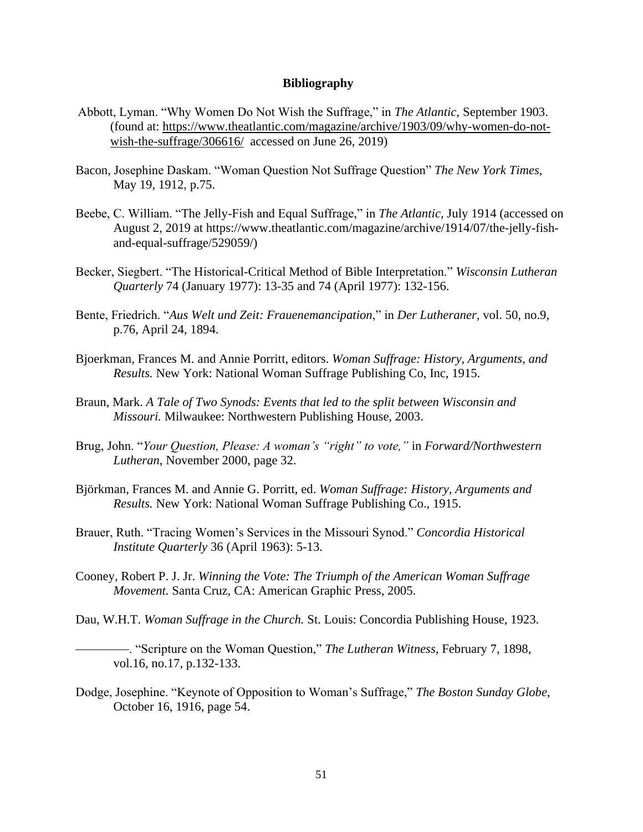#### **Bibliography**

- Abbott, Lyman. "Why Women Do Not Wish the Suffrage," in *The Atlantic,* September 1903. (found at: [https://www.theatlantic.com/magazine/archive/1903/09/why-women-do-not](https://www.theatlantic.com/magazine/archive/1903/09/why-women-do-not-wish-the-suffrage/306616/)[wish-the-suffrage/306616/](https://www.theatlantic.com/magazine/archive/1903/09/why-women-do-not-wish-the-suffrage/306616/) accessed on June 26, 2019)
- Bacon, Josephine Daskam. "Woman Question Not Suffrage Question" *The New York Times,*  May 19, 1912, p.75.
- Beebe, C. William. "The Jelly-Fish and Equal Suffrage," in *The Atlantic,* July 1914 (accessed on August 2, 2019 at https://www.theatlantic.com/magazine/archive/1914/07/the-jelly-fishand-equal-suffrage/529059/)
- Becker, Siegbert. "The Historical-Critical Method of Bible Interpretation." *Wisconsin Lutheran Quarterly* 74 (January 1977): 13-35 and 74 (April 1977): 132-156.
- Bente, Friedrich. "*Aus Welt und Zeit: Frauenemancipation*," in *Der Lutheraner,* vol. 50, no.9, p.76, April 24, 1894.
- Bjoerkman, Frances M. and Annie Porritt, editors. *Woman Suffrage: History, Arguments, and Results.* New York: National Woman Suffrage Publishing Co, Inc, 1915.
- Braun, Mark. *A Tale of Two Synods: Events that led to the split between Wisconsin and Missouri.* Milwaukee: Northwestern Publishing House, 2003.
- Brug, John. "*Your Question, Please: A woman's "right" to vote,"* in *Forward/Northwestern Lutheran,* November 2000, page 32.
- Björkman, Frances M. and Annie G. Porritt, ed. *Woman Suffrage: History, Arguments and Results.* New York: National Woman Suffrage Publishing Co., 1915.
- Brauer, Ruth. "Tracing Women's Services in the Missouri Synod." *Concordia Historical Institute Quarterly* 36 (April 1963): 5-13.
- Cooney, Robert P. J. Jr. *Winning the Vote: The Triumph of the American Woman Suffrage Movement.* Santa Cruz, CA: American Graphic Press, 2005.
- Dau, W.H.T. *Woman Suffrage in the Church.* St. Louis: Concordia Publishing House, 1923.

 . "Scripture on the Woman Question," *The Lutheran Witness,* February 7, 1898, vol.16, no.17, p.132-133.

Dodge, Josephine. "Keynote of Opposition to Woman's Suffrage," *The Boston Sunday Globe,*  October 16, 1916, page 54.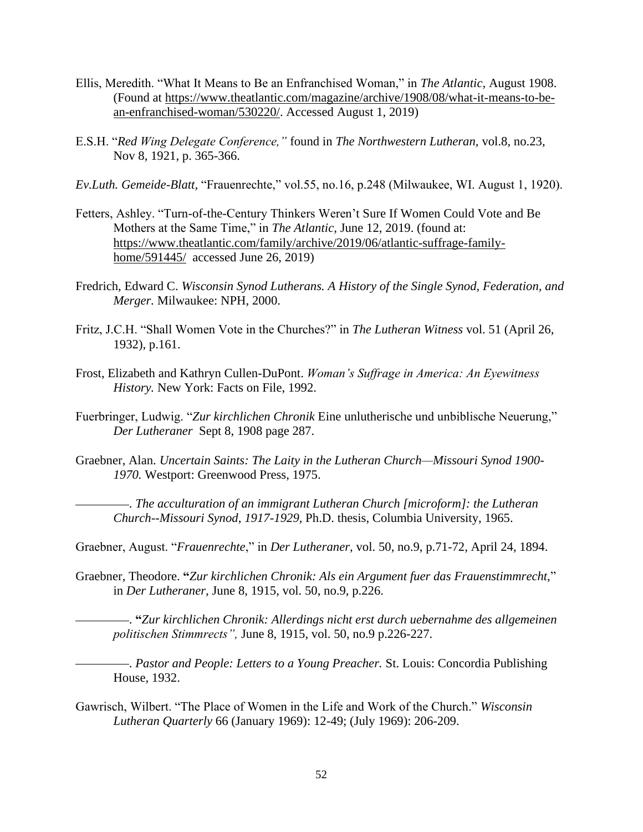- Ellis, Meredith. "What It Means to Be an Enfranchised Woman," in *The Atlantic,* August 1908. (Found at [https://www.theatlantic.com/magazine/archive/1908/08/what-it-means-to-be](https://www.theatlantic.com/magazine/archive/1908/08/what-it-means-to-be-an-enfranchised-woman/530220/)[an-enfranchised-woman/530220/.](https://www.theatlantic.com/magazine/archive/1908/08/what-it-means-to-be-an-enfranchised-woman/530220/) Accessed August 1, 2019)
- E.S.H. "*Red Wing Delegate Conference,"* found in *The Northwestern Lutheran,* vol.8, no.23, Nov 8, 1921, p. 365-366.
- *Ev.Luth. Gemeide-Blatt,* "Frauenrechte," vol.55, no.16, p.248 (Milwaukee, WI. August 1, 1920).
- Fetters, Ashley. "Turn-of-the-Century Thinkers Weren't Sure If Women Could Vote and Be Mothers at the Same Time," in *The Atlantic,* June 12, 2019. (found at: [https://www.theatlantic.com/family/archive/2019/06/atlantic-suffrage-family](https://www.theatlantic.com/family/archive/2019/06/atlantic-suffrage-family-home/591445/)[home/591445/](https://www.theatlantic.com/family/archive/2019/06/atlantic-suffrage-family-home/591445/) accessed June 26, 2019)
- Fredrich, Edward C. *Wisconsin Synod Lutherans. A History of the Single Synod, Federation, and Merger.* Milwaukee: NPH, 2000.
- Fritz, J.C.H. "Shall Women Vote in the Churches?" in *The Lutheran Witness* vol. 51 (April 26, 1932), p.161.
- Frost, Elizabeth and Kathryn Cullen-DuPont. *Woman's Suffrage in America: An Eyewitness History.* New York: Facts on File, 1992.
- Fuerbringer, Ludwig. "*Zur kirchlichen Chronik* Eine unlutherische und unbiblische Neuerung," *Der Lutheraner* Sept 8, 1908 page 287.
- Graebner, Alan. *Uncertain Saints: The Laity in the Lutheran Church—Missouri Synod 1900- 1970.* Westport: Greenwood Press, 1975.

 . *The acculturation of an immigrant Lutheran Church [microform]: the Lutheran Church--Missouri Synod, 1917-1929,* Ph.D. thesis, Columbia University, 1965.

Graebner, August. "*Frauenrechte*," in *Der Lutheraner,* vol. 50, no.9, p.71-72, April 24, 1894.

Graebner, Theodore. **"***Zur kirchlichen Chronik: Als ein Argument fuer das Frauenstimmrecht,*" in *Der Lutheraner,* June 8, 1915, vol. 50, no.9, p.226.

 . **"***Zur kirchlichen Chronik: Allerdings nicht erst durch uebernahme des allgemeinen politischen Stimmrects",* June 8, 1915, vol. 50, no.9 p.226-227.

 . *Pastor and People: Letters to a Young Preacher.* St. Louis: Concordia Publishing House, 1932.

Gawrisch, Wilbert. "The Place of Women in the Life and Work of the Church." *Wisconsin Lutheran Quarterly* 66 (January 1969): 12-49; (July 1969): 206-209.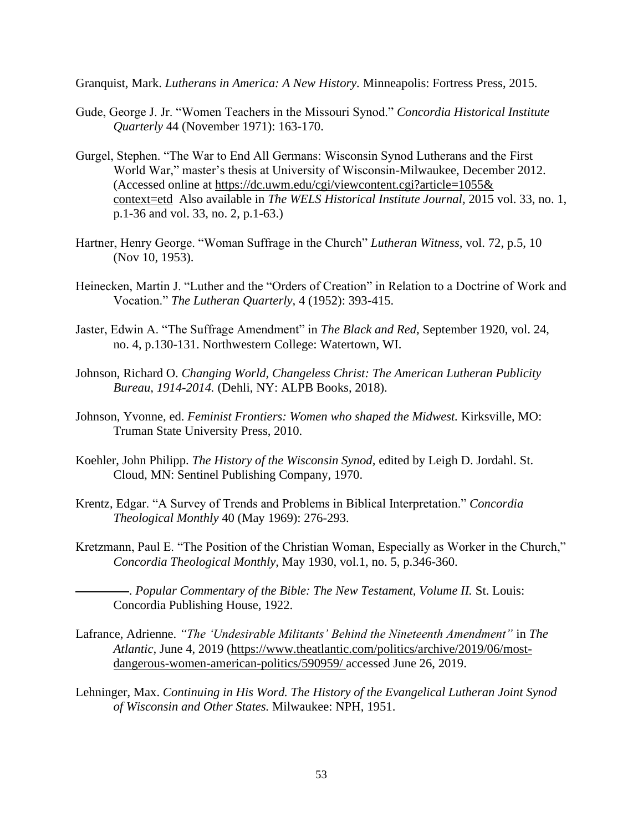Granquist, Mark. *Lutherans in America: A New History.* Minneapolis: Fortress Press, 2015.

- Gude, George J. Jr. "Women Teachers in the Missouri Synod." *Concordia Historical Institute Quarterly* 44 (November 1971): 163-170.
- Gurgel, Stephen. "The War to End All Germans: Wisconsin Synod Lutherans and the First World War," master's thesis at University of Wisconsin-Milwaukee, December 2012. (Accessed online at [https://dc.uwm.edu/cgi/viewcontent.cgi?article=1055&](https://dc.uwm.edu/cgi/viewcontent.cgi?article=1055&%20context=etd)  [context=etd](https://dc.uwm.edu/cgi/viewcontent.cgi?article=1055&%20context=etd) Also available in *The WELS Historical Institute Journal,* 2015 vol. 33, no. 1, p.1-36 and vol. 33, no. 2, p.1-63.)
- Hartner, Henry George. "Woman Suffrage in the Church" *Lutheran Witness,* vol. 72, p.5, 10 (Nov 10, 1953).
- Heinecken, Martin J. "Luther and the "Orders of Creation" in Relation to a Doctrine of Work and Vocation." *The Lutheran Quarterly,* 4 (1952): 393-415.
- Jaster, Edwin A. "The Suffrage Amendment" in *The Black and Red,* September 1920, vol. 24, no. 4, p.130-131. Northwestern College: Watertown, WI.
- Johnson, Richard O. *Changing World, Changeless Christ: The American Lutheran Publicity Bureau, 1914-2014.* (Dehli, NY: ALPB Books, 2018).
- Johnson, Yvonne, ed. *Feminist Frontiers: Women who shaped the Midwest.* Kirksville, MO: Truman State University Press, 2010.
- Koehler, John Philipp. *The History of the Wisconsin Synod,* edited by Leigh D. Jordahl. St. Cloud, MN: Sentinel Publishing Company, 1970.
- Krentz, Edgar. "A Survey of Trends and Problems in Biblical Interpretation." *Concordia Theological Monthly* 40 (May 1969): 276-293.
- Kretzmann, Paul E. "The Position of the Christian Woman, Especially as Worker in the Church," *Concordia Theological Monthly,* May 1930, vol.1, no. 5, p.346-360.

 . *Popular Commentary of the Bible: The New Testament, Volume II.* St. Louis: Concordia Publishing House, 1922.

- Lafrance, Adrienne. *"The 'Undesirable Militants' Behind the Nineteenth Amendment"* in *The Atlantic,* June 4, 2019 [\(https://www.theatlantic.com/politics/archive/2019/06/most](https://www.theatlantic.com/politics/archive/2019/06/most-dangerous-women-american-politics/590959/)[dangerous-women-american-politics/590959/](https://www.theatlantic.com/politics/archive/2019/06/most-dangerous-women-american-politics/590959/) accessed June 26, 2019.
- Lehninger, Max. *Continuing in His Word. The History of the Evangelical Lutheran Joint Synod of Wisconsin and Other States.* Milwaukee: NPH, 1951.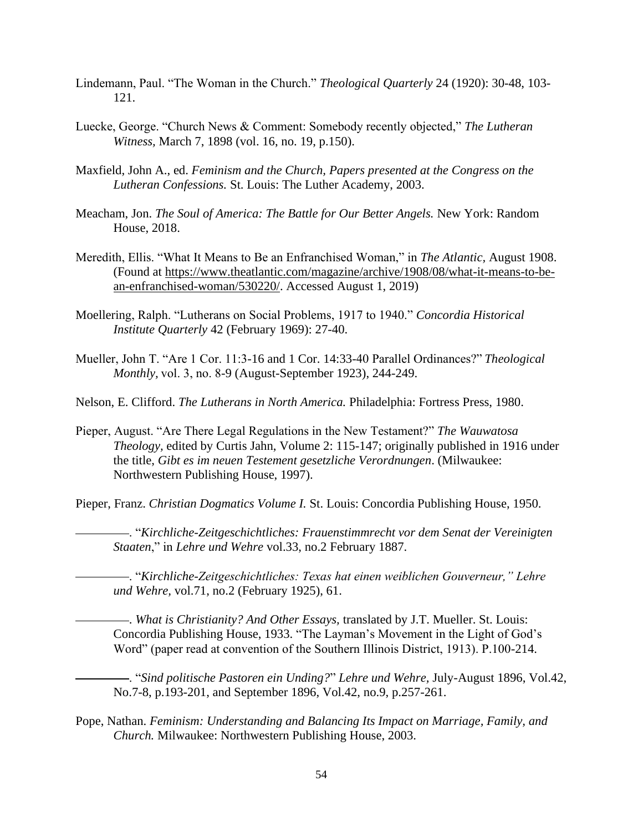- Lindemann, Paul. "The Woman in the Church." *Theological Quarterly* 24 (1920): 30-48, 103- 121.
- Luecke, George. "Church News & Comment: Somebody recently objected," *The Lutheran Witness,* March 7, 1898 (vol. 16, no. 19, p.150).
- Maxfield, John A., ed. *Feminism and the Church, Papers presented at the Congress on the Lutheran Confessions.* St. Louis: The Luther Academy, 2003.
- Meacham, Jon. *The Soul of America: The Battle for Our Better Angels.* New York: Random House, 2018.
- Meredith, Ellis. "What It Means to Be an Enfranchised Woman," in *The Atlantic,* August 1908. (Found at [https://www.theatlantic.com/magazine/archive/1908/08/what-it-means-to-be](https://www.theatlantic.com/magazine/archive/1908/08/what-it-means-to-be-an-enfranchised-woman/530220/)[an-enfranchised-woman/530220/.](https://www.theatlantic.com/magazine/archive/1908/08/what-it-means-to-be-an-enfranchised-woman/530220/) Accessed August 1, 2019)
- Moellering, Ralph. "Lutherans on Social Problems, 1917 to 1940." *Concordia Historical Institute Quarterly* 42 (February 1969): 27-40.
- Mueller, John T. "Are 1 Cor. 11:3-16 and 1 Cor. 14:33-40 Parallel Ordinances?" *Theological Monthly,* vol. 3, no. 8-9 (August-September 1923), 244-249.
- Nelson, E. Clifford. *The Lutherans in North America.* Philadelphia: Fortress Press, 1980.
- Pieper, August. "Are There Legal Regulations in the New Testament?" *The Wauwatosa Theology,* edited by Curtis Jahn, Volume 2: 115-147; originally published in 1916 under the title, *Gibt es im neuen Testement gesetzliche Verordnungen*. (Milwaukee: Northwestern Publishing House, 1997).
- Pieper, Franz. *Christian Dogmatics Volume I.* St. Louis: Concordia Publishing House, 1950.
	- . "*Kirchliche-Zeitgeschichtliches: Frauenstimmrecht vor dem Senat der Vereinigten Staaten*," in *Lehre und Wehre* vol.33, no.2 February 1887.
	- . "*Kirchliche-Zeitgeschichtliches: Texas hat einen weiblichen Gouverneur," Lehre und Wehre,* vol.71, no.2 (February 1925), 61.
	- . *What is Christianity? And Other Essays,* translated by J.T. Mueller. St. Louis: Concordia Publishing House, 1933. "The Layman's Movement in the Light of God's Word" (paper read at convention of the Southern Illinois District, 1913). P.100-214.
	- . "*Sind politische Pastoren ein Unding?*" *Lehre und Wehre,* July-August 1896, Vol.42, No.7-8, p.193-201, and September 1896, Vol.42, no.9, p.257-261.
- Pope, Nathan. *Feminism: Understanding and Balancing Its Impact on Marriage, Family, and Church.* Milwaukee: Northwestern Publishing House, 2003.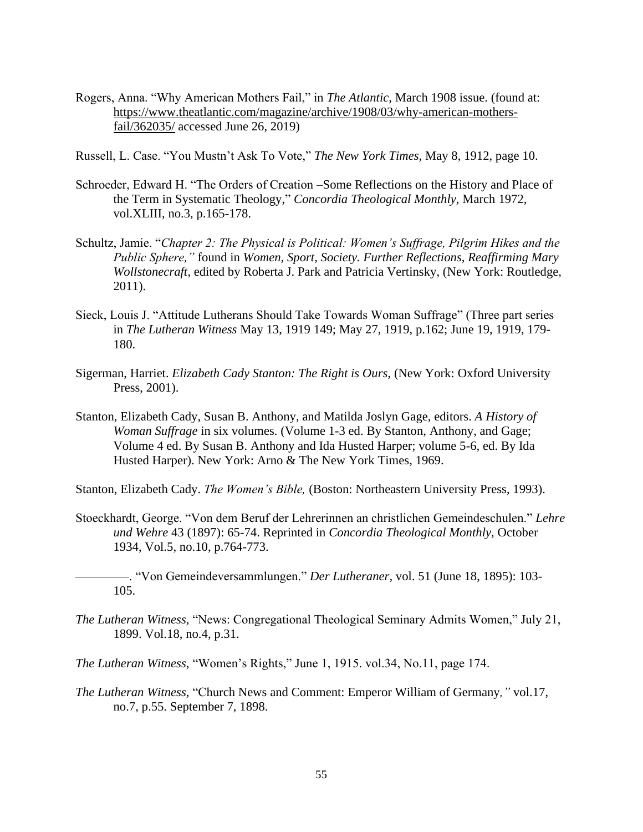- Rogers, Anna. "Why American Mothers Fail," in *The Atlantic,* March 1908 issue. (found at: [https://www.theatlantic.com/magazine/archive/1908/03/why-american-mothers](https://www.theatlantic.com/magazine/archive/1908/03/why-american-mothers-fail/362035/)[fail/362035/](https://www.theatlantic.com/magazine/archive/1908/03/why-american-mothers-fail/362035/) accessed June 26, 2019)
- Russell, L. Case. "You Mustn't Ask To Vote," *The New York Times,* May 8, 1912, page 10.
- Schroeder, Edward H. "The Orders of Creation –Some Reflections on the History and Place of the Term in Systematic Theology," *Concordia Theological Monthly,* March 1972, vol.XLIII, no.3, p.165-178.
- Schultz, Jamie. "*Chapter 2: The Physical is Political: Women's Suffrage, Pilgrim Hikes and the Public Sphere,"* found in *Women, Sport, Society. Further Reflections, Reaffirming Mary Wollstonecraft,* edited by Roberta J. Park and Patricia Vertinsky, (New York: Routledge, 2011).
- Sieck, Louis J. "Attitude Lutherans Should Take Towards Woman Suffrage" (Three part series in *The Lutheran Witness* May 13, 1919 149; May 27, 1919, p.162; June 19, 1919, 179- 180.
- Sigerman, Harriet. *Elizabeth Cady Stanton: The Right is Ours,* (New York: Oxford University Press, 2001).
- Stanton, Elizabeth Cady, Susan B. Anthony, and Matilda Joslyn Gage, editors. *A History of Woman Suffrage* in six volumes. (Volume 1-3 ed. By Stanton, Anthony, and Gage; Volume 4 ed. By Susan B. Anthony and Ida Husted Harper; volume 5-6, ed. By Ida Husted Harper). New York: Arno & The New York Times, 1969.

Stanton, Elizabeth Cady. *The Women's Bible,* (Boston: Northeastern University Press, 1993).

Stoeckhardt, George. "Von dem Beruf der Lehrerinnen an christlichen Gemeindeschulen." *Lehre und Wehre* 43 (1897): 65-74. Reprinted in *Concordia Theological Monthly,* October 1934, Vol.5, no.10, p.764-773.

 . "Von Gemeindeversammlungen." *Der Lutheraner,* vol. 51 (June 18, 1895): 103- 105.

*The Lutheran Witness,* "News: Congregational Theological Seminary Admits Women," July 21, 1899. Vol.18, no.4, p.31.

*The Lutheran Witness,* "Women's Rights," June 1, 1915. vol.34, No.11, page 174.

*The Lutheran Witness,* "Church News and Comment: Emperor William of Germany*,"* vol.17, no.7, p.55. September 7, 1898.